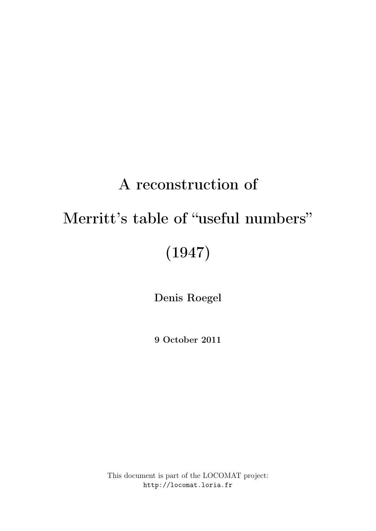# A reconstruction of

# Merritt's table of "useful numbers"

# (1947)

Denis Roegel

9 October 2011

This document is part of the LOCOMAT project: http://locomat.loria.fr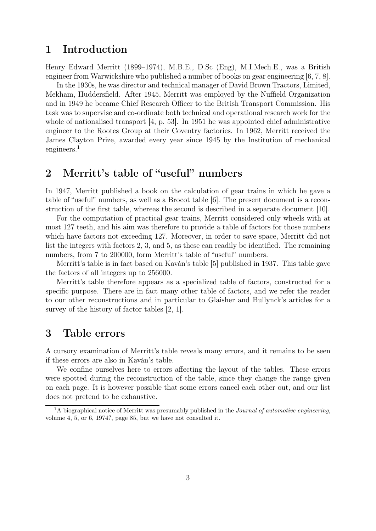## 1 Introduction

Henry Edward Merritt (1899–1974), M.B.E., D.Sc (Eng), M.I.Mech.E., was a British engineer from Warwickshire who published a number of books on gear engineering [6, 7, 8].

In the 1930s, he was director and technical manager of David Brown Tractors, Limited, Mekham, Huddersfield. After 1945, Merritt was employed by the Nuffield Organization and in 1949 he became Chief Research Officer to the British Transport Commission. His task was to supervise and co-ordinate both technical and operational research work for the whole of nationalised transport [4, p. 53]. In 1951 he was appointed chief administrative engineer to the Rootes Group at their Coventry factories. In 1962, Merritt received the James Clayton Prize, awarded every year since 1945 by the Institution of mechanical engineers.<sup>1</sup>

# 2 Merritt's table of "useful" numbers

In 1947, Merritt published a book on the calculation of gear trains in which he gave a table of "useful" numbers, as well as a Brocot table [6]. The present document is a reconstruction of the first table, whereas the second is described in a separate document [10].

For the computation of practical gear trains, Merritt considered only wheels with at most 127 teeth, and his aim was therefore to provide a table of factors for those numbers which have factors not exceeding 127. Moreover, in order to save space, Merritt did not list the integers with factors 2, 3, and 5, as these can readily be identified. The remaining numbers, from 7 to 200000, form Merritt's table of "useful" numbers.

Merritt's table is in fact based on Kaván's table [5] published in 1937. This table gave the factors of all integers up to 256000.

Merritt's table therefore appears as a specialized table of factors, constructed for a specific purpose. There are in fact many other table of factors, and we refer the reader to our other reconstructions and in particular to Glaisher and Bullynck's articles for a survey of the history of factor tables [2, 1].

#### 3 Table errors

A cursory examination of Merritt's table reveals many errors, and it remains to be seen if these errors are also in Kaván's table.

We confine ourselves here to errors affecting the layout of the tables. These errors were spotted during the reconstruction of the table, since they change the range given on each page. It is however possible that some errors cancel each other out, and our list does not pretend to be exhaustive.

 $1A$  biographical notice of Merritt was presumably published in the *Journal of automotive engineering*, volume 4, 5, or 6, 1974?, page 85, but we have not consulted it.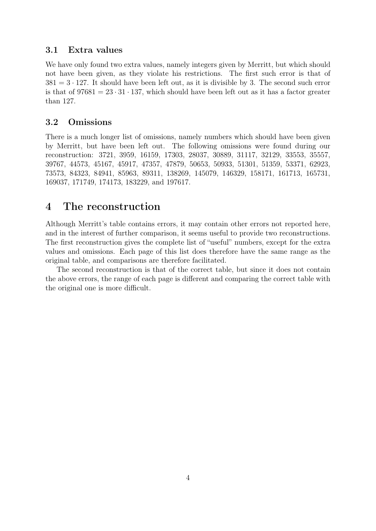#### 3.1 Extra values

We have only found two extra values, namely integers given by Merritt, but which should not have been given, as they violate his restrictions. The first such error is that of  $381 = 3 \cdot 127$ . It should have been left out, as it is divisible by 3. The second such error is that of  $97681 = 23 \cdot 31 \cdot 137$ , which should have been left out as it has a factor greater than 127.

#### 3.2 Omissions

There is a much longer list of omissions, namely numbers which should have been given by Merritt, but have been left out. The following omissions were found during our reconstruction: 3721, 3959, 16159, 17303, 28037, 30889, 31117, 32129, 33553, 35557, 39767, 44573, 45167, 45917, 47357, 47879, 50653, 50933, 51301, 51359, 53371, 62923, 73573, 84323, 84941, 85963, 89311, 138269, 145079, 146329, 158171, 161713, 165731, 169037, 171749, 174173, 183229, and 197617.

### 4 The reconstruction

Although Merritt's table contains errors, it may contain other errors not reported here, and in the interest of further comparison, it seems useful to provide two reconstructions. The first reconstruction gives the complete list of "useful" numbers, except for the extra values and omissions. Each page of this list does therefore have the same range as the original table, and comparisons are therefore facilitated.

The second reconstruction is that of the correct table, but since it does not contain the above errors, the range of each page is different and comparing the correct table with the original one is more difficult.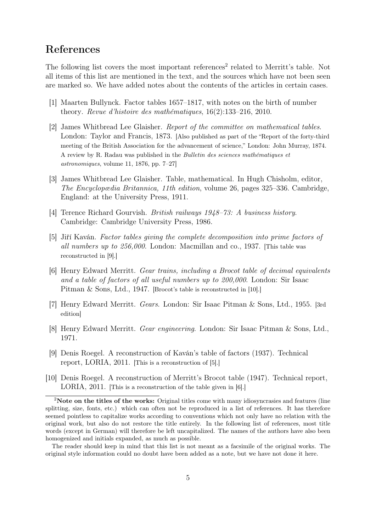# References

The following list covers the most important references<sup>2</sup> related to Merritt's table. Not all items of this list are mentioned in the text, and the sources which have not been seen are marked so. We have added notes about the contents of the articles in certain cases.

- [1] Maarten Bullynck. Factor tables 1657–1817, with notes on the birth of number theory. Revue d'histoire des mathématiques, 16(2):133–216, 2010.
- [2] James Whitbread Lee Glaisher. Report of the committee on mathematical tables. London: Taylor and Francis, 1873. [Also published as part of the "Report of the forty-third meeting of the British Association for the advancement of science," London: John Murray, 1874. A review by R. Radau was published in the Bulletin des sciences mathématiques et astronomiques, volume 11, 1876, pp. 7–27]
- [3] James Whitbread Lee Glaisher. Table, mathematical. In Hugh Chisholm, editor, The Encyclopædia Britannica, 11th edition, volume 26, pages 325–336. Cambridge, England: at the University Press, 1911.
- [4] Terence Richard Gourvish. British railways 1948–73: A business history. Cambridge: Cambridge University Press, 1986.
- [5] Jiří Kaván. Factor tables giving the complete decomposition into prime factors of all numbers up to 256,000. London: Macmillan and co., 1937. [This table was reconstructed in [9].]
- [6] Henry Edward Merritt. Gear trains, including a Brocot table of decimal equivalents and a table of factors of all useful numbers up to 200,000. London: Sir Isaac Pitman & Sons, Ltd., 1947. [Brocot's table is reconstructed in [10].]
- [7] Henry Edward Merritt. Gears. London: Sir Isaac Pitman & Sons, Ltd., 1955. [3rd edition]
- [8] Henry Edward Merritt. Gear engineering. London: Sir Isaac Pitman & Sons, Ltd., 1971.
- [9] Denis Roegel. A reconstruction of Kaván's table of factors (1937). Technical report, LORIA, 2011. [This is a reconstruction of [5].]
- [10] Denis Roegel. A reconstruction of Merritt's Brocot table (1947). Technical report, LORIA, 2011. [This is a reconstruction of the table given in [6].]

<sup>&</sup>lt;sup>2</sup>Note on the titles of the works: Original titles come with many idiosyncrasies and features (line splitting, size, fonts, etc.) which can often not be reproduced in a list of references. It has therefore seemed pointless to capitalize works according to conventions which not only have no relation with the original work, but also do not restore the title entirely. In the following list of references, most title words (except in German) will therefore be left uncapitalized. The names of the authors have also been homogenized and initials expanded, as much as possible.

The reader should keep in mind that this list is not meant as a facsimile of the original works. The original style information could no doubt have been added as a note, but we have not done it here.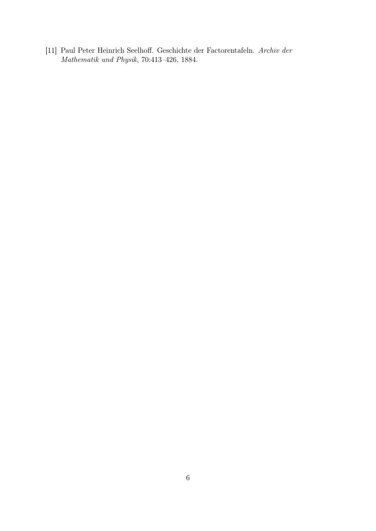[11] Paul Peter Heinrich Seelhoff. Geschichte der Factorentafeln. Archiv der Mathematik und Physik, 70:413–426, 1884.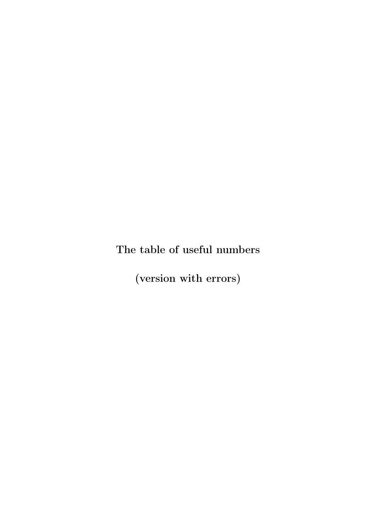The table of useful numbers

(version with errors)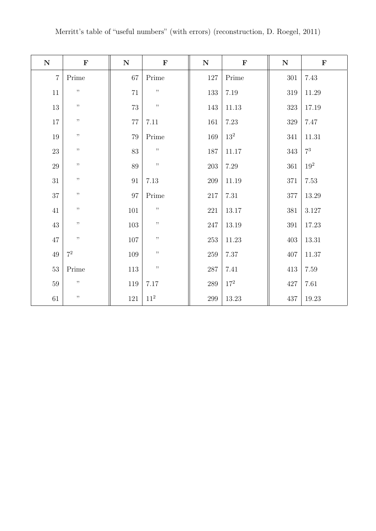| ${\bf N}$      | $\mathbf F$    | ${\bf N}$ | $\mathbf F$     | ${\bf N}$ | $\mathbf F$     | ${\bf N}$ | $\mathbf F$ |
|----------------|----------------|-----------|-----------------|-----------|-----------------|-----------|-------------|
| $\overline{7}$ | Prime          | 67        | Prime           | 127       | Prime           | $301\,$   | 7.43        |
| 11             | $, ,$          | $71\,$    | $, ,$           | $133\,$   | $7.19\,$        | 319       | $11.29\,$   |
| 13             | , ,            | $73\,$    | $, ,$           | 143       | $11.13\,$       | $323\,$   | $17.19\,$   |
| $17\,$         | $, ,$          | $77\,$    | 7.11            | 161       | 7.23            | 329       | 7.47        |
| 19             | $, \,$         | 79        | Prime           | $169\,$   | 13 <sup>2</sup> | 341       | $11.31\,$   |
| $23\,$         | , ,            | 83        | $, ,$           | 187       | 11.17           | 343       | $7^3$       |
| 29             | $, ,$          | 89        | $, \,$          | 203       | 7.29            | 361       | $19^2\,$    |
| 31             | $, \,$         | $\rm 91$  | $7.13\,$        | $209\,$   | 11.19           | $371\,$   | $7.53\,$    |
| 37             | , ,            | $\rm 97$  | Prime           | 217       | 7.31            | 377       | $13.29\,$   |
| 41             | $, ,$          | $101\,$   | $, \,$          | 221       | $13.17\,$       | $381\,$   | $3.127\,$   |
| $43\,$         | $, \,$         | $103\,$   | , ,             | $247\,$   | $13.19\,$       | 391       | $17.23\,$   |
| $47\,$         | $, ,$          | $107\,$   | , ,             | $253\,$   | $11.23\,$       | 403       | $13.31\,$   |
| $49\,$         | $\mathbf{7}^2$ | 109       | $, \,$          | 259       | $7.37\,$        | 407       | $11.37\,$   |
| $53\,$         | Prime          | $113\,$   | $, ,$           | $287\,$   | 7.41            | 413       | $7.59\,$    |
| 59             | $, \,$         | 119       | 7.17            | $289\,$   | 17 <sup>2</sup> | $427\,$   | 7.61        |
| 61             | $, \,$         | 121       | 11 <sup>2</sup> | 299       | 13.23           | 437       | 19.23       |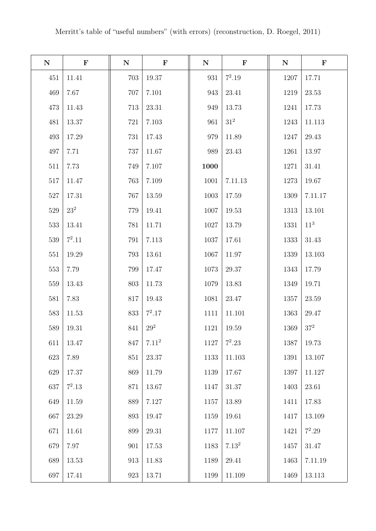| ${\bf N}$ | $\mathbf F$ | ${\bf N}$ | $\mathbf F$       | ${\bf N}$ | $\mathbf F$       | ${\bf N}$ | $\mathbf F$     |
|-----------|-------------|-----------|-------------------|-----------|-------------------|-----------|-----------------|
| 451       | 11.41       | 703       | 19.37             | 931       | $7^2.19$          | 1207      | 17.71           |
| 469       | 7.67        | 707       | 7.101             | 943       | 23.41             | 1219      | 23.53           |
| 473       | 11.43       | 713       | 23.31             | 949       | 13.73             | 1241      | 17.73           |
| 481       | 13.37       | 721       | 7.103             | 961       | $31^2\,$          | 1243      | 11.113          |
| 493       | 17.29       | 731       | 17.43             | 979       | 11.89             | 1247      | 29.43           |
| 497       | 7.71        | 737       | 11.67             | 989       | 23.43             | 1261      | 13.97           |
| 511       | 7.73        | 749       | 7.107             | 1000      |                   | 1271      | 31.41           |
| 517       | 11.47       | 763       | 7.109             | 1001      | 7.11.13           | 1273      | 19.67           |
| $527\,$   | 17.31       | 767       | 13.59             | 1003      | 17.59             | 1309      | 7.11.17         |
| 529       | $23^2\,$    | 779       | 19.41             | 1007      | 19.53             | 1313      | 13.101          |
| 533       | 13.41       | 781       | 11.71             | 1027      | 13.79             | 1331      | 11 <sup>3</sup> |
| 539       | $7^2.11$    | 791       | 7.113             | 1037      | 17.61             | 1333      | 31.43           |
| 551       | 19.29       | 793       | 13.61             | 1067      | 11.97             | 1339      | 13.103          |
| 553       | 7.79        | 799       | 17.47             | 1073      | 29.37             | 1343      | 17.79           |
| 559       | 13.43       | 803       | 11.73             | 1079      | 13.83             | 1349      | 19.71           |
| 581       | 7.83        | 817       | 19.43             | 1081      | 23.47             | 1357      | 23.59           |
| 583       | 11.53       | 833       | $7^2.17$          | 1111      | 11.101            | 1363      | 29.47           |
| 589       | 19.31       | 841       | 29 <sup>2</sup>   | 1121      | 19.59             | 1369      | $37^{2}$        |
| 611       | 13.47       | 847       | 7.11 <sup>2</sup> | 1127      | $7^2.23$          | 1387      | 19.73           |
| 623       | 7.89        | 851       | 23.37             | 1133      | 11.103            | 1391      | 13.107          |
| 629       | 17.37       | 869       | 11.79             | 1139      | 17.67             | 1397      | 11.127          |
| 637       | $7^2.13$    | 871       | 13.67             | 1147      | 31.37             | 1403      | 23.61           |
| 649       | 11.59       | 889       | 7.127             | 1157      | 13.89             | 1411      | 17.83           |
| 667       | 23.29       | 893       | 19.47             | 1159      | 19.61             | 1417      | 13.109          |
| 671       | 11.61       | 899       | 29.31             | 1177      | 11.107            | 1421      | $7^2.29$        |
| 679       | 7.97        | 901       | 17.53             | 1183      | 7.13 <sup>2</sup> | 1457      | 31.47           |
| 689       | $13.53\,$   | 913       | 11.83             | 1189      | 29.41             | 1463      | 7.11.19         |
| 697       | 17.41       | 923       | 13.71             | 1199      | 11.109            | 1469      | 13.113          |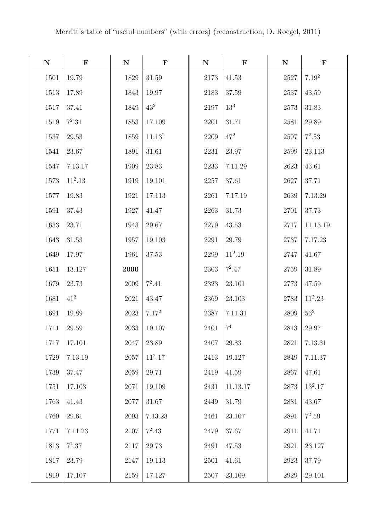| ${\bf N}$ | $\mathbf F$ | ${\bf N}$ | $\mathbf F$        | $\mathbf N$ | $\mathbf F$     | $\mathbf N$ | $\mathbf F$ |
|-----------|-------------|-----------|--------------------|-------------|-----------------|-------------|-------------|
| 1501      | 19.79       | 1829      | 31.59              | 2173        | 41.53           | 2527        | $7.19^2$    |
| 1513      | 17.89       | 1843      | 19.97              | 2183        | 37.59           | 2537        | 43.59       |
| 1517      | 37.41       | 1849      | $43^2$             | 2197        | 13 <sup>3</sup> | 2573        | 31.83       |
| 1519      | $7^2.31$    | 1853      | 17.109             | 2201        | 31.71           | 2581        | 29.89       |
| 1537      | 29.53       | 1859      | 11.13 <sup>2</sup> | 2209        | $47^{2}$        | 2597        | $7^2.53$    |
| 1541      | 23.67       | 1891      | 31.61              | 2231        | 23.97           | 2599        | 23.113      |
| 1547      | 7.13.17     | 1909      | 23.83              | 2233        | 7.11.29         | 2623        | 43.61       |
| 1573      | $11^2.13$   | 1919      | 19.101             | 2257        | 37.61           | 2627        | 37.71       |
| 1577      | 19.83       | 1921      | 17.113             | 2261        | 7.17.19         | 2639        | 7.13.29     |
| 1591      | 37.43       | 1927      | 41.47              | 2263        | 31.73           | 2701        | 37.73       |
| 1633      | 23.71       | 1943      | 29.67              | 2279        | 43.53           | 2717        | 11.13.19    |
| 1643      | 31.53       | 1957      | 19.103             | 2291        | 29.79           | 2737        | 7.17.23     |
| 1649      | 17.97       | 1961      | 37.53              | 2299        | $11^2.19$       | 2747        | 41.67       |
| 1651      | 13.127      | 2000      |                    | 2303        | $7^2.47$        | 2759        | 31.89       |
| 1679      | 23.73       | 2009      | $7^2.41$           | 2323        | 23.101          | 2773        | 47.59       |
| 1681      | $41^{2}$    | 2021      | 43.47              | 2369        | 23.103          | 2783        | $11^2.23$   |
| 1691      | 19.89       | 2023      | $7.17^{2}$         | 2387        | 7.11.31         | 2809        | $53^2$      |
| 1711      | 29.59       | 2033      | 19.107             | 2401        | 7 <sup>4</sup>  | $2813\,$    | 29.97       |
| 1717      | 17.101      | 2047      | 23.89              | 2407        | 29.83           | 2821        | 7.13.31     |
| 1729      | 7.13.19     | 2057      | $11^2.17$          | 2413        | 19.127          | 2849        | 7.11.37     |
| 1739      | 37.47       | 2059      | 29.71              | 2419        | 41.59           | 2867        | 47.61       |
| 1751      | 17.103      | 2071      | 19.109             | 2431        | 11.13.17        | 2873        | $13^2.17$   |
| 1763      | 41.43       | 2077      | 31.67              | 2449        | 31.79           | 2881        | 43.67       |
| 1769      | 29.61       | 2093      | 7.13.23            | 2461        | 23.107          | 2891        | $7^2.59$    |
| 1771      | 7.11.23     | 2107      | $7^2.43$           | 2479        | 37.67           | 2911        | 41.71       |
| 1813      | $7^2.37$    | 2117      | 29.73              | 2491        | 47.53           | 2921        | 23.127      |
| 1817      | 23.79       | 2147      | 19.113             | 2501        | 41.61           | 2923        | 37.79       |
| 1819      | 17.107      | 2159      | 17.127             | 2507        | 23.109          | 2929        | 29.101      |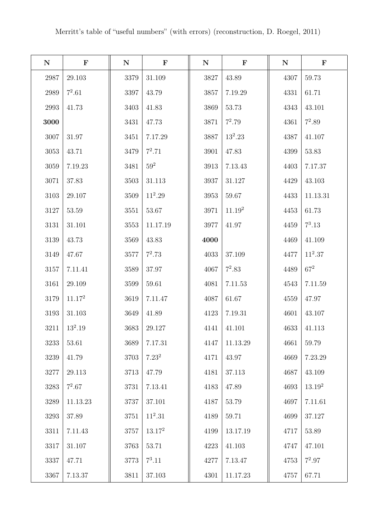| ${\bf N}$ | $\mathbf F$        | ${\bf N}$ | $\mathbf F$ | $\mathbf N$ | $\mathbf F$        | ${\bf N}$ | $\mathbf F$        |
|-----------|--------------------|-----------|-------------|-------------|--------------------|-----------|--------------------|
| 2987      | 29.103             | 3379      | 31.109      | 3827        | 43.89              | 4307      | 59.73              |
| 2989      | $7^2.61$           | 3397      | 43.79       | 3857        | 7.19.29            | 4331      | 61.71              |
| 2993      | 41.73              | 3403      | 41.83       | 3869        | 53.73              | 4343      | 43.101             |
| 3000      |                    | 3431      | 47.73       | $3871\,$    | $7^2.79$           | 4361      | $7^2.89$           |
| 3007      | 31.97              | 3451      | 7.17.29     | 3887        | $13^2.23$          | 4387      | 41.107             |
| $3053\,$  | 43.71              | 3479      | $7^2.71$    | 3901        | 47.83              | 4399      | 53.83              |
| 3059      | 7.19.23            | 3481      | $59^2$      | 3913        | 7.13.43            | 4403      | 7.17.37            |
| 3071      | 37.83              | 3503      | 31.113      | 3937        | 31.127             | 4429      | 43.103             |
| 3103      | 29.107             | 3509      | $11^2.29$   | 3953        | 59.67              | 4433      | 11.13.31           |
| 3127      | 53.59              | 3551      | 53.67       | 3971        | 11.19 <sup>2</sup> | 4453      | 61.73              |
| 3131      | 31.101             | 3553      | 11.17.19    | 3977        | 41.97              | 4459      | $7^3.13$           |
| 3139      | 43.73              | 3569      | 43.83       | 4000        |                    | 4469      | 41.109             |
| 3149      | 47.67              | 3577      | $7^2.73$    | 4033        | 37.109             | 4477      | $11^2.37$          |
| 3157      | 7.11.41            | 3589      | 37.97       | 4067        | $7^2.83$           | 4489      | $67^{2}$           |
| 3161      | 29.109             | 3599      | 59.61       | 4081        | 7.11.53            | 4543      | 7.11.59            |
| 3179      | 11.17 <sup>2</sup> | 3619      | 7.11.47     | 4087        | 61.67              | 4559      | 47.97              |
| 3193      | 31.103             | 3649      | 41.89       | 4123        | 7.19.31            | 4601      | 43.107             |
| 3211      | $13^2.19$          | 3683      | 29.127      | 4141        | 41.101             | 4633      | 41.113             |
| 3233      | 53.61              | 3689      | 7.17.31     | 4147        | 11.13.29           | 4661      | 59.79              |
| $3239\,$  | 41.79              | 3703      | $7.23^2$    | 4171        | 43.97              | 4669      | 7.23.29            |
| 3277      | 29.113             | 3713      | 47.79       | 4181        | 37.113             | 4687      | 43.109             |
| 3283      | $7^2.67$           | 3731      | 7.13.41     | 4183        | 47.89              | 4693      | 13.19 <sup>2</sup> |
| 3289      | 11.13.23           | 3737      | 37.101      | 4187        | 53.79              | 4697      | 7.11.61            |
| 3293      | 37.89              | 3751      | $11^2.31$   | 4189        | 59.71              | 4699      | 37.127             |
| 3311      | 7.11.43            | 3757      | $13.17^2$   | 4199        | 13.17.19           | 4717      | 53.89              |
| $3317\,$  | 31.107             | 3763      | 53.71       | 4223        | 41.103             | 4747      | 47.101             |
| 3337      | 47.71              | $3773\,$  | $7^3.11$    | 4277        | 7.13.47            | 4753      | $7^2.97$           |
| 3367      | 7.13.37            | 3811      | 37.103      | 4301        | 11.17.23           | 4757      | 67.71              |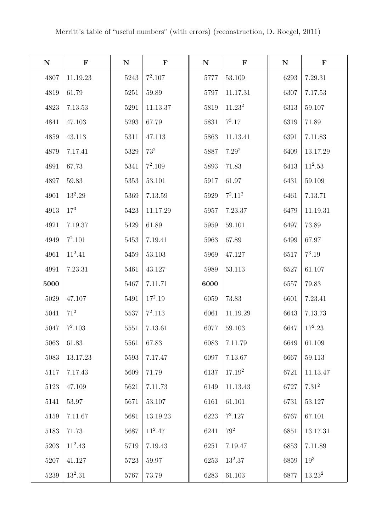| ${\bf N}$ | $\mathbf F$ | ${\bf N}$ | $\mathbf F$ | ${\bf N}$ | $\mathbf F$        | ${\bf N}$ | $\mathbf F$     |
|-----------|-------------|-----------|-------------|-----------|--------------------|-----------|-----------------|
| 4807      | 11.19.23    | 5243      | $7^2.107$   | 5777      | 53.109             | 6293      | 7.29.31         |
| 4819      | 61.79       | 5251      | 59.89       | 5797      | 11.17.31           | 6307      | 7.17.53         |
| 4823      | 7.13.53     | 5291      | 11.13.37    | 5819      | 11.23 <sup>2</sup> | 6313      | 59.107          |
| 4841      | 47.103      | 5293      | 67.79       | 5831      | $7^3.17$           | 6319      | 71.89           |
| 4859      | 43.113      | 5311      | 47.113      | 5863      | 11.13.41           | 6391      | 7.11.83         |
| 4879      | 7.17.41     | 5329      | $73^2\,$    | 5887      | 7.29 <sup>2</sup>  | 6409      | 13.17.29        |
| 4891      | 67.73       | 5341      | $7^2.109$   | 5893      | 71.83              | 6413      | $11^2.53$       |
| 4897      | 59.83       | 5353      | 53.101      | 5917      | 61.97              | 6431      | 59.109          |
| 4901      | $13^2.29$   | 5369      | 7.13.59     | 5929      | $7^2.11^2$         | 6461      | 7.13.71         |
| 4913      | $17^{3}$    | 5423      | 11.17.29    | 5957      | 7.23.37            | 6479      | 11.19.31        |
| 4921      | 7.19.37     | 5429      | 61.89       | 5959      | 59.101             | 6497      | 73.89           |
| 4949      | $7^2.101$   | 5453      | 7.19.41     | 5963      | 67.89              | 6499      | 67.97           |
| 4961      | $11^2.41$   | 5459      | 53.103      | 5969      | 47.127             | 6517      | $7^3.19$        |
| 4991      | 7.23.31     | 5461      | 43.127      | 5989      | 53.113             | 6527      | 61.107          |
| 5000      |             | 5467      | 7.11.71     | 6000      |                    | 6557      | 79.83           |
| 5029      | 47.107      | 5491      | $17^2.19$   | 6059      | 73.83              | 6601      | 7.23.41         |
| $5041\,$  | $71^2$      | 5537      | $7^2.113$   | 6061      | 11.19.29           | 6643      | 7.13.73         |
| 5047      | $7^2.103$   | 5551      | 7.13.61     | 6077      | 59.103             | 6647      | $17^2.23$       |
| 5063      | 61.83       | 5561      | 67.83       | 6083      | 7.11.79            | 6649      | 61.109          |
| 5083      | 13.17.23    | 5593      | 7.17.47     | 6097      | 7.13.67            | 6667      | 59.113          |
| 5117      | 7.17.43     | 5609      | 71.79       | 6137      | $17.19^{2}$        | 6721      | 11.13.47        |
| 5123      | 47.109      | 5621      | 7.11.73     | 6149      | 11.13.43           | 6727      | $7.31^{2}$      |
| 5141      | 53.97       | 5671      | 53.107      | 6161      | 61.101             | 6731      | 53.127          |
| 5159      | 7.11.67     | 5681      | 13.19.23    | 6223      | $7^2.127$          | 6767      | 67.101          |
| 5183      | 71.73       | 5687      | $11^2.47$   | 6241      | $79^2$             | 6851      | 13.17.31        |
| 5203      | $11^2.43$   | 5719      | 7.19.43     | 6251      | 7.19.47            | 6853      | 7.11.89         |
| 5207      | 41.127      | 5723      | 59.97       | 6253      | $13^2.37$          | 6859      | 19 <sup>3</sup> |
| 5239      | $13^2.31$   | 5767      | 73.79       | 6283      | 61.103             | 6877      | $13.23^{2}$     |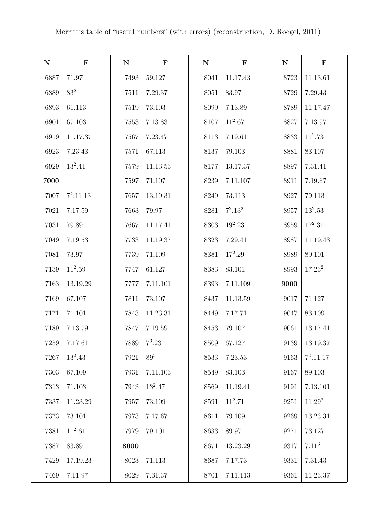| ${\bf N}$ | $\mathbf F$ | ${\bf N}$ | $\mathbf F$ | $\mathbf N$ | $\mathbf F$ | ${\bf N}$ | $\mathbf F$        |
|-----------|-------------|-----------|-------------|-------------|-------------|-----------|--------------------|
| 6887      | 71.97       | 7493      | 59.127      | 8041        | 11.17.43    | 8723      | 11.13.61           |
| 6889      | $83^2$      | 7511      | 7.29.37     | 8051        | 83.97       | 8729      | 7.29.43            |
| 6893      | 61.113      | 7519      | 73.103      | 8099        | 7.13.89     | 8789      | 11.17.47           |
| 6901      | 67.103      | 7553      | 7.13.83     | 8107        | $11^2.67$   | 8827      | 7.13.97            |
| 6919      | 11.17.37    | 7567      | 7.23.47     | 8113        | 7.19.61     | 8833      | $11^2.73$          |
| 6923      | 7.23.43     | 7571      | 67.113      | 8137        | 79.103      | 8881      | 83.107             |
| 6929      | $13^2.41$   | 7579      | 11.13.53    | 8177        | 13.17.37    | 8897      | 7.31.41            |
| 7000      |             | 7597      | 71.107      | 8239        | 7.11.107    | 8911      | 7.19.67            |
| 7007      | $7^2.11.13$ | 7657      | 13.19.31    | 8249        | 73.113      | 8927      | 79.113             |
| 7021      | 7.17.59     | 7663      | 79.97       | 8281        | $7^2.13^2$  | 8957      | $13^2.53$          |
| 7031      | 79.89       | 7667      | 11.17.41    | 8303        | $19^2.23$   | 8959      | $17^2.31$          |
| 7049      | 7.19.53     | 7733      | 11.19.37    | 8323        | 7.29.41     | 8987      | 11.19.43           |
| 7081      | 73.97       | 7739      | 71.109      | 8381        | $17^2.29$   | 8989      | 89.101             |
| 7139      | $11^2.59$   | 7747      | 61.127      | 8383        | 83.101      | 8993      | $17.23^2$          |
| 7163      | 13.19.29    | 7777      | 7.11.101    | 8393        | 7.11.109    | 9000      |                    |
| 7169      | 67.107      | 7811      | 73.107      | 8437        | 11.13.59    | 9017      | 71.127             |
| 7171      | 71.101      | 7843      | 11.23.31    | 8449        | 7.17.71     | 9047      | 83.109             |
| 7189      | 7.13.79     | 7847      | 7.19.59     | 8453        | 79.107      | 9061      | 13.17.41           |
| 7259      | 7.17.61     | 7889      | $7^3.23$    | 8509        | 67.127      | 9139      | 13.19.37           |
| 7267      | $13^2.43$   | 7921      | $89^2$      | 8533        | 7.23.53     | 9163      | $7^2.11.17$        |
| 7303      | 67.109      | 7931      | 7.11.103    | 8549        | 83.103      | 9167      | 89.103             |
| 7313      | 71.103      | 7943      | $13^2.47$   | 8569        | 11.19.41    | 9191      | 7.13.101           |
| 7337      | 11.23.29    | 7957      | 73.109      | 8591        | $11^2.71$   | 9251      | 11.29 <sup>2</sup> |
| 7373      | 73.101      | 7973      | 7.17.67     | 8611        | 79.109      | 9269      | 13.23.31           |
| 7381      | $11^2.61$   | 7979      | 79.101      | 8633        | 89.97       | 9271      | 73.127             |
| 7387      | 83.89       | 8000      |             | 8671        | 13.23.29    | 9317      | $7.11^{3}$         |
| 7429      | 17.19.23    | 8023      | 71.113      | 8687        | 7.17.73     | 9331      | 7.31.43            |
| 7469      | 7.11.97     | 8029      | 7.31.37     | 8701        | 7.11.113    | 9361      | 11.23.37           |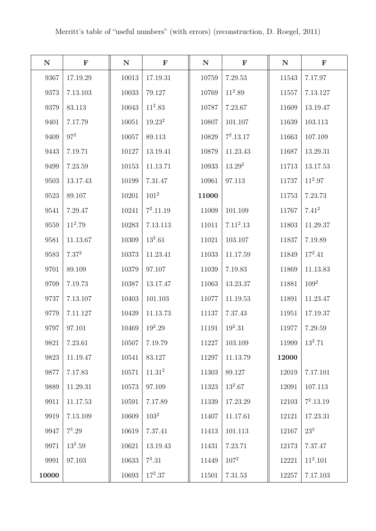| ${\bf N}$ | $\mathbf F$ | ${\bf N}$ | $\mathbf F$        | ${\bf N}$ | $\mathbf F$           | ${\bf N}$ | $\mathbf F$ |
|-----------|-------------|-----------|--------------------|-----------|-----------------------|-----------|-------------|
| 9367      | 17.19.29    | 10013     | 17.19.31           | 10759     | 7.29.53               | 11543     | 7.17.97     |
| 9373      | 7.13.103    | 10033     | 79.127             | 10769     | $11^2.89$             | 11557     | 7.13.127    |
| 9379      | 83.113      | 10043     | $11^2.83$          | 10787     | 7.23.67               | 11609     | 13.19.47    |
| 9401      | 7.17.79     | 10051     | 19.23 <sup>2</sup> | 10807     | 101.107               | 11639     | 103.113     |
| 9409      | $97^2$      | 10057     | 89.113             | 10829     | $7^2.13.17$           | 11663     | 107.109     |
| 9443      | 7.19.71     | 10127     | 13.19.41           | 10879     | 11.23.43              | 11687     | 13.29.31    |
| 9499      | 7.23.59     | 10153     | 11.13.71           | 10933     | $13.29^{2}$           | 11713     | 13.17.53    |
| 9503      | 13.17.43    | 10199     | 7.31.47            | 10961     | 97.113                | 11737     | $11^2.97$   |
| 9523      | 89.107      | 10201     | $101^2$            | 11000     |                       | 11753     | 7.23.73     |
| 9541      | 7.29.47     | 10241     | $7^2.11.19$        | 11009     | 101.109               | 11767     | $7.41^{2}$  |
| 9559      | $11^2.79$   | 10283     | 7.13.113           | 11011     | 7.11 <sup>2</sup> .13 | 11803     | 11.29.37    |
| 9581      | 11.13.67    | $10309\,$ | $13^2.61$          | 11021     | 103.107               | 11837     | 7.19.89     |
| 9583      | $7.37^{2}$  | 10373     | 11.23.41           | 11033     | 11.17.59              | 11849     | $17^2.41$   |
| 9701      | 89.109      | 10379     | 97.107             | 11039     | 7.19.83               | 11869     | 11.13.83    |
| 9709      | 7.19.73     | 10387     | 13.17.47           | 11063     | 13.23.37              | 11881     | $109^2$     |
| 9737      | 7.13.107    | 10403     | 101.103            | 11077     | 11.19.53              | 11891     | 11.23.47    |
| 9779      | 7.11.127    | 10439     | 11.13.73           | 11137     | 7.37.43               | 11951     | 17.19.37    |
| 9797      | 97.101      | 10469     | $19^2.29$          | 11191     | $19^2.31$             | 11977     | 7.29.59     |
| 9821      | 7.23.61     | 10507     | 7.19.79            | 11227     | 103.109               | 11999     | $13^2.71$   |
| 9823      | 11.19.47    | 10541     | 83.127             | 11297     | 11.13.79              | 12000     |             |
| 9877      | 7.17.83     | 10571     | 11.31 <sup>2</sup> | 11303     | 89.127                | 12019     | 7.17.101    |
| 9889      | 11.29.31    | 10573     | 97.109             | 11323     | $13^2.67$             | 12091     | 107.113     |
| 9911      | 11.17.53    | 10591     | 7.17.89            | 11339     | 17.23.29              | 12103     | $7^2.13.19$ |
| 9919      | 7.13.109    | 10609     | $103^2$            | 11407     | 11.17.61              | 12121     | 17.23.31    |
| 9947      | $7^3.29$    | 10619     | 7.37.41            | 11413     | 101.113               | 12167     | $23^{3}$    |
| 9971      | $13^2.59$   | 10621     | 13.19.43           | 11431     | 7.23.71               | 12173     | 7.37.47     |
| 9991      | 97.103      | 10633     | $7^3.31$           | 11449     | $107^2$               | 12221     | $11^2.101$  |
| 10000     |             | 10693     | $17^2.37$          | 11501     | $7.31.53\,$           | 12257     | 7.17.103    |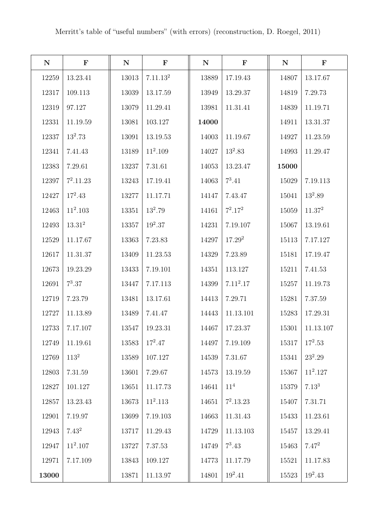| ${\bf N}$ | ${\bf F}$          | ${\bf N}$ | $\mathbf F$          | ${\bf N}$ | $\mathbf F$           | ${\bf N}$ | $\mathbf F$ |
|-----------|--------------------|-----------|----------------------|-----------|-----------------------|-----------|-------------|
| 12259     | 13.23.41           | 13013     | 7.11.13 <sup>2</sup> | 13889     | 17.19.43              | 14807     | 13.17.67    |
| 12317     | 109.113            | 13039     | 13.17.59             | 13949     | 13.29.37              | 14819     | 7.29.73     |
| 12319     | 97.127             | 13079     | 11.29.41             | 13981     | 11.31.41              | 14839     | 11.19.71    |
| 12331     | 11.19.59           | 13081     | 103.127              | 14000     |                       | 14911     | 13.31.37    |
| 12337     | $13^2.73$          | 13091     | 13.19.53             | 14003     | 11.19.67              | 14927     | 11.23.59    |
| 12341     | 7.41.43            | 13189     | $11^2.109$           | 14027     | $13^2.83$             | 14993     | 11.29.47    |
| 12383     | 7.29.61            | 13237     | 7.31.61              | 14053     | 13.23.47              | 15000     |             |
| 12397     | $7^2.11.23$        | 13243     | 17.19.41             | 14063     | $7^3.41$              | 15029     | 7.19.113    |
| 12427     | $17^2.43$          | 13277     | 11.17.71             | 14147     | 7.43.47               | 15041     | $13^2.89$   |
| 12463     | $11^2.103$         | 13351     | $13^2.79$            | 14161     | $7^2.17^2$            | 15059     | $11.37^{2}$ |
| 12493     | 13.31 <sup>2</sup> | 13357     | $19^2.37$            | 14231     | 7.19.107              | 15067     | 13.19.61    |
| 12529     | 11.17.67           | 13363     | 7.23.83              | 14297     | $17.29^{2}$           | 15113     | 7.17.127    |
| 12617     | 11.31.37           | 13409     | 11.23.53             | 14329     | 7.23.89               | 15181     | 17.19.47    |
| 12673     | 19.23.29           | 13433     | 7.19.101             | 14351     | 113.127               | 15211     | 7.41.53     |
| 12691     | $7^3.37$           | 13447     | 7.17.113             | 14399     | 7.11 <sup>2</sup> .17 | 15257     | 11.19.73    |
| 12719     | 7.23.79            | 13481     | 13.17.61             | 14413     | 7.29.71               | 15281     | $7.37.59\,$ |
| 12727     | 11.13.89           | 13489     | 7.41.47              | 14443     | 11.13.101             | 15283     | 17.29.31    |
| 12733     | 7.17.107           | 13547     | 19.23.31             | 14467     | 17.23.37              | 15301     | 11.13.107   |
| 12749     | 11.19.61           | 13583     | $17^2.47$            | 14497     | 7.19.109              | 15317     | $17^2.53$   |
| 12769     | $113^2$            | 13589     | 107.127              | 14539     | $7.31.67\,$           | 15341     | $23^2.29$   |
| 12803     | 7.31.59            | 13601     | 7.29.67              | 14573     | 13.19.59              | 15367     | $11^2.127$  |
| 12827     | 101.127            | 13651     | 11.17.73             | 14641     | $11^{4}$              | 15379     | $7.13^{3}$  |
| 12857     | 13.23.43           | 13673     | $11^2.113$           | 14651     | $7^2.13.23$           | 15407     | 7.31.71     |
| 12901     | 7.19.97            | 13699     | 7.19.103             | 14663     | 11.31.43              | 15433     | 11.23.61    |
| 12943     | $7.43^{2}$         | 13717     | 11.29.43             | 14729     | 11.13.103             | 15457     | 13.29.41    |
| 12947     | $11^2.107$         | 13727     | 7.37.53              | 14749     | $7^3.43$              | 15463     | $7.47^{2}$  |
| 12971     | 7.17.109           | 13843     | 109.127              | 14773     | 11.17.79              | 15521     | 11.17.83    |
| 13000     |                    | 13871     | 11.13.97             | 14801     | $19^2.41$             | 15523     | $19^2.43$   |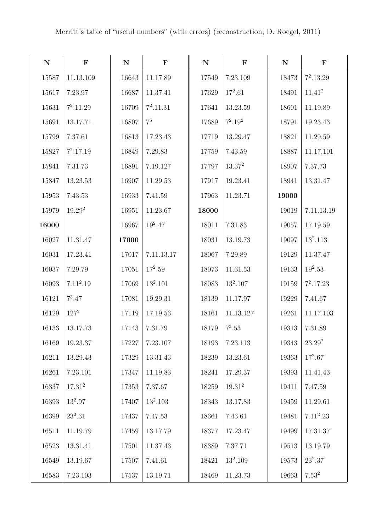| ${\bf N}$ | $\mathbf F$ | ${\bf N}$ | $\mathbf F$ | ${\bf N}$ | $\mathbf F$        | ${\bf N}$ | $\mathbf F$ |
|-----------|-------------|-----------|-------------|-----------|--------------------|-----------|-------------|
| 15587     | 11.13.109   | 16643     | 11.17.89    | 17549     | 7.23.109           | 18473     | $7^2.13.29$ |
| 15617     | 7.23.97     | 16687     | 11.37.41    | 17629     | $17^2.61$          | 18491     | $11.41^{2}$ |
| 15631     | $7^2.11.29$ | 16709     | $7^2.11.31$ | 17641     | 13.23.59           | 18601     | 11.19.89    |
| 15691     | 13.17.71    | 16807     | $7^5\,$     | 17689     | $7^2.19^2$         | 18791     | 19.23.43    |
| 15799     | 7.37.61     | 16813     | 17.23.43    | 17719     | 13.29.47           | 18821     | 11.29.59    |
| 15827     | $7^2.17.19$ | 16849     | 7.29.83     | 17759     | 7.43.59            | 18887     | 11.17.101   |
| 15841     | 7.31.73     | 16891     | 7.19.127    | 17797     | 13.37 <sup>2</sup> | 18907     | 7.37.73     |
| 15847     | 13.23.53    | 16907     | 11.29.53    | 17917     | 19.23.41           | 18941     | 13.31.47    |
| 15953     | 7.43.53     | 16933     | 7.41.59     | 17963     | 11.23.71           | 19000     |             |
| 15979     | $19.29^{2}$ | 16951     | 11.23.67    | 18000     |                    | 19019     | 7.11.13.19  |
| 16000     |             | 16967     | $19^2.47$   | 18011     | 7.31.83            | 19057     | 17.19.59    |
| 16027     | 11.31.47    | 17000     |             | 18031     | 13.19.73           | 19097     | $13^2.113$  |
| 16031     | 17.23.41    | 17017     | 7.11.13.17  | 18067     | 7.29.89            | 19129     | 11.37.47    |
| 16037     | 7.29.79     | 17051     | $17^2.59$   | 18073     | 11.31.53           | 19133     | $19^2.53$   |
| 16093     | $7.11^2.19$ | 17069     | $13^2.101$  | 18083     | $13^2.107$         | 19159     | $7^2.17.23$ |
| 16121     | $7^3.47$    | 17081     | 19.29.31    | 18139     | 11.17.97           | 19229     | 7.41.67     |
| 16129     | $127^2$     | 17119     | 17.19.53    | 18161     | 11.13.127          | 19261     | 11.17.103   |
| 16133     | 13.17.73    | 17143     | 7.31.79     | 18179     | $7^3.53$           | 19313     | 7.31.89     |
| 16169     | 19.23.37    | 17227     | 7.23.107    | 18193     | 7.23.113           | 19343     | $23.29^2$   |
| 16211     | 13.29.43    | 17329     | 13.31.43    | 18239     | 13.23.61           | 19363     | $17^2.67$   |
| 16261     | 7.23.101    | 17347     | 11.19.83    | 18241     | 17.29.37           | 19393     | 11.41.43    |
| 16337     | $17.31^{2}$ | 17353     | 7.37.67     | 18259     | $19.31^{2}$        | 19411     | 7.47.59     |
| 16393     | $13^2.97$   | 17407     | $13^2.103$  | 18343     | 13.17.83           | 19459     | 11.29.61    |
| 16399     | $23^2.31$   | 17437     | 7.47.53     | 18361     | 7.43.61            | 19481     | $7.11^2.23$ |
| 16511     | 11.19.79    | 17459     | 13.17.79    | 18377     | 17.23.47           | 19499     | 17.31.37    |
| 16523     | 13.31.41    | 17501     | 11.37.43    | 18389     | 7.37.71            | 19513     | 13.19.79    |
| 16549     | 13.19.67    | 17507     | 7.41.61     | 18421     | $13^2.109$         | 19573     | $23^2.37$   |
| 16583     | 7.23.103    | 17537     | 13.19.71    | 18469     | 11.23.73           | 19663     | $7.53^{2}$  |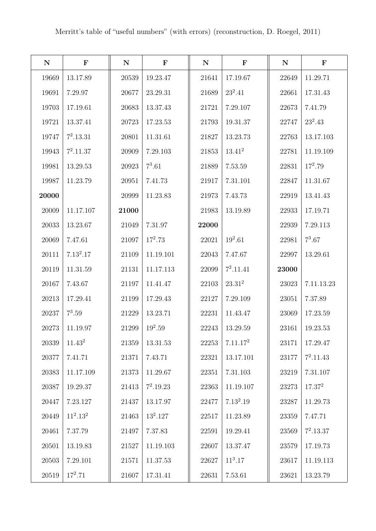| ${\bf N}$ | $\mathbf F$ | ${\bf N}$ | $\mathbf F$ | ${\bf N}$ | $\mathbf F$          | ${\bf N}$ | $\mathbf F$        |
|-----------|-------------|-----------|-------------|-----------|----------------------|-----------|--------------------|
| 19669     | 13.17.89    | 20539     | 19.23.47    | 21641     | 17.19.67             | 22649     | 11.29.71           |
| 19691     | 7.29.97     | 20677     | 23.29.31    | 21689     | $23^2.41$            | 22661     | 17.31.43           |
| 19703     | 17.19.61    | 20683     | 13.37.43    | 21721     | 7.29.107             | 22673     | 7.41.79            |
| 19721     | 13.37.41    | 20723     | 17.23.53    | 21793     | 19.31.37             | 22747     | $23^2.43$          |
| 19747     | $7^2.13.31$ | 20801     | 11.31.61    | 21827     | 13.23.73             | 22763     | 13.17.103          |
| 19943     | $7^2.11.37$ | 20909     | 7.29.103    | 21853     | $13.41^2$            | 22781     | 11.19.109          |
| 19981     | 13.29.53    | 20923     | $7^3.61$    | 21889     | 7.53.59              | 22831     | $17^2.79$          |
| 19987     | 11.23.79    | 20951     | 7.41.73     | 21917     | 7.31.101             | 22847     | 11.31.67           |
| 20000     |             | 20999     | 11.23.83    | 21973     | 7.43.73              | 22919     | 13.41.43           |
| 20009     | 11.17.107   | 21000     |             | 21983     | 13.19.89             | 22933     | 17.19.71           |
| 20033     | 13.23.67    | 21049     | 7.31.97     | 22000     |                      | 22939     | 7.29.113           |
| 20069     | 7.47.61     | 21097     | $17^2.73$   | 22021     | $19^2.61$            | 22981     | $7^3.67$           |
| 20111     | $7.13^2.17$ | 21109     | 11.19.101   | 22043     | 7.47.67              | 22997     | 13.29.61           |
| 20119     | 11.31.59    | 21131     | 11.17.113   | 22099     | $7^2.11.41$          | 23000     |                    |
| 20167     | 7.43.67     | 21197     | 11.41.47    | 22103     | 23.31 <sup>2</sup>   | 23023     | 7.11.13.23         |
| 20213     | 17.29.41    | 21199     | 17.29.43    | 22127     | 7.29.109             | 23051     | 7.37.89            |
| 20237     | $7^3.59$    | 21229     | 13.23.71    | 22231     | 11.43.47             | 23069     | 17.23.59           |
| 20273     | 11.19.97    | 21299     | $19^2.59$   | 22243     | 13.29.59             | 23161     | 19.23.53           |
| 20339     | $11.43^2$   | 21359     | 13.31.53    | 22253     | 7.11.17 <sup>2</sup> | 23171     | 17.29.47           |
| 20377     | 7.41.71     | 21371     | 7.43.71     | 22321     | 13.17.101            | 23177     | $7^2.11.43$        |
| 20383     | 11.17.109   | 21373     | 11.29.67    | 22351     | 7.31.103             | 23219     | 7.31.107           |
| 20387     | 19.29.37    | $21413\,$ | $7^2.19.23$ | 22363     | 11.19.107            | 23273     | 17.37 <sup>2</sup> |
| 20447     | 7.23.127    | 21437     | 13.17.97    | 22477     | $7.13^2.19$          | 23287     | 11.29.73           |
| 20449     | $11^2.13^2$ | 21463     | $13^2.127$  | 22517     | 11.23.89             | 23359     | 7.47.71            |
| 20461     | 7.37.79     | 21497     | 7.37.83     | 22591     | 19.29.41             | $23569\,$ | $7^2.13.37$        |
| 20501     | 13.19.83    | 21527     | 11.19.103   | 22607     | 13.37.47             | 23579     | 17.19.73           |
| 20503     | 7.29.101    | 21571     | 11.37.53    | 22627     | $11^3.17$            | 23617     | 11.19.113          |
| 20519     | $17^2.71$   | 21607     | 17.31.41    | 22631     | 7.53.61              | 23621     | 13.23.79           |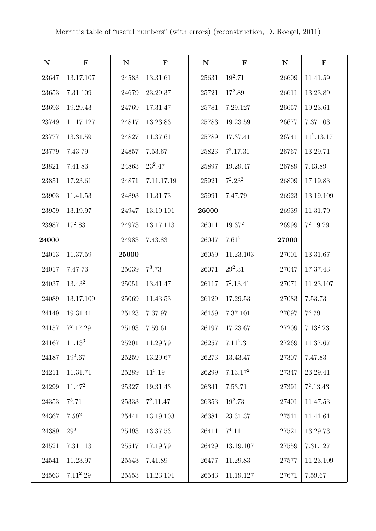| ${\bf N}$ | $\mathbf F$        | ${\bf N}$ | $\mathbf F$ | ${\bf N}$ | $\mathbf F$          | ${\bf N}$ | $\mathbf F$  |
|-----------|--------------------|-----------|-------------|-----------|----------------------|-----------|--------------|
| 23647     | 13.17.107          | 24583     | 13.31.61    | 25631     | $19^2.71$            | 26609     | 11.41.59     |
| 23653     | 7.31.109           | 24679     | 23.29.37    | 25721     | $17^2.89$            | 26611     | 13.23.89     |
| 23693     | 19.29.43           | 24769     | 17.31.47    | 25781     | 7.29.127             | 26657     | 19.23.61     |
| 23749     | 11.17.127          | 24817     | 13.23.83    | 25783     | 19.23.59             | 26677     | 7.37.103     |
| 23777     | 13.31.59           | 24827     | 11.37.61    | 25789     | 17.37.41             | 26741     | $11^2.13.17$ |
| 23779     | 7.43.79            | 24857     | 7.53.67     | 25823     | $7^2.17.31$          | 26767     | 13.29.71     |
| 23821     | 7.41.83            | 24863     | $23^2.47$   | 25897     | 19.29.47             | 26789     | 7.43.89      |
| 23851     | 17.23.61           | 24871     | 7.11.17.19  | 25921     | $7^2.23^2$           | 26809     | 17.19.83     |
| 23903     | 11.41.53           | 24893     | 11.31.73    | 25991     | 7.47.79              | 26923     | 13.19.109    |
| 23959     | 13.19.97           | 24947     | 13.19.101   | 26000     |                      | 26939     | 11.31.79     |
| 23987     | $17^2.83$          | 24973     | 13.17.113   | 26011     | 19.37 <sup>2</sup>   | 26999     | $7^2.19.29$  |
| 24000     |                    | 24983     | 7.43.83     | 26047     | $7.61^2$             | 27000     |              |
| 24013     | 11.37.59           | 25000     |             | 26059     | 11.23.103            | 27001     | 13.31.67     |
| 24017     | 7.47.73            | 25039     | $7^3.73$    | 26071     | $29^2.31$            | 27047     | 17.37.43     |
| 24037     | $13.43^{2}$        | 25051     | 13.41.47    | 26117     | $7^2.13.41$          | 27071     | 11.23.107    |
| 24089     | 13.17.109          | 25069     | 11.43.53    | 26129     | 17.29.53             | 27083     | 7.53.73      |
| 24149     | 19.31.41           | 25123     | 7.37.97     | 26159     | 7.37.101             | 27097     | $7^3.79$     |
| 24157     | $7^2.17.29$        | 25193     | 7.59.61     | 26197     | 17.23.67             | 27209     | $7.13^2.23$  |
| 24167     | 11.13 <sup>3</sup> | 25201     | 11.29.79    | 26257     | $7.11^2.31$          | 27269     | 11.37.67     |
| 24187     | $19^2.67$          | 25259     | 13.29.67    | 26273     | 13.43.47             | 27307     | 7.47.83      |
| 24211     | 11.31.71           | 25289     | $11^3.19$   | 26299     | 7.13.17 <sup>2</sup> | 27347     | 23.29.41     |
| 24299     | $11.47^{2}$        | 25327     | 19.31.43    | 26341     | 7.53.71              | 27391     | $7^2.13.43$  |
| 24353     | $7^3.71$           | 25333     | $7^2.11.47$ | 26353     | $19^2.73$            | 27401     | 11.47.53     |
| 24367     | $7.59^{2}$         | 25441     | 13.19.103   | 26381     | 23.31.37             | 27511     | 11.41.61     |
| 24389     | $29^{3}$           | 25493     | 13.37.53    | 26411     | $7^4.11$             | 27521     | 13.29.73     |
| 24521     | 7.31.113           | 25517     | 17.19.79    | 26429     | 13.19.107            | $27559\,$ | 7.31.127     |
| 24541     | 11.23.97           | 25543     | 7.41.89     | 26477     | 11.29.83             | 27577     | 11.23.109    |
| 24563     | $7.11^2.29$        | 25553     | 11.23.101   | 26543     | 11.19.127            | 27671     | 7.59.67      |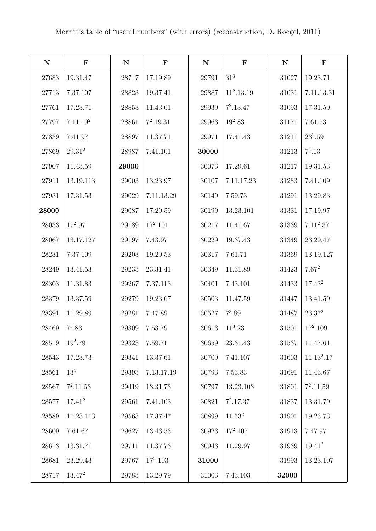| ${\bf N}$ | $\mathbf F$          | ${\bf N}$ | $\mathbf F$ | ${\bf N}$ | $\mathbf F$     | ${\bf N}$ | $\mathbf F$  |
|-----------|----------------------|-----------|-------------|-----------|-----------------|-----------|--------------|
| 27683     | 19.31.47             | 28747     | 17.19.89    | 29791     | 31 <sup>3</sup> | 31027     | 19.23.71     |
| 27713     | 7.37.107             | 28823     | 19.37.41    | 29887     | $11^2.13.19$    | 31031     | 7.11.13.31   |
| 27761     | 17.23.71             | 28853     | 11.43.61    | 29939     | $7^2.13.47$     | 31093     | 17.31.59     |
| 27797     | 7.11.19 <sup>2</sup> | 28861     | $7^2.19.31$ | 29963     | $19^2.83$       | 31171     | 7.61.73      |
| 27839     | 7.41.97              | 28897     | 11.37.71    | 29971     | 17.41.43        | 31211     | $23^2.59$    |
| 27869     | $29.31^{2}$          | 28987     | 7.41.101    | 30000     |                 | 31213     | $7^4.13$     |
| 27907     | 11.43.59             | 29000     |             | 30073     | 17.29.61        | 31217     | 19.31.53     |
| 27911     | 13.19.113            | 29003     | 13.23.97    | 30107     | 7.11.17.23      | 31283     | 7.41.109     |
| 27931     | 17.31.53             | 29029     | 7.11.13.29  | 30149     | 7.59.73         | 31291     | 13.29.83     |
| 28000     |                      | 29087     | 17.29.59    | 30199     | 13.23.101       | 31331     | 17.19.97     |
| 28033     | $17^2.97$            | 29189     | $17^2.101$  | 30217     | 11.41.67        | 31339     | $7.11^2.37$  |
| 28067     | 13.17.127            | 29197     | 7.43.97     | 30229     | 19.37.43        | 31349     | 23.29.47     |
| 28231     | 7.37.109             | 29203     | 19.29.53    | 30317     | 7.61.71         | 31369     | 13.19.127    |
| 28249     | 13.41.53             | 29233     | 23.31.41    | 30349     | 11.31.89        | 31423     | $7.67^2$     |
| 28303     | 11.31.83             | 29267     | 7.37.113    | 30401     | 7.43.101        | $31433\,$ | $17.43^2$    |
| 28379     | 13.37.59             | 29279     | 19.23.67    | 30503     | 11.47.59        | 31447     | 13.41.59     |
| 28391     | 11.29.89             | 29281     | 7.47.89     | 30527     | $7^3.89$        | 31487     | $23.37^2$    |
| 28469     | $7^3.83$             | 29309     | 7.53.79     | 30613     | $11^3.23$       | 31501     | $17^2.109$   |
| 28519     | $19^2.79$            | 29323     | 7.59.71     | 30659     | 23.31.43        | 31537     | 11.47.61     |
| 28543     | 17.23.73             | 29341     | 13.37.61    | 30709     | 7.41.107        | 31603     | $11.13^2.17$ |
| 28561     | 13 <sup>4</sup>      | 29393     | 7.13.17.19  | 30793     | 7.53.83         | 31691     | 11.43.67     |
| 28567     | $7^2.11.53$          | 29419     | 13.31.73    | 30797     | 13.23.103       | 31801     | $7^2.11.59$  |
| 28577     | $17.41^{2}$          | 29561     | 7.41.103    | 30821     | $7^2.17.37$     | 31837     | 13.31.79     |
| 28589     | 11.23.113            | 29563     | 17.37.47    | 30899     | $11.53^2$       | 31901     | 19.23.73     |
| 28609     | 7.61.67              | 29627     | 13.43.53    | 30923     | $17^2.107$      | 31913     | 7.47.97      |
| 28613     | 13.31.71             | 29711     | 11.37.73    | 30943     | 11.29.97        | 31939     | $19.41^{2}$  |
| 28681     | 23.29.43             | 29767     | $17^2.103$  | 31000     |                 | 31993     | 13.23.107    |
| 28717     | $13.47^2$            | 29783     | 13.29.79    | 31003     | 7.43.103        | 32000     |              |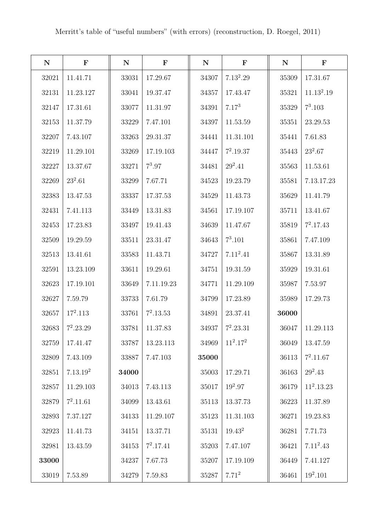| ${\bf N}$ | $\mathbf F$          | ${\bf N}$ | $\mathbf F$ | ${\bf N}$ | $\mathbf F$ | ${\bf N}$ | $\mathbf F$            |
|-----------|----------------------|-----------|-------------|-----------|-------------|-----------|------------------------|
| 32021     | 11.41.71             | 33031     | 17.29.67    | 34307     | $7.13^2.29$ | 35309     | 17.31.67               |
| 32131     | 11.23.127            | 33041     | 19.37.47    | 34357     | 17.43.47    | 35321     | 11.13 <sup>2</sup> .19 |
| 32147     | 17.31.61             | 33077     | 11.31.97    | 34391     | $7.17^{3}$  | 35329     | $7^3.103$              |
| 32153     | 11.37.79             | 33229     | 7.47.101    | 34397     | 11.53.59    | 35351     | 23.29.53               |
| 32207     | 7.43.107             | 33263     | 29.31.37    | 34441     | 11.31.101   | 35441     | 7.61.83                |
| 32219     | 11.29.101            | 33269     | 17.19.103   | 34447     | $7^2.19.37$ | 35443     | $23^2.67$              |
| 32227     | 13.37.67             | 33271     | $7^3.97$    | 34481     | $29^2.41$   | 35563     | 11.53.61               |
| 32269     | $23^2.61$            | 33299     | 7.67.71     | 34523     | 19.23.79    | 35581     | 7.13.17.23             |
| 32383     | 13.47.53             | 33337     | 17.37.53    | 34529     | 11.43.73    | 35629     | 11.41.79               |
| 32431     | 7.41.113             | 33449     | 13.31.83    | 34561     | 17.19.107   | 35711     | 13.41.67               |
| 32453     | 17.23.83             | 33497     | 19.41.43    | 34639     | 11.47.67    | 35819     | $7^2.17.43$            |
| 32509     | 19.29.59             | 33511     | 23.31.47    | 34643     | $7^3.101$   | 35861     | 7.47.109               |
| 32513     | 13.41.61             | 33583     | 11.43.71    | 34727     | $7.11^2.41$ | 35867     | 13.31.89               |
| 32591     | 13.23.109            | 33611     | 19.29.61    | 34751     | 19.31.59    | 35929     | 19.31.61               |
| 32623     | 17.19.101            | 33649     | 7.11.19.23  | 34771     | 11.29.109   | 35987     | 7.53.97                |
| 32627     | 7.59.79              | 33733     | 7.61.79     | 34799     | 17.23.89    | 35989     | 17.29.73               |
| 32657     | $17^2.113$           | 33761     | $7^2.13.53$ | 34891     | 23.37.41    | 36000     |                        |
| 32683     | $7^2.23.29$          | 33781     | 11.37.83    | 34937     | $7^2.23.31$ | 36047     | 11.29.113              |
| 32759     | 17.41.47             | 33787     | 13.23.113   | 34969     | $11^2.17^2$ | 36049     | 13.47.59               |
| 32809     | 7.43.109             | 33887     | 7.47.103    | 35000     |             | 36113     | $7^2.11.67$            |
| 32851     | 7.13.19 <sup>2</sup> | 34000     |             | 35003     | 17.29.71    | 36163     | $29^2.43$              |
| 32857     | 11.29.103            | 34013     | 7.43.113    | 35017     | $19^2.97$   | 36179     | $11^2.13.23$           |
| 32879     | $7^2.11.61$          | 34099     | 13.43.61    | 35113     | 13.37.73    | 36223     | 11.37.89               |
| 32893     | 7.37.127             | 34133     | 11.29.107   | 35123     | 11.31.103   | 36271     | 19.23.83               |
| 32923     | 11.41.73             | 34151     | 13.37.71    | 35131     | $19.43^{2}$ | 36281     | 7.71.73                |
| 32981     | 13.43.59             | 34153     | $7^2.17.41$ | 35203     | 7.47.107    | 36421     | $7.11^2.43$            |
| 33000     |                      | 34237     | 7.67.73     | 35207     | 17.19.109   | 36449     | 7.41.127               |
| 33019     | 7.53.89              | 34279     | 7.59.83     | 35287     | $7.71^2$    | 36461     | $19^2.101$             |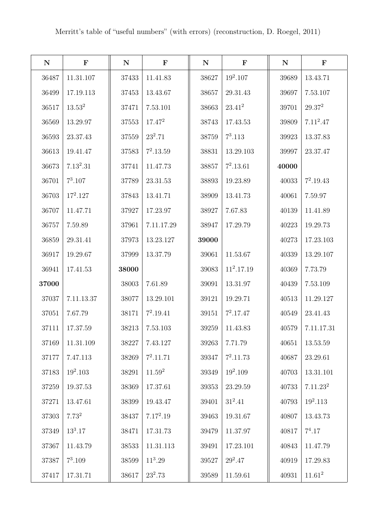| ${\bf N}$ | $\mathbf F$ | $\mathbf N$ | $\mathbf F$        | ${\bf N}$ | $\mathbf F$  | ${\bf N}$ | $\mathbf F$          |
|-----------|-------------|-------------|--------------------|-----------|--------------|-----------|----------------------|
| 36487     | 11.31.107   | 37433       | 11.41.83           | 38627     | $19^2.107$   | 39689     | 13.43.71             |
| 36499     | 17.19.113   | 37453       | 13.43.67           | 38657     | 29.31.43     | 39697     | 7.53.107             |
| 36517     | $13.53^2$   | 37471       | 7.53.101           | 38663     | $23.41^{2}$  | 39701     | $29.37^{2}$          |
| 36569     | 13.29.97    | 37553       | $17.47^{2}$        | 38743     | 17.43.53     | 39809     | $7.11^2.47$          |
| 36593     | 23.37.43    | 37559       | $23^2.71$          | 38759     | $7^3.113$    | 39923     | 13.37.83             |
| 36613     | 19.41.47    | 37583       | $7^2.13.59$        | 38831     | 13.29.103    | 39997     | 23.37.47             |
| 36673     | $7.13^2.31$ | 37741       | 11.47.73           | 38857     | $7^2.13.61$  | 40000     |                      |
| 36701     | $7^3.107$   | 37789       | 23.31.53           | 38893     | 19.23.89     | 40033     | $7^2.19.43$          |
| 36703     | $17^2.127$  | 37843       | 13.41.71           | 38909     | 13.41.73     | 40061     | 7.59.97              |
| 36707     | 11.47.71    | 37927       | 17.23.97           | 38927     | 7.67.83      | 40139     | 11.41.89             |
| 36757     | 7.59.89     | 37961       | 7.11.17.29         | 38947     | 17.29.79     | 40223     | 19.29.73             |
| 36859     | 29.31.41    | 37973       | 13.23.127          | 39000     |              | 40273     | 17.23.103            |
| 36917     | 19.29.67    | 37999       | 13.37.79           | 39061     | 11.53.67     | 40339     | 13.29.107            |
| 36941     | 17.41.53    | 38000       |                    | 39083     | $11^2.17.19$ | 40369     | 7.73.79              |
| 37000     |             | 38003       | 7.61.89            | 39091     | 13.31.97     | 40439     | 7.53.109             |
| 37037     | 7.11.13.37  | 38077       | 13.29.101          | 39121     | 19.29.71     | 40513     | 11.29.127            |
| 37051     | 7.67.79     | 38171       | $7^2.19.41$        | 39151     | $7^2.17.47$  | 40549     | 23.41.43             |
| 37111     | 17.37.59    | 38213       | 7.53.103           | 39259     | 11.43.83     | 40579     | 7.11.17.31           |
| 37169     | 11.31.109   | 38227       | 7.43.127           | 39263     | 7.71.79      | 40651     | 13.53.59             |
| 37177     | 7.47.113    | 38269       | $7^2.11.71$        | 39347     | $7^2.11.73$  | 40687     | 23.29.61             |
| 37183     | $19^2.103$  | 38291       | 11.59 <sup>2</sup> | 39349     | $19^2.109$   | 40703     | 13.31.101            |
| 37259     | 19.37.53    | 38369       | 17.37.61           | 39353     | 23.29.59     | $40733\,$ | 7.11.23 <sup>2</sup> |
| 37271     | 13.47.61    | 38399       | 19.43.47           | 39401     | $31^2.41$    | 40793     | $19^2.113$           |
| 37303     | $7.73^{2}$  | 38437       | $7.17^2.19$        | 39463     | 19.31.67     | 40807     | 13.43.73             |
| 37349     | $13^3.17$   | 38471       | 17.31.73           | 39479     | 11.37.97     | 40817     | $7^4.17$             |
| 37367     | 11.43.79    | 38533       | 11.31.113          | 39491     | 17.23.101    | 40843     | 11.47.79             |
| 37387     | $7^3.109$   | 38599       | $11^3.29$          | 39527     | $29^2.47$    | 40919     | 17.29.83             |
| 37417     | 17.31.71    | 38617       | $23^2.73$          | 39589     | 11.59.61     | 40931     | $11.61^2$            |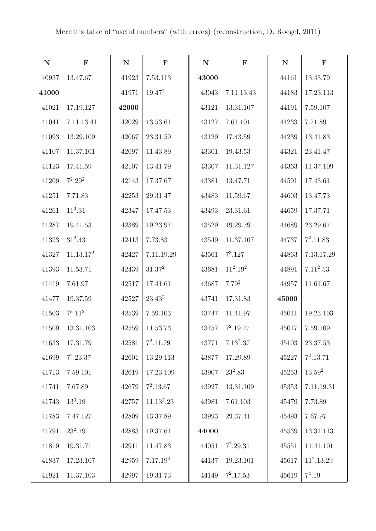| ${\bf N}$ | $\mathbf F$           | ${\bf N}$ | $\mathbf F$          | ${\bf N}$ | $\mathbf F$ | ${\bf N}$ | $\mathbf F$  |
|-----------|-----------------------|-----------|----------------------|-----------|-------------|-----------|--------------|
| 40937     | 13.47.67              | 41923     | 7.53.113             | 43000     |             | 44161     | 13.43.79     |
| 41000     |                       | 41971     | $19.47^2$            | 43043     | 7.11.13.43  | 44183     | 17.23.113    |
| 41021     | 17.19.127             | 42000     |                      | 43121     | 13.31.107   | 44191     | 7.59.107     |
| 41041     | 7.11.13.41            | 42029     | 13.53.61             | 43127     | 7.61.101    | 44233     | 7.71.89      |
| 41093     | 13.29.109             | 42067     | 23.31.59             | 43129     | 17.43.59    | 44239     | 13.41.83     |
| 41107     | 11.37.101             | 42097     | 11.43.89             | 43301     | 19.43.53    | 44321     | 23.41.47     |
| 41123     | 17.41.59              | 42107     | 13.41.79             | 43307     | 11.31.127   | 44363     | 11.37.109    |
| 41209     | $7^2.29^2$            | 42143     | 17.37.67             | 43381     | 13.47.71    | 44591     | 17.43.61     |
| 41251     | 7.71.83               | 42253     | 29.31.47             | 43483     | 11.59.67    | 44603     | 13.47.73     |
| 41261     | $11^3.31$             | 42347     | 17.47.53             | 43493     | 23.31.61    | 44659     | 17.37.71     |
| 41287     | 19.41.53              | 42389     | 19.23.97             | 43529     | 19.29.79    | 44689     | 23.29.67     |
| 41323     | $31^2.43$             | 42413     | 7.73.83              | 43549     | 11.37.107   | 44737     | $7^2.11.83$  |
| 41327     | 11.13.17 <sup>2</sup> | 42427     | 7.11.19.29           | 43561     | $7^3.127$   | 44863     | 7.13.17.29   |
| 41393     | 11.53.71              | 42439     | $31.37^2$            | 43681     | $11^2.19^2$ | 44891     | $7.11^2.53$  |
| 41419     | 7.61.97               | 42517     | 17.41.61             | 43687     | $7.79^{2}$  | 44957     | 11.61.67     |
| 41477     | 19.37.59              | 42527     | $23.43^2$            | 43741     | 17.31.83    | 45000     |              |
| 41503     | $7^3.11^2$            | 42539     | 7.59.103             | 43747     | 11.41.97    | 45011     | 19.23.103    |
| 41509     | 13.31.103             | 42559     | 11.53.73             | 43757     | $7^2.19.47$ | 45017     | 7.59.109     |
| 41633     | 17.31.79              | 42581     | $7^2.11.79$          | 43771     | $7.13^2.37$ | 45103     | 23.37.53     |
| 41699     | $7^2.23.37$           | 42601     | 13.29.113            | 43877     | 17.29.89    | 45227     | $7^2.13.71$  |
| 41713     | 7.59.101              | 42619     | 17.23.109            | 43907     | $23^2.83$   | 45253     | $13.59^2$    |
| 41741     | 7.67.89               | 42679     | $7^2.13.67$          | 43927     | 13.31.109   | 45353     | 7.11.19.31   |
| 41743     | $13^3.19$             | 42757     | $11.13^2.23$         | 43981     | 7.61.103    | 45479     | 7.73.89      |
| 41783     | 7.47.127              | 42809     | 13.37.89             | 43993     | 29.37.41    | 45493     | 7.67.97      |
| 41791     | $23^2.79$             | 42883     | 19.37.61             | 44000     |             | 45539     | 13.31.113    |
| 41819     | 19.31.71              | 42911     | 11.47.83             | 44051     | $7^2.29.31$ | 45551     | 11.41.101    |
| 41837     | 17.23.107             | 42959     | 7.17.19 <sup>2</sup> | 44137     | 19.23.101   | 45617     | $11^2.13.29$ |
| 41921     | 11.37.103             | 42997     | 19.31.73             | 44149     | $7^2.17.53$ | 45619     | $7^4.19$     |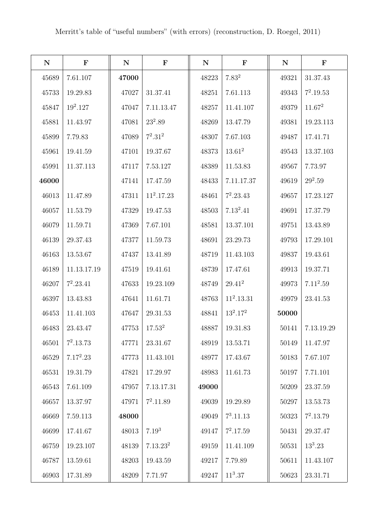| ${\bf N}$ | $\mathbf F$ | ${\bf N}$ | $\mathbf F$          | ${\bf N}$ | $\mathbf F$       | ${\bf N}$ | $\mathbf F$ |
|-----------|-------------|-----------|----------------------|-----------|-------------------|-----------|-------------|
| 45689     | 7.61.107    | 47000     |                      | 48223     | 7.83 <sup>2</sup> | 49321     | 31.37.43    |
| 45733     | 19.29.83    | 47027     | 31.37.41             | 48251     | 7.61.113          | 49343     | $7^2.19.53$ |
| 45847     | $19^2.127$  | 47047     | 7.11.13.47           | 48257     | 11.41.107         | 49379     | $11.67^2$   |
| 45881     | 11.43.97    | 47081     | $23^2.89$            | 48269     | 13.47.79          | 49381     | 19.23.113   |
| 45899     | 7.79.83     | 47089     | $7^2.31^2$           | 48307     | 7.67.103          | 49487     | 17.41.71    |
| 45961     | 19.41.59    | 47101     | 19.37.67             | 48373     | $13.61^2$         | 49543     | 13.37.103   |
| 45991     | 11.37.113   | 47117     | 7.53.127             | 48389     | 11.53.83          | 49567     | 7.73.97     |
| 46000     |             | 47141     | 17.47.59             | 48433     | 7.11.17.37        | 49619     | $29^2.59$   |
| 46013     | 11.47.89    | 47311     | $11^2.17.23$         | 48461     | $7^2.23.43$       | 49657     | 17.23.127   |
| 46057     | 11.53.79    | 47329     | 19.47.53             | 48503     | $7.13^2.41$       | 49691     | 17.37.79    |
| 46079     | 11.59.71    | 47369     | 7.67.101             | 48581     | 13.37.101         | 49751     | 13.43.89    |
| 46139     | 29.37.43    | 47377     | 11.59.73             | 48691     | 23.29.73          | 49793     | 17.29.101   |
| 46163     | 13.53.67    | 47437     | 13.41.89             | 48719     | 11.43.103         | 49837     | 19.43.61    |
| 46189     | 11.13.17.19 | 47519     | 19.41.61             | 48739     | 17.47.61          | 49913     | 19.37.71    |
| 46207     | $7^2.23.41$ | 47633     | 19.23.109            | 48749     | $29.41^2$         | 49973     | $7.11^2.59$ |
| 46397     | 13.43.83    | 47641     | 11.61.71             | 48763     | $11^2.13.31$      | 49979     | 23.41.53    |
| 46453     | 11.41.103   | 47647     | 29.31.53             | 48841     | $13^2.17^2$       | 50000     |             |
| 46483     | 23.43.47    | 47753     | 17.53 <sup>2</sup>   | 48887     | 19.31.83          | 50141     | 7.13.19.29  |
| 46501     | $7^2.13.73$ | 47771     | 23.31.67             | 48919     | 13.53.71          | 50149     | 11.47.97    |
| 46529     | $7.17^2.23$ | 47773     | 11.43.101            | 48977     | 17.43.67          | 50183     | 7.67.107    |
| 46531     | 19.31.79    | 47821     | 17.29.97             | 48983     | 11.61.73          | 50197     | 7.71.101    |
| 46543     | 7.61.109    | 47957     | 7.13.17.31           | 49000     |                   | 50209     | 23.37.59    |
| 46657     | 13.37.97    | 47971     | $7^2.11.89$          | 49039     | 19.29.89          | 50297     | 13.53.73    |
| 46669     | 7.59.113    | 48000     |                      | 49049     | $7^3.11.13$       | $50323\,$ | $7^2.13.79$ |
| 46699     | 17.41.67    | 48013     | $7.19^{3}$           | 49147     | $7^2.17.59$       | 50431     | 29.37.47    |
| 46759     | 19.23.107   | 48139     | 7.13.23 <sup>2</sup> | 49159     | 11.41.109         | $50531\,$ | $13^3.23$   |
| 46787     | 13.59.61    | 48203     | 19.43.59             | 49217     | 7.79.89           | 50611     | 11.43.107   |
| 46903     | 17.31.89    | 48209     | 7.71.97              | 49247     | $11^3.37$         | 50623     | 23.31.71    |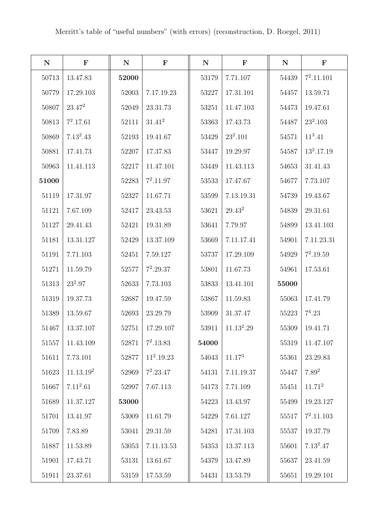| ${\bf N}$ | $\mathbf F$           | ${\bf N}$ | $\mathbf F$  | ${\bf N}$ | $\mathbf F$  | ${\bf N}$ | $\mathbf F$  |
|-----------|-----------------------|-----------|--------------|-----------|--------------|-----------|--------------|
| 50713     | 13.47.83              | 52000     |              | 53179     | 7.71.107     | 54439     | $7^2.11.101$ |
| 50779     | 17.29.103             | 52003     | 7.17.19.23   | 53227     | 17.31.101    | 54457     | 13.59.71     |
| 50807     | $23.47^2$             | 52049     | 23.31.73     | 53251     | 11.47.103    | 54473     | 19.47.61     |
| 50813     | $7^2.17.61$           | 52111     | $31.41^2$    | 53363     | 17.43.73     | 54487     | $23^2.103$   |
| 50869     | $7.13^2.43$           | 52193     | 19.41.67     | 53429     | $23^2.101$   | 54571     | $11^3.41$    |
| 50881     | 17.41.73              | 52207     | 17.37.83     | 53447     | 19.29.97     | 54587     | $13^2.17.19$ |
| 50963     | 11.41.113             | 52217     | 11.47.101    | 53449     | 11.43.113    | 54653     | 31.41.43     |
| 51000     |                       | 52283     | $7^2.11.97$  | 53533     | 17.47.67     | 54677     | 7.73.107     |
| 51119     | 17.31.97              | 52327     | 11.67.71     | 53599     | 7.13.19.31   | 54739     | 19.43.67     |
| 51121     | 7.67.109              | 52417     | 23.43.53     | 53621     | $29.43^2$    | 54839     | 29.31.61     |
| 51127     | 29.41.43              | 52421     | 19.31.89     | 53641     | 7.79.97      | 54899     | 13.41.103    |
| 51181     | 13.31.127             | 52429     | 13.37.109    | 53669     | 7.11.17.41   | 54901     | 7.11.23.31   |
| 51191     | 7.71.103              | 52451     | 7.59.127     | 53737     | 17.29.109    | 54929     | $7^2.19.59$  |
| 51271     | 11.59.79              | 52577     | $7^2.29.37$  | 53801     | 11.67.73     | 54961     | 17.53.61     |
| 51313     | $23^2.97$             | 52633     | 7.73.103     | 53833     | 13.41.101    | 55000     |              |
| 51319     | 19.37.73              | 52687     | 19.47.59     | 53867     | 11.59.83     | 55063     | 17.41.79     |
| 51389     | 13.59.67              | 52693     | 23.29.79     | 53909     | 31.37.47     | 55223     | $7^4.23$     |
| 51467     | 13.37.107             | $52751\,$ | 17.29.107    | 53911     | $11.13^2.29$ | 55309     | 19.41.71     |
| 51557     | 11.43.109             | 52871     | $7^2.13.83$  | 54000     |              | 55319     | 11.47.107    |
| 51611     | 7.73.101              | 52877     | $11^2.19.23$ | 54043     | $11.17^{3}$  | 55361     | 23.29.83     |
| 51623     | 11.13.19 <sup>2</sup> | 52969     | $7^2.23.47$  | 54131     | 7.11.19.37   | 55447     | $7.89^{2}$   |
| 51667     | $7.11^2.61$           | 52997     | 7.67.113     | 54173     | 7.71.109     | $55451\,$ | $11.71^2$    |
| 51689     | 11.37.127             | 53000     |              | 54223     | 13.43.97     | 55499     | 19.23.127    |
| 51701     | 13.41.97              | 53009     | 11.61.79     | 54229     | 7.61.127     | $55517\,$ | $7^2.11.103$ |
| 51709     | 7.83.89               | 53041     | 29.31.59     | 54281     | 17.31.103    | 55537     | 19.37.79     |
| 51887     | 11.53.89              | 53053     | 7.11.13.53   | 54353     | 13.37.113    | $55601\,$ | $7.13^2.47$  |
| 51901     | 17.43.71              | 53131     | 13.61.67     | 54379     | 13.47.89     | 55637     | 23.41.59     |
| 51911     | 23.37.61              | 53159     | 17.53.59     | 54431     | 13.53.79     | 55651     | 19.29.101    |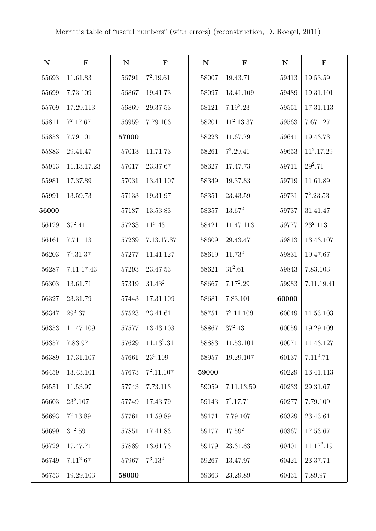| ${\bf N}$ | $\mathbf F$ | ${\bf N}$ | $\mathbf F$            | ${\bf N}$ | $\mathbf F$        | ${\bf N}$ | $\mathbf F$  |
|-----------|-------------|-----------|------------------------|-----------|--------------------|-----------|--------------|
| 55693     | 11.61.83    | 56791     | $7^2.19.61$            | 58007     | 19.43.71           | 59413     | 19.53.59     |
| 55699     | 7.73.109    | 56867     | 19.41.73               | 58097     | 13.41.109          | 59489     | 19.31.101    |
| 55709     | 17.29.113   | 56869     | 29.37.53               | 58121     | $7.19^2.23$        | 59551     | 17.31.113    |
| 55811     | $7^2.17.67$ | 56959     | 7.79.103               | 58201     | $11^2.13.37$       | 59563     | 7.67.127     |
| 55853     | 7.79.101    | 57000     |                        | 58223     | 11.67.79           | 59641     | 19.43.73     |
| 55883     | 29.41.47    | 57013     | 11.71.73               | 58261     | $7^2.29.41$        | 59653     | $11^2.17.29$ |
| 55913     | 11.13.17.23 | 57017     | 23.37.67               | 58327     | 17.47.73           | 59711     | $29^2.71$    |
| 55981     | 17.37.89    | 57031     | 13.41.107              | 58349     | 19.37.83           | 59719     | 11.61.89     |
| 55991     | 13.59.73    | 57133     | 19.31.97               | 58351     | 23.43.59           | 59731     | $7^2.23.53$  |
| 56000     |             | 57187     | 13.53.83               | 58357     | $13.67^2$          | 59737     | 31.41.47     |
| 56129     | $37^2.41$   | 57233     | $11^3.43$              | 58421     | 11.47.113          | 59777     | $23^2.113$   |
| 56161     | 7.71.113    | 57239     | 7.13.17.37             | 58609     | 29.43.47           | 59813     | 13.43.107    |
| 56203     | $7^2.31.37$ | 57277     | 11.41.127              | 58619     | 11.73 <sup>2</sup> | 59831     | 19.47.67     |
| 56287     | 7.11.17.43  | 57293     | 23.47.53               | 58621     | $31^2.61$          | 59843     | 7.83.103     |
| 56303     | 13.61.71    | 57319     | $31.43^2$              | 58667     | $7.17^2.29$        | 59983     | 7.11.19.41   |
| 56327     | 23.31.79    | 57443     | 17.31.109              | 58681     | 7.83.101           | 60000     |              |
| 56347     | $29^2.67$   | 57523     | 23.41.61               | 58751     | $7^2.11.109$       | 60049     | 11.53.103    |
| 56353     | 11.47.109   | 57577     | 13.43.103              | 58867     | $37^2.43$          | 60059     | 19.29.109    |
| 56357     | 7.83.97     | 57629     | 11.13 <sup>2</sup> .31 | 58883     | 11.53.101          | 60071     | 11.43.127    |
| 56389     | 17.31.107   | 57661     | $23^2.109$             | 58957     | 19.29.107          | 60137     | $7.11^2.71$  |
| 56459     | 13.43.101   | 57673     | $7^2.11.107$           | 59000     |                    | 60229     | 13.41.113    |
| 56551     | 11.53.97    | 57743     | 7.73.113               | $59059\,$ | 7.11.13.59         | 60233     | 29.31.67     |
| 56603     | $23^2.107$  | 57749     | 17.43.79               | 59143     | $7^2.17.71$        | 60277     | 7.79.109     |
| 56693     | $7^2.13.89$ | 57761     | 11.59.89               | 59171     | 7.79.107           | 60329     | 23.43.61     |
| 56699     | $31^2.59$   | 57851     | 17.41.83               | 59177     | $17.59^{2}$        | 60367     | 17.53.67     |
| 56729     | 17.47.71    | 57889     | 13.61.73               | 59179     | 23.31.83           | 60401     | $11.17^2.19$ |
| 56749     | $7.11^2.67$ | 57967     | $7^3.13^2$             | 59267     | 13.47.97           | 60421     | 23.37.71     |
| 56753     | 19.29.103   | 58000     |                        | 59363     | 23.29.89           | 60431     | 7.89.97      |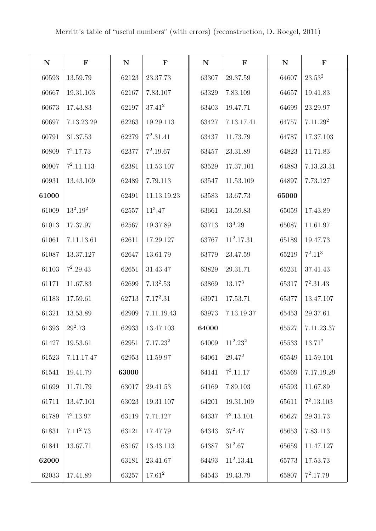| ${\bf N}$ | $\mathbf F$  | $\mathbf N$ | $\mathbf F$          | ${\bf N}$ | $\mathbf F$  | ${\bf N}$   | $\mathbf F$          |
|-----------|--------------|-------------|----------------------|-----------|--------------|-------------|----------------------|
| 60593     | 13.59.79     | 62123       | 23.37.73             | 63307     | 29.37.59     | 64607       | $23.53^{2}$          |
| 60667     | 19.31.103    | 62167       | 7.83.107             | 63329     | 7.83.109     | 64657       | 19.41.83             |
| 60673     | 17.43.83     | 62197       | $37.41^{2}$          | 63403     | 19.47.71     | 64699       | 23.29.97             |
| 60697     | 7.13.23.29   | 62263       | 19.29.113            | 63427     | 7.13.17.41   | 64757       | 7.11.29 <sup>2</sup> |
| 60791     | 31.37.53     | 62279       | $7^2.31.41$          | 63437     | 11.73.79     | 64787       | 17.37.103            |
| 60809     | $7^2.17.73$  | 62377       | $7^2.19.67$          | 63457     | 23.31.89     | 64823       | 11.71.83             |
| 60907     | $7^2.11.113$ | 62381       | 11.53.107            | 63529     | 17.37.101    | 64883       | 7.13.23.31           |
| 60931     | 13.43.109    | 62489       | 7.79.113             | 63547     | 11.53.109    | 64897       | 7.73.127             |
| 61000     |              | 62491       | 11.13.19.23          | 63583     | 13.67.73     | 65000       |                      |
| 61009     | $13^2.19^2$  | 62557       | $11^3.47$            | 63661     | 13.59.83     | 65059       | 17.43.89             |
| 61013     | 17.37.97     | 62567       | 19.37.89             | 63713     | $13^3.29$    | 65087       | 11.61.97             |
| 61061     | 7.11.13.61   | 62611       | 17.29.127            | 63767     | $11^2.17.31$ | 65189       | 19.47.73             |
| 61087     | 13.37.127    | 62647       | 13.61.79             | 63779     | 23.47.59     | 65219       | $7^2.11^3$           |
| 61103     | $7^2.29.43$  | 62651       | 31.43.47             | 63829     | 29.31.71     | 65231       | 37.41.43             |
| 61171     | 11.67.83     | 62699       | $7.13^2.53$          | 63869     | $13.17^{3}$  | 65317       | $7^2.31.43$          |
| 61183     | 17.59.61     | 62713       | $7.17^2.31$          | 63971     | 17.53.71     | 65377       | 13.47.107            |
| 61321     | 13.53.89     | 62909       | 7.11.19.43           | 63973     | 7.13.19.37   | 65453       | 29.37.61             |
| 61393     | $29^2.73$    | 62933       | 13.47.103            | 64000     |              | 65527       | 7.11.23.37           |
| 61427     | 19.53.61     | 62951       | 7.17.23 <sup>2</sup> | 64009     | $11^2.23^2$  | $65533\,$   | $13.71^2$            |
| 61523     | 7.11.17.47   | 62953       | 11.59.97             | 64061     | $29.47^2$    | $\,65549\,$ | 11.59.101            |
| 61541     | 19.41.79     | 63000       |                      | 64141     | $7^3.11.17$  | 65569       | 7.17.19.29           |
| 61699     | 11.71.79     | 63017       | $29.41.53\,$         | 64169     | 7.89.103     | 65593       | 11.67.89             |
| 61711     | 13.47.101    | 63023       | 19.31.107            | 64201     | 19.31.109    | 65611       | $7^2.13.103$         |
| 61789     | $7^2.13.97$  | 63119       | 7.71.127             | 64337     | $7^2.13.101$ | 65627       | 29.31.73             |
| 61831     | $7.11^2.73$  | 63121       | 17.47.79             | 64343     | $37^2.47$    | 65653       | 7.83.113             |
| 61841     | 13.67.71     | 63167       | 13.43.113            | 64387     | $31^2.67$    | 65659       | 11.47.127            |
| 62000     |              | 63181       | 23.41.67             | 64493     | $11^2.13.41$ | 65773       | 17.53.73             |
| 62033     | 17.41.89     | 63257       | $17.61^2$            | 64543     | 19.43.79     | 65807       | $7^2.17.79$          |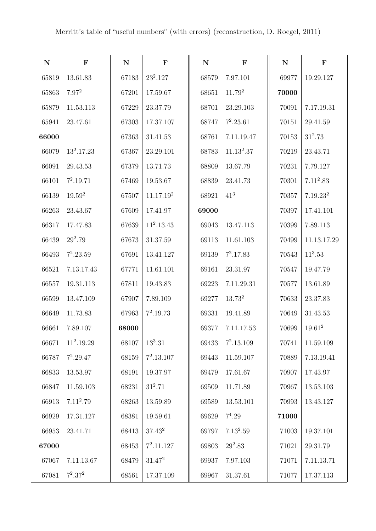| ${\bf N}$ | $\mathbf F$        | ${\bf N}$ | $\mathbf F$           | ${\bf N}$ | $\mathbf F$  | ${\bf N}$ | $\mathbf F$          |
|-----------|--------------------|-----------|-----------------------|-----------|--------------|-----------|----------------------|
| 65819     | 13.61.83           | 67183     | $23^2.127$            | 68579     | 7.97.101     | 69977     | 19.29.127            |
| 65863     | $7.97^{2}$         | 67201     | 17.59.67              | 68651     | $11.79^2$    | 70000     |                      |
| 65879     | 11.53.113          | 67229     | 23.37.79              | 68701     | 23.29.103    | 70091     | 7.17.19.31           |
| 65941     | 23.47.61           | 67303     | 17.37.107             | 68747     | $7^2.23.61$  | 70151     | 29.41.59             |
| 66000     |                    | 67363     | 31.41.53              | 68761     | 7.11.19.47   | 70153     | $31^2.73$            |
| 66079     | $13^2.17.23$       | 67367     | 23.29.101             | 68783     | $11.13^2.37$ | 70219     | 23.43.71             |
| 66091     | 29.43.53           | 67379     | 13.71.73              | 68809     | 13.67.79     | 70231     | 7.79.127             |
| 66101     | $7^2.19.71$        | 67469     | 19.53.67              | 68839     | 23.41.73     | 70301     | $7.11^2.83$          |
| 66139     | 19.59 <sup>2</sup> | 67507     | 11.17.19 <sup>2</sup> | 68921     | $41^{3}$     | 70357     | 7.19.23 <sup>2</sup> |
| 66263     | 23.43.67           | 67609     | 17.41.97              | 69000     |              | 70397     | 17.41.101            |
| 66317     | 17.47.83           | 67639     | $11^2.13.43$          | 69043     | 13.47.113    | 70399     | 7.89.113             |
| 66439     | $29^2.79$          | 67673     | 31.37.59              | 69113     | 11.61.103    | 70499     | 11.13.17.29          |
| 66493     | $7^2.23.59$        | 67691     | 13.41.127             | 69139     | $7^2.17.83$  | 70543     | $11^3.53$            |
| 66521     | 7.13.17.43         | 67771     | 11.61.101             | 69161     | 23.31.97     | 70547     | 19.47.79             |
| 66557     | 19.31.113          | 67811     | 19.43.83              | 69223     | 7.11.29.31   | 70577     | 13.61.89             |
| 66599     | 13.47.109          | 67907     | 7.89.109              | 69277     | $13.73^2$    | 70633     | 23.37.83             |
| 66649     | 11.73.83           | 67963     | $7^2.19.73$           | 69331     | 19.41.89     | 70649     | 31.43.53             |
| 66661     | 7.89.107           | 68000     |                       | 69377     | 7.11.17.53   | 70699     | $19.61^{2}$          |
| 66671     | $11^2.19.29$       | 68107     | $13^3.31$             | 69433     | $7^2.13.109$ | 70741     | 11.59.109            |
| 66787     | $7^2.29.47$        | 68159     | $7^2.13.107$          | 69443     | 11.59.107    | 70889     | 7.13.19.41           |
| 66833     | 13.53.97           | 68191     | 19.37.97              | 69479     | 17.61.67     | 70907     | 17.43.97             |
| 66847     | 11.59.103          | 68231     | $31^2.71$             | 69509     | 11.71.89     | 70967     | 13.53.103            |
| 66913     | $7.11^2.79$        | 68263     | 13.59.89              | 69589     | 13.53.101    | 70993     | 13.43.127            |
| 66929     | 17.31.127          | 68381     | 19.59.61              | 69629     | $7^4.29$     | 71000     |                      |
| 66953     | 23.41.71           | 68413     | $37.43^2$             | 69797     | $7.13^2.59$  | 71003     | 19.37.101            |
| 67000     |                    | 68453     | $7^2.11.127$          | 69803     | $29^2.83$    | 71021     | 29.31.79             |
| 67067     | 7.11.13.67         | 68479     | $31.47^2$             | 69937     | 7.97.103     | 71071     | 7.11.13.71           |
| 67081     | $7^2.37^2$         | 68561     | 17.37.109             | 69967     | 31.37.61     | 71077     | 17.37.113            |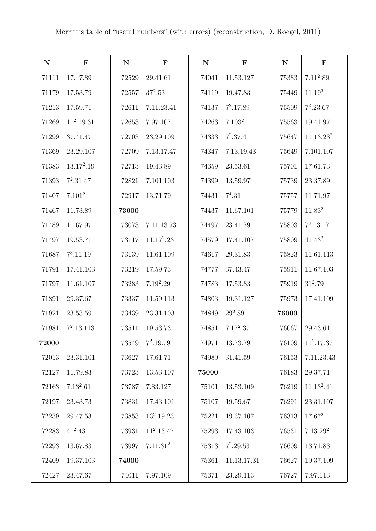| ${\bf N}$ | $\mathbf F$        | ${\bf N}$ | $\mathbf F$          | ${\bf N}$ | $\mathbf F$        | ${\bf N}$ | $\mathbf F$           |
|-----------|--------------------|-----------|----------------------|-----------|--------------------|-----------|-----------------------|
| 71111     | 17.47.89           | 72529     | 29.41.61             | 74041     | 11.53.127          | 75383     | $7.11^2.89$           |
| 71179     | 17.53.79           | 72557     | $37^2.53$            | 74119     | 19.47.83           | 75449     | 11.19 <sup>3</sup>    |
| 71213     | 17.59.71           | 72611     | 7.11.23.41           | 74137     | $7^2.17.89$        | 75509     | $7^2.23.67$           |
| 71269     | $11^2.19.31$       | 72653     | 7.97.107             | 74263     | 7.103 <sup>2</sup> | 75563     | 19.41.97              |
| 71299     | 37.41.47           | 72703     | 23.29.109            | 74333     | $7^2.37.41$        | 75647     | 11.13.23 <sup>2</sup> |
| 71369     | 23.29.107          | 72709     | 7.13.17.47           | 74347     | 7.13.19.43         | 75649     | 7.101.107             |
| 71383     | $13.17^2.19$       | 72713     | 19.43.89             | 74359     | 23.53.61           | 75701     | 17.61.73              |
| 71393     | $7^2.31.47$        | 72821     | 7.101.103            | 74399     | 13.59.97           | 75739     | 23.37.89              |
| 71407     | 7.101 <sup>2</sup> | 72917     | 13.71.79             | 74431     | $7^4.31$           | 75757     | 11.71.97              |
| 71467     | 11.73.89           | 73000     |                      | 74437     | 11.67.101          | 75779     | 11.83 <sup>2</sup>    |
| 71489     | 11.67.97           | 73073     | 7.11.13.73           | 74497     | 23.41.79           | 75803     | $7^3.13.17$           |
| 71497     | 19.53.71           | 73117     | $11.17^2.23$         | 74579     | 17.41.107          | 75809     | $41.43^2$             |
| 71687     | $7^3.11.19$        | 73139     | 11.61.109            | 74617     | 29.31.83           | 75823     | 11.61.113             |
| 71791     | 17.41.103          | 73219     | 17.59.73             | 74777     | 37.43.47           | 75911     | 11.67.103             |
| 71797     | 11.61.107          | 73283     | $7.19^2.29$          | 74783     | 17.53.83           | 75919     | $31^2.79$             |
| 71891     | 29.37.67           | 73337     | 11.59.113            | 74803     | 19.31.127          | 75973     | 17.41.109             |
| 71921     | 23.53.59           | 73439     | 23.31.103            | 74849     | $29^2.89$          | 76000     |                       |
| 71981     | $7^2.13.113$       | 73511     | 19.53.73             | 74851     | $7.17^2.37$        | 76067     | 29.43.61              |
| 72000     |                    | $73549\,$ | $7^2.19.79$          | 74971     | 13.73.79           | 76109     | $11^2.17.37$          |
| 72013     | 23.31.101          | 73627     | 17.61.71             | 74989     | 31.41.59           | 76153     | 7.11.23.43            |
| 72127     | 11.79.83           | 73723     | 13.53.107            | 75000     |                    | 76183     | 29.37.71              |
| 72163     | $7.13^2.61$        | 73787     | 7.83.127             | 75101     | 13.53.109          | 76219     | $11.13^2.41$          |
| 72197     | 23.43.73           | 73831     | 17.43.101            | 75107     | 19.59.67           | 76291     | 23.31.107             |
| 72239     | 29.47.53           | 73853     | $13^2.19.23$         | 75221     | 19.37.107          | 76313     | $17.67^2$             |
| 72283     | $41^2.43$          | 73931     | $11^2.13.47$         | 75293     | 17.43.103          | 76531     | 7.13.29 <sup>2</sup>  |
| 72293     | 13.67.83           | 73997     | 7.11.31 <sup>2</sup> | 75313     | $7^2.29.53$        | 76609     | 13.71.83              |
| 72409     | 19.37.103          | 74000     |                      | 75361     | 11.13.17.31        | 76627     | 19.37.109             |
| 72427     | 23.47.67           | 74011     | 7.97.109             | 75371     | 23.29.113          | 76727     | 7.97.113              |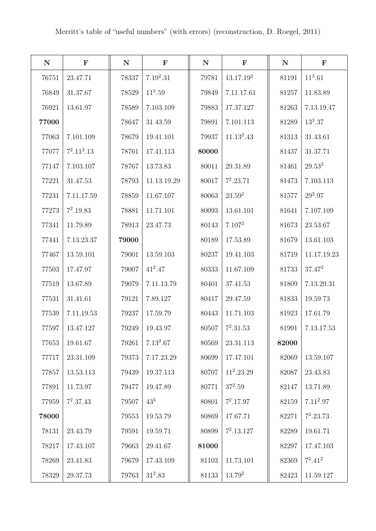| ${\bf N}$ | $\mathbf F$   | ${\bf N}$ | $\mathbf F$ | ${\bf N}$ | $\mathbf F$           | ${\bf N}$ | $\mathbf F$ |
|-----------|---------------|-----------|-------------|-----------|-----------------------|-----------|-------------|
| 76751     | 23.47.71      | 78337     | $7.19^2.31$ | 79781     | 13.17.19 <sup>2</sup> | 81191     | $11^3.61$   |
| 76849     | 31.37.67      | 78529     | $11^3.59$   | 79849     | 7.11.17.61            | 81257     | 11.83.89    |
| 76921     | 13.61.97      | 78589     | 7.103.109   | 79883     | 17.37.127             | 81263     | 7.13.19.47  |
| 77000     |               | 78647     | 31.43.59    | 79891     | 7.101.113             | 81289     | $13^3.37$   |
| 77063     | 7.101.109     | 78679     | 19.41.101   | 79937     | $11.13^2.43$          | 81313     | 31.43.61    |
| 77077     | $7^2.11^2.13$ | 78761     | 17.41.113   | 80000     |                       | 81437     | 31.37.71    |
| 77147     | 7.103.107     | 78767     | 13.73.83    | 80011     | 29.31.89              | 81461     | $29.53^2$   |
| 77221     | 31.47.53      | 78793     | 11.13.19.29 | 80017     | $7^2.23.71$           | 81473     | 7.103.113   |
| 77231     | 7.11.17.59    | 78859     | 11.67.107   | 80063     | $23.59^2$             | 81577     | $29^2.97$   |
| 77273     | $7^2.19.83$   | 78881     | 11.71.101   | 80093     | 13.61.101             | 81641     | 7.107.109   |
| 77341     | 11.79.89      | 78913     | 23.47.73    | 80143     | 7.107 <sup>2</sup>    | 81673     | 23.53.67    |
| 77441     | 7.13.23.37    | 79000     |             | 80189     | 17.53.89              | 81679     | 13.61.103   |
| 77467     | 13.59.101     | 79001     | 13.59.103   | 80237     | 19.41.103             | 81719     | 11.17.19.23 |
| 77503     | 17.47.97      | 79007     | $41^2.47$   | 80333     | 11.67.109             | 81733     | $37.47^{2}$ |
| 77519     | 13.67.89      | 79079     | 7.11.13.79  | 80401     | 37.41.53              | 81809     | 7.13.29.31  |
| 77531     | 31.41.61      | 79121     | 7.89.127    | 80417     | 29.47.59              | 81833     | 19.59.73    |
| 77539     | 7.11.19.53    | 79237     | 17.59.79    | 80443     | 11.71.103             | 81923     | 17.61.79    |
| 77597     | 13.47.127     | 79249     | 19.43.97    | 80507     | $7^2.31.53$           | 81991     | 7.13.17.53  |
| 77653     | 19.61.67      | 79261     | $7.13^2.67$ | 80569     | 23.31.113             | 82000     |             |
| 77717     | 23.31.109     | 79373     | 7.17.23.29  | 80699     | 17.47.101             | 82069     | 13.59.107   |
| 77857     | 13.53.113     | 79439     | 19.37.113   | 80707     | $11^2.23.29$          | 82087     | 23.43.83    |
| 77891     | 11.73.97      | 79477     | 19.47.89    | 80771     | $37^2.59$             | 82147     | 13.71.89    |
| 77959     | $7^2.37.43$   | 79507     | $43^{3}$    | 80801     | $7^2.17.97$           | 82159     | $7.11^2.97$ |
| 78000     |               | 79553     | 19.53.79    | 80869     | 17.67.71              | 82271     | $7^2.23.73$ |
| 78131     | 23.43.79      | 79591     | 19.59.71    | 80899     | $7^2.13.127$          | 82289     | 19.61.71    |
| 78217     | 17.43.107     | 79663     | 29.41.67    | 81000     |                       | 82297     | 17.47.103   |
| 78269     | 23.41.83      | 79679     | 17.43.109   | 81103     | 11.73.101             | 82369     | $7^2.41^2$  |
| 78329     | 29.37.73      | 79763     | $31^2.83$   | 81133     | $13.79^{2}$           | 82423     | 11.59.127   |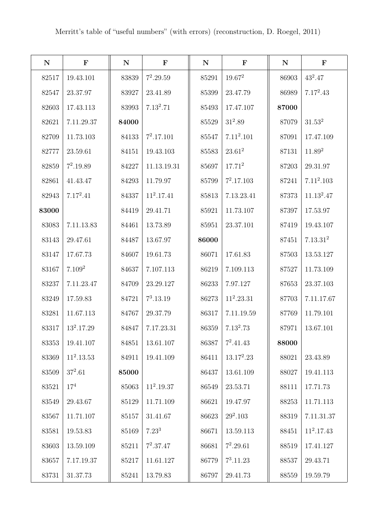| ${\bf N}$ | $\mathbf F$        | ${\bf N}$ | $\mathbf F$  | ${\bf N}$ | $\mathbf{F}$ | ${\bf N}$ | $\mathbf F$          |
|-----------|--------------------|-----------|--------------|-----------|--------------|-----------|----------------------|
| 82517     | 19.43.101          | 83839     | $7^2.29.59$  | 85291     | $19.67^2$    | 86903     | $43^2.47$            |
| 82547     | 23.37.97           | 83927     | 23.41.89     | 85399     | 23.47.79     | 86989     | $7.17^2.43$          |
| 82603     | 17.43.113          | 83993     | $7.13^2.71$  | 85493     | 17.47.107    | 87000     |                      |
| 82621     | 7.11.29.37         | 84000     |              | 85529     | $31^2.89$    | 87079     | 31.53 <sup>2</sup>   |
| 82709     | 11.73.103          | 84133     | $7^2.17.101$ | 85547     | $7.11^2.101$ | 87091     | 17.47.109            |
| 82777     | 23.59.61           | 84151     | 19.43.103    | 85583     | $23.61^2$    | 87131     | 11.89 <sup>2</sup>   |
| 82859     | $7^2.19.89$        | 84227     | 11.13.19.31  | 85697     | $17.71^2$    | 87203     | 29.31.97             |
| 82861     | 41.43.47           | 84293     | 11.79.97     | 85799     | $7^2.17.103$ | 87241     | $7.11^2.103$         |
| 82943     | $7.17^2.41$        | 84337     | $11^2.17.41$ | 85813     | 7.13.23.41   | 87373     | $11.13^2.47$         |
| 83000     |                    | 84419     | 29.41.71     | 85921     | 11.73.107    | 87397     | 17.53.97             |
| 83083     | 7.11.13.83         | 84461     | 13.73.89     | 85951     | 23.37.101    | 87419     | 19.43.107            |
| 83143     | 29.47.61           | 84487     | 13.67.97     | 86000     |              | 87451     | 7.13.31 <sup>2</sup> |
| 83147     | 17.67.73           | 84607     | 19.61.73     | 86071     | 17.61.83     | 87503     | 13.53.127            |
| 83167     | 7.109 <sup>2</sup> | 84637     | 7.107.113    | 86219     | 7.109.113    | 87527     | 11.73.109            |
| 83237     | 7.11.23.47         | 84709     | 23.29.127    | 86233     | 7.97.127     | 87653     | 23.37.103            |
| 83249     | 17.59.83           | 84721     | $7^3.13.19$  | 86273     | $11^2.23.31$ | 87703     | 7.11.17.67           |
| 83281     | 11.67.113          | 84767     | 29.37.79     | 86317     | 7.11.19.59   | 87769     | 11.79.101            |
| 83317     | $13^2.17.29$       | 84847     | 7.17.23.31   | 86359     | $7.13^2.73$  | 87971     | 13.67.101            |
| 83353     | 19.41.107          | 84851     | 13.61.107    | 86387     | $7^2.41.43$  | 88000     |                      |
| 83369     | $11^2.13.53$       | 84911     | 19.41.109    | 86411     | $13.17^2.23$ | 88021     | 23.43.89             |
| 83509     | $37^2.61$          | 85000     |              | 86437     | 13.61.109    | 88027     | 19.41.113            |
| 83521     | $17^{4}$           | 85063     | $11^2.19.37$ | 86549     | 23.53.71     | 88111     | 17.71.73             |
| 83549     | 29.43.67           | 85129     | 11.71.109    | 86621     | 19.47.97     | 88253     | 11.71.113            |
| 83567     | 11.71.107          | 85157     | 31.41.67     | 86623     | $29^2.103$   | 88319     | 7.11.31.37           |
| 83581     | 19.53.83           | 85169     | $7.23^{3}$   | 86671     | 13.59.113    | 88451     | $11^2.17.43$         |
| 83603     | 13.59.109          | 85211     | $7^2.37.47$  | 86681     | $7^2.29.61$  | 88519     | 17.41.127            |
| 83657     | 7.17.19.37         | 85217     | 11.61.127    | 86779     | $7^3.11.23$  | 88537     | 29.43.71             |
| 83731     | 31.37.73           | 85241     | 13.79.83     | 86797     | 29.41.73     | 88559     | 19.59.79             |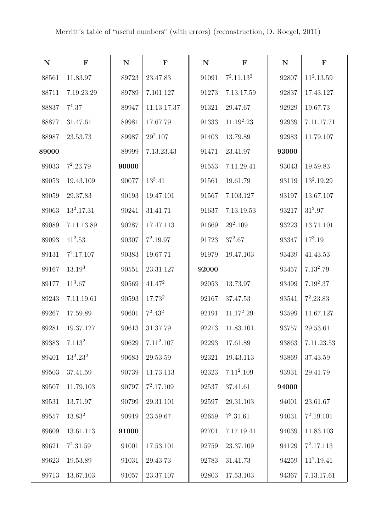| ${\bf N}$ | $\mathbf F$        | $\mathbf N$ | $\mathbf F$        | ${\bf N}$ | $\mathbf F$   | ${\bf N}$ | $\mathbf F$  |
|-----------|--------------------|-------------|--------------------|-----------|---------------|-----------|--------------|
| 88561     | 11.83.97           | 89723       | 23.47.83           | 91091     | $7^2.11.13^2$ | 92807     | $11^2.13.59$ |
| 88711     | 7.19.23.29         | 89789       | 7.101.127          | 91273     | 7.13.17.59    | 92837     | 17.43.127    |
| 88837     | $7^4.37$           | 89947       | 11.13.17.37        | 91321     | 29.47.67      | 92929     | 19.67.73     |
| 88877     | 31.47.61           | 89981       | 17.67.79           | 91333     | $11.19^2.23$  | 92939     | 7.11.17.71   |
| 88987     | 23.53.73           | 89987       | $29^2.107$         | 91403     | 13.79.89      | 92983     | 11.79.107    |
| 89000     |                    | 89999       | 7.13.23.43         | 91471     | 23.41.97      | 93000     |              |
| 89033     | $7^2.23.79$        | 90000       |                    | 91553     | 7.11.29.41    | 93043     | 19.59.83     |
| 89053     | 19.43.109          | 90077       | $13^3.41$          | 91561     | 19.61.79      | 93119     | $13^2.19.29$ |
| 89059     | 29.37.83           | 90193       | 19.47.101          | 91567     | 7.103.127     | 93197     | 13.67.107    |
| 89063     | $13^2.17.31$       | 90241       | 31.41.71           | 91637     | 7.13.19.53    | 93217     | $31^2.97$    |
| 89089     | 7.11.13.89         | 90287       | 17.47.113          | 91669     | $29^2.109$    | 93223     | 13.71.101    |
| 89093     | $41^2.53$          | 90307       | $7^2.19.97$        | 91723     | $37^2.67$     | 93347     | $17^3.19$    |
| 89131     | $7^2.17.107$       | 90383       | 19.67.71           | 91979     | 19.47.103     | 93439     | 41.43.53     |
| 89167     | $13.19^{3}$        | 90551       | 23.31.127          | 92000     |               | 93457     | $7.13^2.79$  |
| 89177     | $11^3.67$          | 90569       | $41.47^2$          | 92053     | 13.73.97      | 93499     | $7.19^2.37$  |
| 89243     | 7.11.19.61         | 90593       | 17.73 <sup>2</sup> | 92167     | 37.47.53      | 93541     | $7^2.23.83$  |
| 89267     | 17.59.89           | 90601       | $7^2.43^2$         | 92191     | $11.17^2.29$  | 93599     | 11.67.127    |
| 89281     | 19.37.127          | 90613       | 31.37.79           | 92213     | 11.83.101     | 93757     | 29.53.61     |
| 89383     | 7.113 <sup>2</sup> | 90629       | $7.11^2.107$       | 92293     | 17.61.89      | 93863     | 7.11.23.53   |
| 89401     | $13^2.23^2$        | 90683       | 29.53.59           | 92321     | 19.43.113     | 93869     | 37.43.59     |
| 89503     | 37.41.59           | 90739       | 11.73.113          | 92323     | $7.11^2.109$  | 93931     | 29.41.79     |
| 89507     | 11.79.103          | 90797       | $7^2.17.109$       | 92537     | 37.41.61      | 94000     |              |
| 89531     | 13.71.97           | 90799       | 29.31.101          | 92597     | 29.31.103     | 94001     | 23.61.67     |
| 89557     | $13.83^{2}$        | 90919       | 23.59.67           | 92659     | $7^2.31.61$   | 94031     | $7^2.19.101$ |
| 89609     | 13.61.113          | 91000       |                    | 92701     | 7.17.19.41    | 94039     | 11.83.103    |
| 89621     | $7^2.31.59$        | 91001       | 17.53.101          | 92759     | 23.37.109     | 94129     | $7^2.17.113$ |
| 89623     | 19.53.89           | 91031       | 29.43.73           | 92783     | 31.41.73      | 94259     | $11^2.19.41$ |
| 89713     | 13.67.103          | 91057       | 23.37.107          | 92803     | 17.53.103     | 94367     | 7.13.17.61   |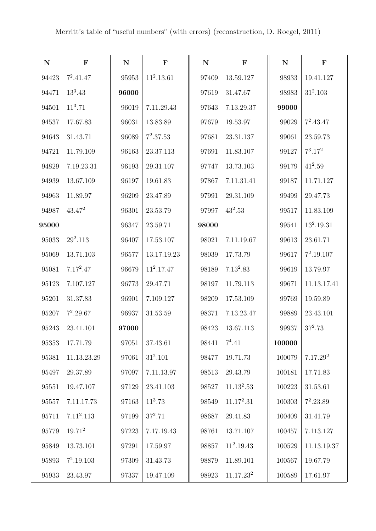| ${\bf N}$ | $\mathbf F$  | ${\bf N}$ | $\mathbf F$  | ${\bf N}$ | $\mathbf F$           | ${\bf N}$  | $\mathbf F$          |
|-----------|--------------|-----------|--------------|-----------|-----------------------|------------|----------------------|
| 94423     | $7^2.41.47$  | 95953     | $11^2.13.61$ | 97409     | 13.59.127             | 98933      | 19.41.127            |
| 94471     | $13^3.43$    | 96000     |              | 97619     | 31.47.67              | 98983      | $31^2.103$           |
| 94501     | $11^3.71$    | 96019     | 7.11.29.43   | 97643     | 7.13.29.37            | 99000      |                      |
| 94537     | 17.67.83     | 96031     | 13.83.89     | 97679     | 19.53.97              | 99029      | $7^2.43.47$          |
| 94643     | 31.43.71     | 96089     | $7^2.37.53$  | 97681     | 23.31.137             | 99061      | 23.59.73             |
| 94721     | 11.79.109    | 96163     | 23.37.113    | 97691     | 11.83.107             | 99127      | $7^3.17^2$           |
| 94829     | 7.19.23.31   | 96193     | 29.31.107    | 97747     | 13.73.103             | 99179      | $41^2.59$            |
| 94939     | 13.67.109    | 96197     | 19.61.83     | 97867     | 7.11.31.41            | 99187      | 11.71.127            |
| 94963     | 11.89.97     | 96209     | 23.47.89     | 97991     | 29.31.109             | 99499      | 29.47.73             |
| 94987     | $43.47^2$    | 96301     | 23.53.79     | 97997     | $43^2.53$             | 99517      | 11.83.109            |
| 95000     |              | 96347     | 23.59.71     | 98000     |                       | 99541      | $13^2.19.31$         |
| 95033     | $29^2.113$   | 96407     | 17.53.107    | 98021     | 7.11.19.67            | 99613      | 23.61.71             |
| 95069     | 13.71.103    | 96577     | 13.17.19.23  | 98039     | 17.73.79              | 99617      | $7^2.19.107$         |
| 95081     | $7.17^2.47$  | 96679     | $11^2.17.47$ | 98189     | $7.13^2.83$           | 99619      | 13.79.97             |
| 95123     | 7.107.127    | 96773     | 29.47.71     | 98197     | 11.79.113             | 99671      | 11.13.17.41          |
| 95201     | 31.37.83     | 96901     | 7.109.127    | 98209     | 17.53.109             | 99769      | 19.59.89             |
| 95207     | $7^2.29.67$  | 96937     | 31.53.59     | 98371     | 7.13.23.47            | 99889      | 23.43.101            |
| 95243     | 23.41.101    | 97000     |              | 98423     | 13.67.113             | 99937      | $37^2.73$            |
| 95353     | 17.71.79     | 97051     | 37.43.61     | 98441     | $7^4.41$              | 100000     |                      |
| 95381     | 11.13.23.29  | 97061     | $31^2.101$   | 98477     | 19.71.73              | 100079     | 7.17.29 <sup>2</sup> |
| 95497     | 29.37.89     | 97097     | 7.11.13.97   | 98513     | 29.43.79              | 100181     | 17.71.83             |
| 95551     | 19.47.107    | 97129     | 23.41.103    | 98527     | $11.13^2.53$          | $100223\,$ | 31.53.61             |
| 95557     | 7.11.17.73   | 97163     | $11^3.73$    | 98549     | $11.17^2.31$          | 100303     | $7^2.23.89$          |
| 95711     | $7.11^2.113$ | 97199     | $37^2.71$    | 98687     | 29.41.83              | 100409     | 31.41.79             |
| 95779     | $19.71^2$    | 97223     | 7.17.19.43   | 98761     | 13.71.107             | 100457     | 7.113.127            |
| 95849     | 13.73.101    | 97291     | 17.59.97     | 98857     | $11^2.19.43$          | $100529\,$ | 11.13.19.37          |
| 95893     | $7^2.19.103$ | 97309     | 31.43.73     | 98879     | 11.89.101             | 100567     | 19.67.79             |
| 95933     | 23.43.97     | 97337     | 19.47.109    | 98923     | 11.17.23 <sup>2</sup> | 100589     | 17.61.97             |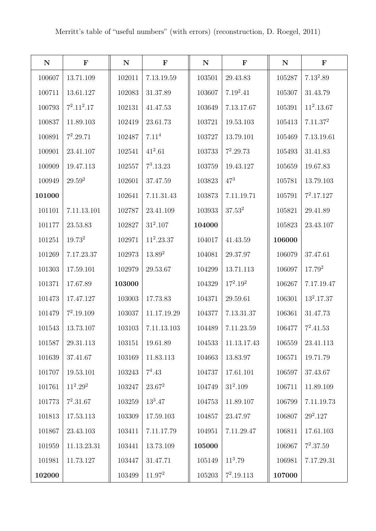| ${\bf N}$ | $\mathbf F$        | ${\bf N}$ | $\mathbf F$       | ${\bf N}$ | $\mathbf F$  | ${\bf N}$ | $\mathbf F$          |
|-----------|--------------------|-----------|-------------------|-----------|--------------|-----------|----------------------|
| 100607    | 13.71.109          | 102011    | 7.13.19.59        | 103501    | 29.43.83     | 105287    | $7.13^2.89$          |
| 100711    | 13.61.127          | 102083    | 31.37.89          | 103607    | $7.19^2.41$  | 105307    | 31.43.79             |
| 100793    | $7^2.11^2.17$      | 102131    | 41.47.53          | 103649    | 7.13.17.67   | 105391    | $11^2.13.67$         |
| 100837    | 11.89.103          | 102419    | 23.61.73          | 103721    | 19.53.103    | 105413    | 7.11.37 <sup>2</sup> |
| 100891    | $7^2.29.71$        | 102487    | 7.11 <sup>4</sup> | 103727    | 13.79.101    | 105469    | 7.13.19.61           |
| 100901    | 23.41.107          | 102541    | $41^2.61$         | 103733    | $7^2.29.73$  | 105493    | 31.41.83             |
| 100909    | 19.47.113          | 102557    | $7^3.13.23$       | 103759    | 19.43.127    | 105659    | 19.67.83             |
| 100949    | $29.59^{2}$        | 102601    | 37.47.59          | 103823    | $47^{3}$     | 105781    | 13.79.103            |
| 101000    |                    | 102641    | 7.11.31.43        | 103873    | 7.11.19.71   | 105791    | $7^2.17.127$         |
| 101101    | 7.11.13.101        | 102787    | 23.41.109         | 103933    | $37.53^{2}$  | 105821    | 29.41.89             |
| 101177    | 23.53.83           | 102827    | $31^2.107$        | 104000    |              | 105823    | 23.43.107            |
| 101251    | 19.73 <sup>2</sup> | 102971    | $11^2.23.37$      | 104017    | 41.43.59     | 106000    |                      |
| 101269    | 7.17.23.37         | 102973    | $13.89^2$         | 104081    | 29.37.97     | 106079    | 37.47.61             |
| 101303    | 17.59.101          | 102979    | 29.53.67          | 104299    | 13.71.113    | 106097    | $17.79^{2}$          |
| 101371    | 17.67.89           | 103000    |                   | 104329    | $17^2.19^2$  | 106267    | 7.17.19.47           |
| 101473    | 17.47.127          | 103003    | 17.73.83          | 104371    | 29.59.61     | 106301    | $13^2.17.37$         |
| 101479    | $7^2.19.109$       | 103037    | 11.17.19.29       | 104377    | 7.13.31.37   | 106361    | 31.47.73             |
| 101543    | 13.73.107          | 103103    | 7.11.13.103       | 104489    | 7.11.23.59   | 106477    | $7^2.41.53$          |
| 101587    | 29.31.113          | 103151    | 19.61.89          | 104533    | 11.13.17.43  | 106559    | 23.41.113            |
| 101639    | 37.41.67           | 103169    | 11.83.113         | 104663    | 13.83.97     | 106571    | 19.71.79             |
| 101707    | 19.53.101          | 103243    | $7^4.43$          | 104737    | 17.61.101    | 106597    | 37.43.67             |
| 101761    | $11^2.29^2$        | 103247    | $23.67^2$         | 104749    | $31^2.109$   | 106711    | 11.89.109            |
| 101773    | $7^2.31.67$        | 103259    | $13^3.47$         | 104753    | 11.89.107    | 106799    | 7.11.19.73           |
| 101813    | 17.53.113          | 103309    | 17.59.103         | 104857    | 23.47.97     | 106807    | $29^2.127$           |
| 101867    | 23.43.103          | 103411    | 7.11.17.79        | 104951    | 7.11.29.47   | 106811    | 17.61.103            |
| 101959    | 11.13.23.31        | 103441    | 13.73.109         | 105000    |              | 106967    | $7^2.37.59$          |
| 101981    | 11.73.127          | 103447    | 31.47.71          | 105149    | $11^3.79$    | 106981    | 7.17.29.31           |
| 102000    |                    | 103499    | $11.97^2$         | 105203    | $7^2.19.113$ | 107000    |                      |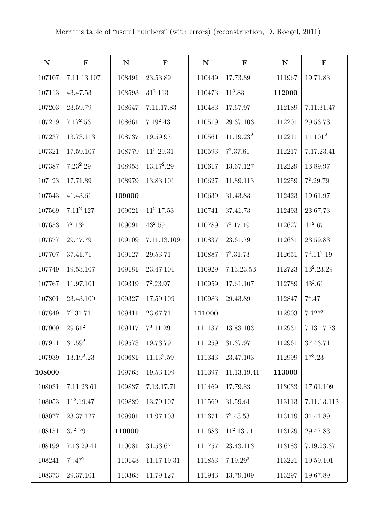| ${\bf N}$ | $\mathbf F$  | ${\bf N}$ | $\mathbf F$  | ${\bf N}$ | $\mathbf F$           | ${\bf N}$ | $\mathbf F$         |
|-----------|--------------|-----------|--------------|-----------|-----------------------|-----------|---------------------|
| 107107    | 7.11.13.107  | 108491    | 23.53.89     | 110449    | 17.73.89              | 111967    | 19.71.83            |
| 107113    | 43.47.53     | 108593    | $31^2.113$   | 110473    | $11^3.83$             | 112000    |                     |
| 107203    | 23.59.79     | 108647    | 7.11.17.83   | 110483    | 17.67.97              | 112189    | 7.11.31.47          |
| 107219    | $7.17^2.53$  | 108661    | $7.19^2.43$  | 110519    | 29.37.103             | 112201    | 29.53.73            |
| 107237    | 13.73.113    | 108737    | 19.59.97     | 110561    | 11.19.23 <sup>2</sup> | 112211    | 11.101 <sup>2</sup> |
| 107321    | 17.59.107    | 108779    | $11^2.29.31$ | 110593    | $7^2.37.61$           | 112217    | 7.17.23.41          |
| 107387    | $7.23^2.29$  | 108953    | $13.17^2.29$ | 110617    | 13.67.127             | 112229    | 13.89.97            |
| 107423    | 17.71.89     | 108979    | 13.83.101    | 110627    | 11.89.113             | 112259    | $7^2.29.79$         |
| 107543    | 41.43.61     | 109000    |              | 110639    | 31.43.83              | 112423    | 19.61.97            |
| 107569    | $7.11^2.127$ | 109021    | $11^2.17.53$ | 110741    | 37.41.73              | 112493    | 23.67.73            |
| 107653    | $7^2.13^3$   | 109091    | $43^2.59$    | 110789    | $7^3.17.19$           | 112627    | $41^2.67$           |
| 107677    | 29.47.79     | 109109    | 7.11.13.109  | 110837    | 23.61.79              | 112631    | 23.59.83            |
| 107707    | 37.41.71     | 109127    | 29.53.71     | 110887    | $7^2.31.73$           | 112651    | $7^2.11^2.19$       |
| 107749    | 19.53.107    | 109181    | 23.47.101    | 110929    | 7.13.23.53            | 112723    | $13^2.23.29$        |
| 107767    | 11.97.101    | 109319    | $7^2.23.97$  | 110959    | 17.61.107             | 112789    | $43^2.61$           |
| 107801    | 23.43.109    | 109327    | 17.59.109    | 110983    | 29.43.89              | 112847    | $7^4.47$            |
| 107849    | $7^2.31.71$  | 109411    | 23.67.71     | 111000    |                       | 112903    | 7.127 <sup>2</sup>  |
| 107909    | $29.61^2$    | 109417    | $7^3.11.29$  | 111137    | 13.83.103             | 112931    | 7.13.17.73          |
| 107911    | $31.59^2$    | 109573    | 19.73.79     | 111259    | 31.37.97              | 112961    | 37.43.71            |
| 107939    | $13.19^2.23$ | 109681    | $11.13^2.59$ | 111343    | 23.47.103             | 112999    | $17^3.23$           |
| 108000    |              | 109763    | 19.53.109    | 111397    | 11.13.19.41           | 113000    |                     |
| 108031    | 7.11.23.61   | 109837    | 7.13.17.71   | 111469    | 17.79.83              | 113033    | 17.61.109           |
| 108053    | $11^2.19.47$ | 109889    | 13.79.107    | 111569    | 31.59.61              | 113113    | 7.11.13.113         |
| 108077    | 23.37.127    | 109901    | 11.97.103    | 111671    | $7^2.43.53$           | 113119    | 31.41.89            |
| 108151    | $37^2.79$    | 110000    |              | 111683    | $11^2.13.71$          | 113129    | 29.47.83            |
| 108199    | 7.13.29.41   | 110081    | 31.53.67     | 111757    | 23.43.113             | 113183    | 7.19.23.37          |
| 108241    | $7^2.47^2$   | 110143    | 11.17.19.31  | 111853    | 7.19.29 <sup>2</sup>  | 113221    | 19.59.101           |
| 108373    | 29.37.101    | 110363    | 11.79.127    | 111943    | 13.79.109             | 113297    | 19.67.89            |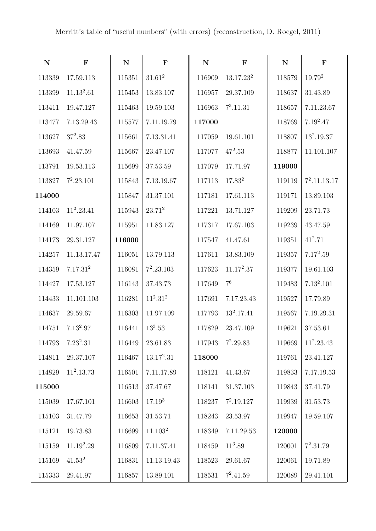| ${\bf N}$ | $\mathbf F$          | ${\bf N}$ | $\mathbf F$         | ${\bf N}$ | $\mathbf F$    | ${\bf N}$ | $\mathbf F$    |
|-----------|----------------------|-----------|---------------------|-----------|----------------|-----------|----------------|
| 113339    | 17.59.113            | 115351    | $31.61^2$           | 116909    | $13.17.23^2$   | 118579    | $19.79^{2}$    |
| 113399    | $11.13^2.61$         | 115453    | 13.83.107           | 116957    | 29.37.109      | 118637    | 31.43.89       |
| 113411    | 19.47.127            | 115463    | 19.59.103           | 116963    | $7^3.11.31$    | 118657    | 7.11.23.67     |
| 113477    | 7.13.29.43           | 115577    | 7.11.19.79          | 117000    |                | 118769    | $7.19^2.47$    |
| 113627    | $37^2.83$            | 115661    | 7.13.31.41          | 117059    | 19.61.101      | 118807    | $13^2.19.37$   |
| 113693    | 41.47.59             | 115667    | 23.47.107           | 117077    | $47^2.53$      | 118877    | 11.101.107     |
| 113791    | 19.53.113            | 115699    | 37.53.59            | 117079    | 17.71.97       | 119000    |                |
| 113827    | $7^2.23.101$         | 115843    | 7.13.19.67          | 117113    | $17.83^{2}$    | 119119    | $7^2.11.13.17$ |
| 114000    |                      | 115847    | 31.37.101           | 117181    | 17.61.113      | 119171    | 13.89.103      |
| 114103    | $11^2.23.41$         | 115943    | $23.71^2$           | 117221    | 13.71.127      | 119209    | 23.71.73       |
| 114169    | 11.97.107            | 115951    | 11.83.127           | 117317    | 17.67.103      | 119239    | 43.47.59       |
| 114173    | 29.31.127            | 116000    |                     | 117547    | 41.47.61       | 119351    | $41^2.71$      |
| 114257    | 11.13.17.47          | 116051    | 13.79.113           | 117611    | 13.83.109      | 119357    | $7.17^2.59$    |
| 114359    | 7.17.31 <sup>2</sup> | 116081    | $7^2.23.103$        | 117623    | $11.17^2.37$   | 119377    | 19.61.103      |
| 114427    | 17.53.127            | 116143    | 37.43.73            | 117649    | 7 <sup>6</sup> | 119483    | $7.13^2.101$   |
| 114433    | 11.101.103           | 116281    | $11^2.31^2$         | 117691    | 7.17.23.43     | 119527    | 17.79.89       |
| 114637    | 29.59.67             | 116303    | 11.97.109           | 117793    | $13^2.17.41$   | 119567    | 7.19.29.31     |
| 114751    | $7.13^2.97$          | 116441    | $13^3.53$           | 117829    | 23.47.109      | 119621    | 37.53.61       |
| 114793    | $7.23^2.31$          | 116449    | 23.61.83            | 117943    | $7^2.29.83$    | 119669    | $11^2.23.43$   |
| 114811    | 29.37.107            | 116467    | $13.17^2.31$        | 118000    |                | 119761    | 23.41.127      |
| 114829    | $11^2.13.73$         | 116501    | 7.11.17.89          | 118121    | 41.43.67       | 119833    | 7.17.19.53     |
| 115000    |                      | 116513    | 37.47.67            | 118141    | 31.37.103      | 119843    | 37.41.79       |
| 115039    | 17.67.101            | 116603    | $17.19^{3}$         | 118237    | $7^2.19.127$   | 119939    | 31.53.73       |
| 115103    | 31.47.79             | 116653    | 31.53.71            | 118243    | 23.53.97       | 119947    | 19.59.107      |
| 115121    | 19.73.83             | 116699    | 11.103 <sup>2</sup> | 118349    | 7.11.29.53     | 120000    |                |
| 115159    | $11.19^2.29$         | 116809    | 7.11.37.41          | 118459    | $11^3.89$      | 120001    | $7^2.31.79$    |
| 115169    | $41.53^2$            | 116831    | 11.13.19.43         | 118523    | 29.61.67       | 120061    | 19.71.89       |
| 115333    | 29.41.97             | 116857    | 13.89.101           | 118531    | $7^2.41.59$    | 120089    | 29.41.101      |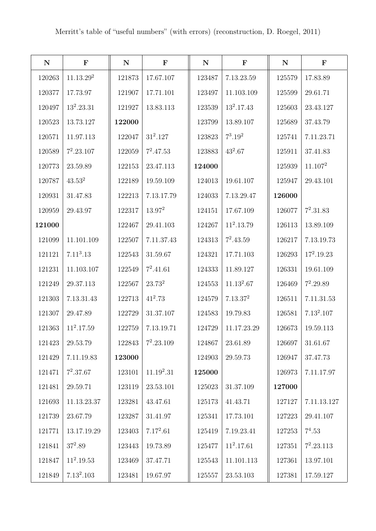| ${\bf N}$ | $\mathbf F$           | ${\bf N}$ | $\mathbf F$  | ${\bf N}$ | $\mathbf F$          | ${\bf N}$ | $\mathbf F$         |
|-----------|-----------------------|-----------|--------------|-----------|----------------------|-----------|---------------------|
| 120263    | 11.13.29 <sup>2</sup> | 121873    | 17.67.107    | 123487    | 7.13.23.59           | 125579    | 17.83.89            |
| 120377    | 17.73.97              | 121907    | 17.71.101    | 123497    | 11.103.109           | 125599    | 29.61.71            |
| 120497    | $13^2.23.31$          | 121927    | 13.83.113    | 123539    | $13^2.17.43$         | 125603    | 23.43.127           |
| 120523    | 13.73.127             | 122000    |              | 123799    | 13.89.107            | 125689    | 37.43.79            |
| 120571    | 11.97.113             | 122047    | $31^2.127$   | 123823    | $7^3.19^2$           | 125741    | 7.11.23.71          |
| 120589    | $7^2.23.107$          | 122059    | $7^2.47.53$  | 123883    | $43^2.67$            | 125911    | 37.41.83            |
| 120773    | 23.59.89              | 122153    | 23.47.113    | 124000    |                      | 125939    | 11.107 <sup>2</sup> |
| 120787    | $43.53^2$             | 122189    | 19.59.109    | 124013    | 19.61.107            | 125947    | 29.43.101           |
| 120931    | 31.47.83              | 122213    | 7.13.17.79   | 124033    | 7.13.29.47           | 126000    |                     |
| 120959    | 29.43.97              | 122317    | $13.97^2$    | 124151    | 17.67.109            | 126077    | $7^2.31.83$         |
| 121000    |                       | 122467    | 29.41.103    | 124267    | $11^2.13.79$         | 126113    | 13.89.109           |
| 121099    | 11.101.109            | 122507    | 7.11.37.43   | 124313    | $7^2.43.59$          | 126217    | 7.13.19.73          |
| 121121    | 7.11 <sup>3</sup> .13 | 122543    | 31.59.67     | 124321    | 17.71.103            | 126293    | $17^2.19.23$        |
| 121231    | 11.103.107            | 122549    | $7^2.41.61$  | 124333    | 11.89.127            | 126331    | 19.61.109           |
| 121249    | 29.37.113             | 122567    | $23.73^2$    | 124553    | $11.13^2.67$         | 126469    | $7^2.29.89$         |
| 121303    | 7.13.31.43            | 122713    | $41^2.73$    | 124579    | 7.13.37 <sup>2</sup> | 126511    | 7.11.31.53          |
| 121307    | 29.47.89              | 122729    | 31.37.107    | 124583    | 19.79.83             | 126581    | $7.13^2.107$        |
| 121363    | $11^2.17.59$          | 122759    | 7.13.19.71   | 124729    | 11.17.23.29          | 126673    | 19.59.113           |
| 121423    | 29.53.79              | 122843    | $7^2.23.109$ | 124867    | 23.61.89             | 126697    | 31.61.67            |
| 121429    | 7.11.19.83            | 123000    |              | 124903    | 29.59.73             | 126947    | 37.47.73            |
| 121471    | $7^2.37.67$           | 123101    | $11.19^2.31$ | 125000    |                      | 126973    | 7.11.17.97          |
| 121481    | 29.59.71              | 123119    | 23.53.101    | 125023    | 31.37.109            | 127000    |                     |
| 121693    | 11.13.23.37           | 123281    | 43.47.61     | 125173    | 41.43.71             | 127127    | 7.11.13.127         |
| 121739    | 23.67.79              | 123287    | 31.41.97     | 125341    | 17.73.101            | 127223    | 29.41.107           |
| 121771    | 13.17.19.29           | 123403    | $7.17^2.61$  | 125419    | 7.19.23.41           | 127253    | $7^4.53$            |
| 121841    | $37^2.89$             | 123443    | 19.73.89     | 125477    | $11^2.17.61$         | 127351    | $7^2.23.113$        |
| 121847    | $11^2.19.53$          | 123469    | 37.47.71     | 125543    | 11.101.113           | 127361    | 13.97.101           |
| 121849    | $7.13^2.103$          | 123481    | 19.67.97     | 125557    | 23.53.103            | 127381    | 17.59.127           |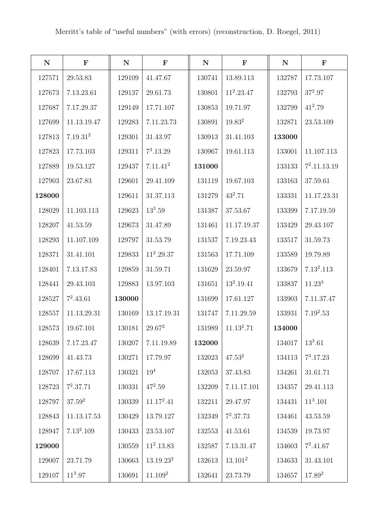| ${\bf N}$ | $\mathbf F$          | $\mathbf N$ | $\mathbf F$           | ${\bf N}$ | $\mathbf F$            | ${\bf N}$ | $\mathbf F$    |
|-----------|----------------------|-------------|-----------------------|-----------|------------------------|-----------|----------------|
| 127571    | 29.53.83             | 129109      | 41.47.67              | 130741    | 13.89.113              | 132787    | 17.73.107      |
| 127673    | 7.13.23.61           | 129137      | 29.61.73              | 130801    | $11^2.23.47$           | 132793    | $37^2.97$      |
| 127687    | 7.17.29.37           | 129149      | 17.71.107             | 130853    | 19.71.97               | 132799    | $41^2.79$      |
| 127699    | 11.13.19.47          | 129283      | 7.11.23.73            | 130891    | 19.83 <sup>2</sup>     | 132871    | 23.53.109      |
| 127813    | 7.19.31 <sup>2</sup> | 129301      | 31.43.97              | 130913    | 31.41.103              | 133000    |                |
| 127823    | 17.73.103            | 129311      | $7^3.13.29$           | 130967    | 19.61.113              | 133001    | 11.107.113     |
| 127889    | 19.53.127            | 129437      | 7.11.41 <sup>2</sup>  | 131000    |                        | 133133    | $7^2.11.13.19$ |
| 127903    | 23.67.83             | 129601      | 29.41.109             | 131119    | 19.67.103              | 133163    | 37.59.61       |
| 128000    |                      | 129611      | 31.37.113             | 131279    | $43^2.71$              | 133331    | 11.17.23.31    |
| 128029    | 11.103.113           | 129623      | $13^3.59$             | 131387    | 37.53.67               | 133399    | 7.17.19.59     |
| 128207    | 41.53.59             | 129673      | 31.47.89              | 131461    | 11.17.19.37            | 133429    | 29.43.107      |
| 128293    | 11.107.109           | 129797      | 31.53.79              | 131537    | 7.19.23.43             | 133517    | 31.59.73       |
| 128371    | 31.41.101            | 129833      | $11^2.29.37$          | 131563    | 17.71.109              | 133589    | 19.79.89       |
| 128401    | 7.13.17.83           | 129859      | 31.59.71              | 131629    | 23.59.97               | 133679    | $7.13^2.113$   |
| 128441    | 29.43.103            | 129883      | 13.97.103             | 131651    | $13^2.19.41$           | 133837    | $11.23^{3}$    |
| 128527    | $7^2.43.61$          | 130000      |                       | 131699    | 17.61.127              | 133903    | 7.11.37.47     |
| 128557    | 11.13.29.31          | 130169      | 13.17.19.31           | 131747    | 7.11.29.59             | 133931    | $7.19^2.53$    |
| 128573    | 19.67.101            | 130181      | $29.67^2$             | 131989    | 11.13 <sup>2</sup> .71 | 134000    |                |
| 128639    | 7.17.23.47           | 130207      | 7.11.19.89            | 132000    |                        | 134017    | $13^3.61$      |
| 128699    | 41.43.73             | 130271      | 17.79.97              | 132023    | $47.53^2$              | 134113    | $7^3.17.23$    |
| 128707    | 17.67.113            | 130321      | 19 <sup>4</sup>       | 132053    | 37.43.83               | 134261    | 31.61.71       |
| 128723    | $7^2.37.71$          | 130331      | $47^2.59$             | 132209    | 7.11.17.101            | 134357    | 29.41.113      |
| 128797    | $37.59^{2}$          | 130339      | $11.17^2.41$          | 132211    | 29.47.97               | 134431    | $11^3.101$     |
| 128843    | 11.13.17.53          | 130429      | 13.79.127             | 132349    | $7^2.37.73$            | 134461    | 43.53.59       |
| 128947    | $7.13^2.109$         | 130433      | 23.53.107             | 132553    | 41.53.61               | 134539    | 19.73.97       |
| 129000    |                      | 130559      | $11^2.13.83$          | 132587    | 7.13.31.47             | 134603    | $7^2.41.67$    |
| 129007    | 23.71.79             | 130663      | 13.19.23 <sup>2</sup> | 132613    | 13.101 <sup>2</sup>    | 134633    | 31.43.101      |
| 129107    | $11^3.97$            | 130691      | 11.109 <sup>2</sup>   | 132641    | 23.73.79               | 134657    | $17.89^{2}$    |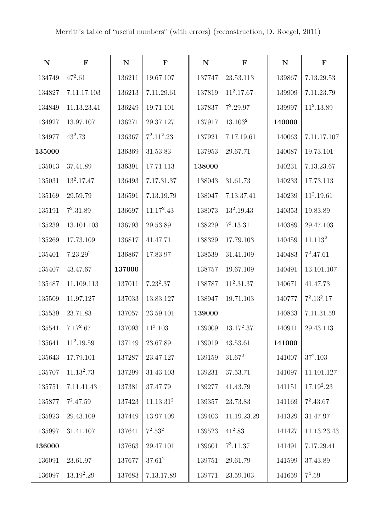| ${\bf N}$ | $\mathbf F$          | ${\bf N}$ | $\mathbf F$           | ${\bf N}$ | $\mathbf F$         | ${\bf N}$ | $\mathbf F$         |
|-----------|----------------------|-----------|-----------------------|-----------|---------------------|-----------|---------------------|
| 134749    | $47^2.61$            | 136211    | 19.67.107             | 137747    | 23.53.113           | 139867    | 7.13.29.53          |
| 134827    | 7.11.17.103          | 136213    | 7.11.29.61            | 137819    | $11^2.17.67$        | 139909    | 7.11.23.79          |
| 134849    | 11.13.23.41          | 136249    | 19.71.101             | 137837    | $7^2.29.97$         | 139997    | $11^2.13.89\,$      |
| 134927    | 13.97.107            | 136271    | 29.37.127             | 137917    | 13.103 <sup>2</sup> | 140000    |                     |
| 134977    | $43^2.73$            | 136367    | $7^2.11^2.23$         | 137921    | 7.17.19.61          | 140063    | 7.11.17.107         |
| 135000    |                      | 136369    | 31.53.83              | 137953    | 29.67.71            | 140087    | 19.73.101           |
| 135013    | 37.41.89             | 136391    | 17.71.113             | 138000    |                     | 140231    | 7.13.23.67          |
| 135031    | $13^2.17.47$         | 136493    | 7.17.31.37            | 138043    | 31.61.73            | 140233    | 17.73.113           |
| 135169    | 29.59.79             | 136591    | 7.13.19.79            | 138047    | 7.13.37.41          | 140239    | $11^2.19.61$        |
| 135191    | $7^2.31.89$          | 136697    | $11.17^2.43$          | 138073    | $13^2.19.43$        | 140353    | 19.83.89            |
| 135239    | 13.101.103           | 136793    | 29.53.89              | 138229    | $7^3.13.31$         | 140389    | 29.47.103           |
| 135269    | 17.73.109            | 136817    | 41.47.71              | 138329    | 17.79.103           | 140459    | 11.113 <sup>2</sup> |
| 135401    | 7.23.29 <sup>2</sup> | 136867    | 17.83.97              | 138539    | 31.41.109           | 140483    | $7^2.47.61$         |
| 135407    | 43.47.67             | 137000    |                       | 138757    | 19.67.109           | 140491    | 13.101.107          |
| 135487    | 11.109.113           | 137011    | $7.23^2.37$           | 138787    | $11^2.31.37$        | 140671    | 41.47.73            |
| 135509    | 11.97.127            | 137033    | 13.83.127             | 138947    | 19.71.103           | 140777    | $7^2.13^2.17$       |
| 135539    | 23.71.83             | 137057    | 23.59.101             | 139000    |                     | 140833    | 7.11.31.59          |
| 135541    | $7.17^2.67$          | 137093    | $11^3.103$            | 139009    | $13.17^2.37$        | 140911    | 29.43.113           |
| 135641    | $11^2.19.59$         | 137149    | 23.67.89              | 139019    | 43.53.61            | 141000    |                     |
| 135643    | 17.79.101            | 137287    | 23.47.127             | 139159    | $31.67^2$           | 141007    | $37^2.103$          |
| 135707    | $11.13^2.73$         | 137299    | 31.43.103             | 139231    | 37.53.71            | 141097    | 11.101.127          |
| 135751    | 7.11.41.43           | 137381    | 37.47.79              | 139277    | 41.43.79            | 141151    | $17.19^2.23$        |
| 135877    | $7^2.47.59$          | 137423    | 11.13.31 <sup>2</sup> | 139357    | 23.73.83            | 141169    | $7^2.43.67$         |
| 135923    | 29.43.109            | 137449    | 13.97.109             | 139403    | 11.19.23.29         | 141329    | 31.47.97            |
| 135997    | 31.41.107            | 137641    | $7^2.53^2$            | 139523    | $41^2.83$           | 141427    | 11.13.23.43         |
| 136000    |                      | 137663    | 29.47.101             | 139601    | $7^3.11.37$         | 141491    | 7.17.29.41          |
| 136091    | 23.61.97             | 137677    | $37.61^2$             | 139751    | 29.61.79            | 141599    | 37.43.89            |
| 136097    | $13.19^2.29$         | 137683    | 7.13.17.89            | 139771    | 23.59.103           | 141659    | $7^4.59$            |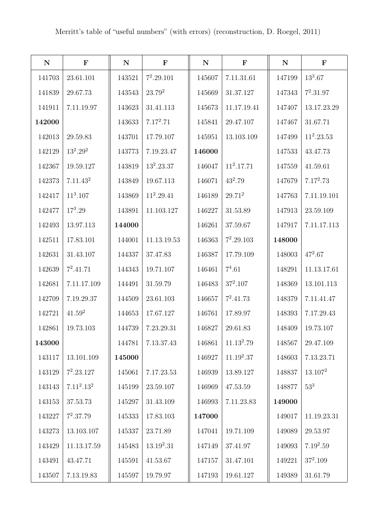| ${\bf N}$ | $\mathbf F$          | ${\bf N}$ | $\mathbf F$  | ${\bf N}$ | $\mathbf F$  | ${\bf N}$ | $\mathbf F$         |
|-----------|----------------------|-----------|--------------|-----------|--------------|-----------|---------------------|
| 141703    | 23.61.101            | 143521    | $7^2.29.101$ | 145607    | 7.11.31.61   | 147199    | $13^3.67$           |
| 141839    | 29.67.73             | 143543    | $23.79^2$    | 145669    | 31.37.127    | 147343    | $7^2.31.97$         |
| 141911    | 7.11.19.97           | 143623    | 31.41.113    | 145673    | 11.17.19.41  | 147407    | 13.17.23.29         |
| 142000    |                      | 143633    | $7.17^2.71$  | 145841    | 29.47.107    | 147467    | 31.67.71            |
| 142013    | 29.59.83             | 143701    | 17.79.107    | 145951    | 13.103.109   | 147499    | $11^2.23.53$        |
| 142129    | $13^2.29^2$          | 143773    | 7.19.23.47   | 146000    |              | 147533    | 43.47.73            |
| 142367    | 19.59.127            | 143819    | $13^2.23.37$ | 146047    | $11^2.17.71$ | 147559    | 41.59.61            |
| 142373    | 7.11.43 <sup>2</sup> | 143849    | 19.67.113    | 146071    | $43^2.79$    | 147679    | $7.17^2.73$         |
| 142417    | $11^3.107$           | 143869    | $11^2.29.41$ | 146189    | $29.71^2$    | 147763    | 7.11.19.101         |
| 142477    | $17^3.29$            | 143891    | 11.103.127   | 146227    | 31.53.89     | 147913    | 23.59.109           |
| 142493    | 13.97.113            | 144000    |              | 146261    | 37.59.67     | 147917    | 7.11.17.113         |
| 142511    | 17.83.101            | 144001    | 11.13.19.53  | 146363    | $7^2.29.103$ | 148000    |                     |
| 142631    | 31.43.107            | 144337    | 37.47.83     | 146387    | 17.79.109    | 148003    | $47^2.67$           |
| 142639    | $7^2.41.71$          | 144343    | 19.71.107    | 146461    | $7^4.61$     | 148291    | 11.13.17.61         |
| 142681    | 7.11.17.109          | 144491    | 31.59.79     | 146483    | $37^2.107$   | 148369    | 13.101.113          |
| 142709    | 7.19.29.37           | 144509    | 23.61.103    | 146657    | $7^2.41.73$  | 148379    | 7.11.41.47          |
| 142721    | $41.59^2$            | 144653    | 17.67.127    | 146761    | 17.89.97     | 148393    | 7.17.29.43          |
| 142861    | 19.73.103            | 144739    | 7.23.29.31   | 146827    | 29.61.83     | 148409    | 19.73.107           |
| 143000    |                      | 144781    | 7.13.37.43   | 146861    | $11.13^2.79$ | 148567    | 29.47.109           |
| 143117    | 13.101.109           | 145000    |              | 146927    | $11.19^2.37$ | 148603    | 7.13.23.71          |
| 143129    | $7^2.23.127$         | 145061    | 7.17.23.53   | 146939    | 13.89.127    | 148837    | 13.107 <sup>2</sup> |
| 143143    | $7.11^2.13^2$        | 145199    | 23.59.107    | 146969    | 47.53.59     | 148877    | 53 <sup>3</sup>     |
| 143153    | 37.53.73             | 145297    | 31.43.109    | 146993    | 7.11.23.83   | 149000    |                     |
| 143227    | $7^2.37.79$          | 145333    | 17.83.103    | 147000    |              | 149017    | 11.19.23.31         |
| 143273    | 13.103.107           | 145337    | 23.71.89     | 147041    | 19.71.109    | 149089    | 29.53.97            |
| 143429    | 11.13.17.59          | 145483    | $13.19^2.31$ | 147149    | 37.41.97     | 149093    | $7.19^2.59$         |
| 143491    | 43.47.71             | 145591    | 41.53.67     | 147157    | 31.47.101    | 149221    | $37^2.109$          |
| 143507    | 7.13.19.83           | 145597    | 19.79.97     | 147193    | 19.61.127    | 149389    | 31.61.79            |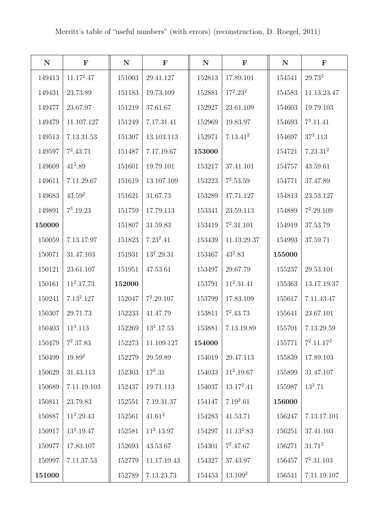| ${\bf N}$ | $\mathbf F$  | ${\bf N}$  | $\mathbf F$  | ${\bf N}$ | $\mathbf F$          | ${\bf N}$  | $\mathbf F$          |
|-----------|--------------|------------|--------------|-----------|----------------------|------------|----------------------|
| 149413    | $11.17^2.47$ | 151003     | 29.41.127    | 152813    | 17.89.101            | 154541     | $29.73^{\mathrm{2}}$ |
| 149431    | 23.73.89     | 151183     | 19.73.109    | 152881    | $17^2.23^2$          | 154583     | 11.13.23.47          |
| 149477    | 23.67.97     | 151219     | 37.61.67     | 152927    | 23.61.109            | 154603     | 19.79.103            |
| 149479    | 11.107.127   | 151249     | 7.17.31.41   | 152969    | 19.83.97             | 154693     | $7^3.11.41$          |
| 149513    | 7.13.31.53   | 151307     | 13.103.113   | 152971    | 7.13.41 <sup>2</sup> | 154697     | $37^2.113$           |
| 149597    | $7^2.43.71$  | 151487     | 7.17.19.67   | 153000    |                      | 154721     | 7.23.31 <sup>2</sup> |
| 149609    | $41^2.89$    | 151601     | 19.79.101    | 153217    | 37.41.101            | 154757     | 43.59.61             |
| 149611    | 7.11.29.67   | 151619     | 13.107.109   | 153223    | $7^2.53.59$          | 154771     | 37.47.89             |
| 149683    | $43.59^2$    | 151621     | 31.67.73     | 153289    | 17.71.127            | 154813     | 23.53.127            |
| 149891    | $7^3.19.23$  | $151759\,$ | 17.79.113    | 153341    | 23.59.113            | 154889     | $7^2.29.109$         |
| 150000    |              | 151807     | 31.59.83     | 153419    | $7^2.31.101$         | 154919     | 37.53.79             |
| 150059    | 7.13.17.97   | 151823     | $7.23^2.41$  | 153439    | 11.13.29.37          | 154993     | 37.59.71             |
| 150071    | 31.47.103    | 151931     | $13^2.29.31$ | 153467    | $43^2.83$            | 155000     |                      |
| 150121    | 23.61.107    | 151951     | 47.53.61     | 153497    | 29.67.79             | 155237     | 29.53.101            |
| 150161    | $11^2.17.73$ | 152000     |              | 153791    | $11^2.31.41$         | 155363     | 13.17.19.37          |
| 150241    | $7.13^2.127$ | 152047     | $7^2.29.107$ | 153799    | 17.83.109            | 155617     | 7.11.43.47           |
| 150307    | 29.71.73     | 152233     | 41.47.79     | 153811    | $7^2.43.73$          | 155641     | 23.67.101            |
| 150403    | $11^3.113$   | 152269     | $13^2.17.53$ | 153881    | 7.13.19.89           | 155701     | 7.13.29.59           |
| 150479    | $7^2.37.83$  | 152273     | 11.109.127   | 154000    |                      | 155771     | $7^2.11.17^2$        |
| 150499    | $19.89^{2}$  | 152279     | 29.59.89     | 154019    | 29.47.113            | 155839     | 17.89.103            |
| 150629    | 31.43.113    | 152303     | $17^3.31$    | 154033    | $11^2.19.67$         | $155899\,$ | 31.47.107            |
| 150689    | 7.11.19.103  | 152437     | 19.71.113    | 154037    | $13.17^2.41$         | 155987     | $13^3.71$            |
| 150811    | 23.79.83     | 152551     | 7.19.31.37   | 154147    | $7.19^2.61$          | 156000     |                      |
| 150887    | $11^2.29.43$ | 152561     | $41.61^2$    | 154283    | 41.53.71             | 156247     | 7.13.17.101          |
| 150917    | $13^2.19.47$ | 152581     | $11^2.13.97$ | 154297    | $11.13^2.83$         | 156251     | 37.41.103            |
| 150977    | 17.83.107    | 152693     | 43.53.67     | 154301    | $7^2.47.67$          | 156271     | $31.71^2$            |
| 150997    | 7.11.37.53   | $152779\,$ | 11.17.19.43  | 154327    | 37.43.97             | 156457     | $7^2.31.103$         |
| 151000    |              | 152789     | 7.13.23.73   | 154453    | 13.109 <sup>2</sup>  | 156541     | 7.11.19.107          |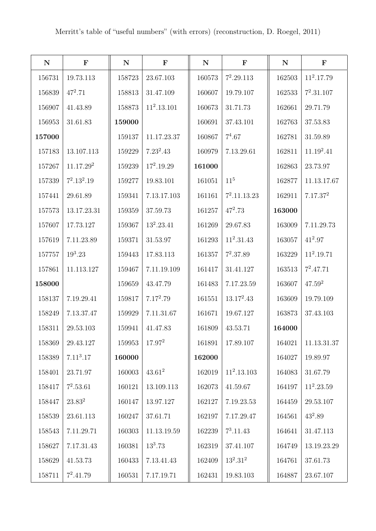| ${\bf N}$ | $\mathbf F$           | ${\bf N}$ | $\mathbf F$        | ${\bf N}$ | $\mathbf F$     | ${\bf N}$ | $\mathbf F$          |
|-----------|-----------------------|-----------|--------------------|-----------|-----------------|-----------|----------------------|
| 156731    | 19.73.113             | 158723    | 23.67.103          | 160573    | $7^2.29.113$    | 162503    | $11^2.17.79$         |
| 156839    | $47^2.71$             | 158813    | 31.47.109          | 160607    | 19.79.107       | 162533    | $7^2.31.107$         |
| 156907    | 41.43.89              | 158873    | $11^2.13.101$      | 160673    | 31.71.73        | 162661    | 29.71.79             |
| 156953    | 31.61.83              | 159000    |                    | 160691    | 37.43.101       | 162763    | 37.53.83             |
| 157000    |                       | 159137    | 11.17.23.37        | 160867    | $7^4.67$        | 162781    | 31.59.89             |
| 157183    | 13.107.113            | 159229    | $7.23^2.43$        | 160979    | 7.13.29.61      | 162811    | $11.19^2.41$         |
| 157267    | 11.17.29 <sup>2</sup> | 159239    | $17^2.19.29$       | 161000    |                 | 162863    | 23.73.97             |
| 157339    | $7^2.13^2.19$         | 159277    | 19.83.101          | 161051    | 11 <sup>5</sup> | 162877    | 11.13.17.67          |
| 157441    | 29.61.89              | 159341    | 7.13.17.103        | 161161    | $7^2.11.13.23$  | 162911    | 7.17.37 <sup>2</sup> |
| 157573    | 13.17.23.31           | 159359    | 37.59.73           | 161257    | $47^2.73$       | 163000    |                      |
| 157607    | 17.73.127             | 159367    | $13^2.23.41$       | 161269    | 29.67.83        | 163009    | 7.11.29.73           |
| 157619    | 7.11.23.89            | 159371    | 31.53.97           | 161293    | $11^2.31.43$    | 163057    | $41^2.97$            |
| 157757    | $19^3.23$             | 159443    | 17.83.113          | 161357    | $7^2.37.89$     | 163229    | $11^2.19.71$         |
| 157861    | 11.113.127            | 159467    | 7.11.19.109        | 161417    | 31.41.127       | 163513    | $7^2.47.71$          |
| 158000    |                       | 159659    | 43.47.79           | 161483    | 7.17.23.59      | 163607    | $47.59^{2}$          |
| 158137    | 7.19.29.41            | 159817    | $7.17^2.79$        | 161551    | $13.17^2.43$    | 163609    | 19.79.109            |
| 158249    | 7.13.37.47            | 159929    | 7.11.31.67         | 161671    | 19.67.127       | 163873    | 37.43.103            |
| 158311    | 29.53.103             | 159941    | 41.47.83           | 161809    | 43.53.71        | 164000    |                      |
| 158369    | 29.43.127             | 159953    | 17.97 <sup>2</sup> | 161891    | 17.89.107       | 164021    | 11.13.31.37          |
| 158389    | 7.11 <sup>3</sup> .17 | 160000    |                    | 162000    |                 | 164027    | 19.89.97             |
| 158401    | 23.71.97              | 160003    | $43.61^2$          | 162019    | $11^2.13.103$   | 164083    | 31.67.79             |
| 158417    | $7^2.53.61$           | 160121    | 13.109.113         | 162073    | 41.59.67        | 164197    | $11^2.23.59$         |
| 158447    | $23.83^{2}$           | 160147    | 13.97.127          | 162127    | 7.19.23.53      | 164459    | 29.53.107            |
| 158539    | 23.61.113             | 160247    | 37.61.71           | 162197    | 7.17.29.47      | 164561    | $43^2.89$            |
| 158543    | 7.11.29.71            | 160303    | 11.13.19.59        | 162239    | $7^3.11.43$     | 164641    | 31.47.113            |
| 158627    | 7.17.31.43            | 160381    | $13^3.73$          | 162319    | 37.41.107       | 164749    | 13.19.23.29          |
| 158629    | 41.53.73              | 160433    | 7.13.41.43         | 162409    | $13^2.31^2$     | 164761    | 37.61.73             |
| 158711    | $7^2.41.79$           | 160531    | 7.17.19.71         | 162431    | 19.83.103       | 164887    | 23.67.107            |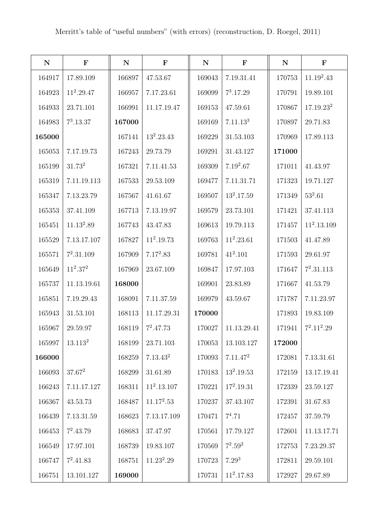| ${\bf N}$ | $\mathbf F$            | ${\bf N}$ | $\mathbf F$          | ${\bf N}$ | $\mathbf F$          | ${\bf N}$ | $\mathbf F$           |
|-----------|------------------------|-----------|----------------------|-----------|----------------------|-----------|-----------------------|
| 164917    | 17.89.109              | 166897    | 47.53.67             | 169043    | 7.19.31.41           | 170753    | $11.19^2.43$          |
| 164923    | $11^2.29.47$           | 166957    | 7.17.23.61           | 169099    | $7^3.17.29$          | 170791    | 19.89.101             |
| 164933    | 23.71.101              | 166991    | 11.17.19.47          | 169153    | 47.59.61             | 170867    | 17.19.23 <sup>2</sup> |
| 164983    | $7^3.13.37$            | 167000    |                      | 169169    | 7.11.13 <sup>3</sup> | 170897    | 29.71.83              |
| 165000    |                        | 167141    | $13^2.23.43$         | 169229    | 31.53.103            | 170969    | 17.89.113             |
| 165053    | 7.17.19.73             | 167243    | 29.73.79             | 169291    | 31.43.127            | 171000    |                       |
| 165199    | 31.73 <sup>2</sup>     | 167321    | 7.11.41.53           | 169309    | $7.19^2.67$          | 171011    | 41.43.97              |
| 165319    | 7.11.19.113            | 167533    | 29.53.109            | 169477    | 7.11.31.71           | 171323    | 19.71.127             |
| 165347    | 7.13.23.79             | 167567    | 41.61.67             | 169507    | $13^2.17.59$         | 171349    | $53^2.61$             |
| 165353    | 37.41.109              | 167713    | 7.13.19.97           | 169579    | 23.73.101            | 171421    | 37.41.113             |
| 165451    | 11.13 <sup>2</sup> .89 | 167743    | 43.47.83             | 169613    | 19.79.113            | 171457    | $11^2.13.109$         |
| 165529    | 7.13.17.107            | 167827    | $11^2.19.73$         | 169763    | $11^2.23.61$         | 171503    | 41.47.89              |
| 165571    | $7^2.31.109$           | 167909    | $7.17^2.83$          | 169781    | $41^2.101$           | 171593    | 29.61.97              |
| 165649    | $11^2.37^2$            | 167969    | 23.67.109            | 169847    | 17.97.103            | 171647    | $7^2.31.113$          |
| 165737    | 11.13.19.61            | 168000    |                      | 169901    | 23.83.89             | 171667    | 41.53.79              |
| 165851    | 7.19.29.43             | 168091    | 7.11.37.59           | 169979    | 43.59.67             | 171787    | 7.11.23.97            |
| 165943    | 31.53.101              | 168113    | 11.17.29.31          | 170000    |                      | 171893    | 19.83.109             |
| 165967    | 29.59.97               | 168119    | $7^2.47.73$          | 170027    | 11.13.29.41          | 171941    | $7^2.11^2.29$         |
| 165997    | 13.113 <sup>2</sup>    | 168199    | 23.71.103            | 170053    | 13.103.127           | 172000    |                       |
| 166000    |                        | 168259    | 7.13.43 <sup>2</sup> | 170093    | 7.11.47 <sup>2</sup> | 172081    | 7.13.31.61            |
| 166093    | $37.67^2$              | 168299    | 31.61.89             | 170183    | $13^2.19.53$         | 172159    | 13.17.19.41           |
| 166243    | 7.11.17.127            | 168311    | $11^2.13.107$        | 170221    | $17^2.19.31$         | 172339    | 23.59.127             |
| 166367    | 43.53.73               | 168487    | $11.17^2.53$         | 170237    | 37.43.107            | 172391    | 31.67.83              |
| 166439    | 7.13.31.59             | 168623    | 7.13.17.109          | 170471    | $7^4.71$             | 172457    | 37.59.79              |
| 166453    | $7^2.43.79$            | 168683    | 37.47.97             | 170561    | 17.79.127            | 172601    | 11.13.17.71           |
| 166549    | 17.97.101              | 168739    | 19.83.107            | 170569    | $7^2.59^2$           | 172753    | 7.23.29.37            |
| 166747    | $7^2.41.83$            | 168751    | $11.23^2.29$         | 170723    | $7.29^{3}$           | 172811    | 29.59.101             |
| 166751    | 13.101.127             | 169000    |                      | 170731    | $11^2.17.83$         | 172927    | 29.67.89              |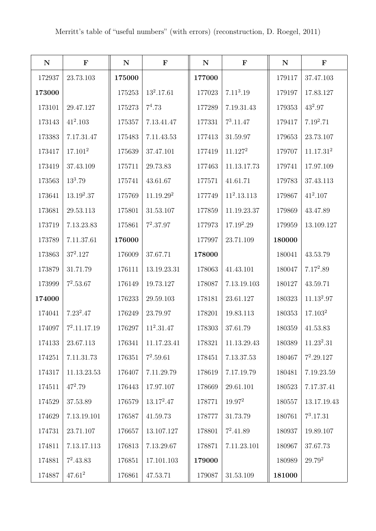| ${\bf N}$ | $\mathbf F$         | ${\bf N}$ | $\mathbf F$           | ${\bf N}$ | $\mathbf F$           | ${\bf N}$ | $\mathbf F$           |
|-----------|---------------------|-----------|-----------------------|-----------|-----------------------|-----------|-----------------------|
| 172937    | 23.73.103           | 175000    |                       | 177000    |                       | 179117    | 37.47.103             |
| 173000    |                     | 175253    | $13^2.17.61$          | 177023    | 7.11 <sup>3</sup> .19 | 179197    | 17.83.127             |
| 173101    | 29.47.127           | 175273    | $7^4.73$              | 177289    | 7.19.31.43            | 179353    | $43^2.97$             |
| 173143    | $41^2.103$          | 175357    | 7.13.41.47            | 177331    | $7^3.11.47$           | 179417    | 7.192.71              |
| 173383    | 7.17.31.47          | 175483    | 7.11.43.53            | 177413    | 31.59.97              | 179653    | 23.73.107             |
| 173417    | 17.101 <sup>2</sup> | 175639    | 37.47.101             | 177419    | 11.127 <sup>2</sup>   | 179707    | 11.17.31 <sup>2</sup> |
| 173419    | 37.43.109           | 175711    | 29.73.83              | 177463    | 11.13.17.73           | 179741    | 17.97.109             |
| 173563    | $13^3.79$           | 175741    | 43.61.67              | 177571    | 41.61.71              | 179783    | 37.43.113             |
| 173641    | $13.19^2.37$        | 175769    | 11.19.29 <sup>2</sup> | 177749    | $11^2.13.113$         | 179867    | $41^2.107$            |
| 173681    | 29.53.113           | 175801    | 31.53.107             | 177859    | 11.19.23.37           | 179869    | 43.47.89              |
| 173719    | 7.13.23.83          | 175861    | $7^2.37.97$           | 177973    | $17.19^2.29$          | 179959    | 13.109.127            |
| 173789    | 7.11.37.61          | 176000    |                       | 177997    | 23.71.109             | 180000    |                       |
| 173863    | $37^2.127$          | 176009    | 37.67.71              | 178000    |                       | 180041    | 43.53.79              |
| 173879    | 31.71.79            | 176111    | 13.19.23.31           | 178063    | 41.43.101             | 180047    | $7.17^2.89$           |
| 173999    | $7^2.53.67$         | 176149    | 19.73.127             | 178087    | 7.13.19.103           | 180127    | 43.59.71              |
| 174000    |                     | 176233    | 29.59.103             | 178181    | 23.61.127             | 180323    | $11.13^{2}.97$        |
| 174041    | $7.23^2.47$         | 176249    | 23.79.97              | 178201    | 19.83.113             | 180353    | 17.103 <sup>2</sup>   |
| 174097    | $7^2.11.17.19$      | 176297    | $11^2.31.47$          | 178303    | 37.61.79              | 180359    | 41.53.83              |
| 174133    | 23.67.113           | 176341    | 11.17.23.41           | 178321    | 11.13.29.43           | 180389    | $11.23^2.31$          |
| 174251    | 7.11.31.73          | 176351    | $7^2.59.61$           | 178451    | 7.13.37.53            | 180467    | $7^2.29.127$          |
| 174317    | 11.13.23.53         | 176407    | 7.11.29.79            | 178619    | 7.17.19.79            | 180481    | 7.19.23.59            |
| 174511    | $47^2.79$           | 176443    | 17.97.107             | 178669    | 29.61.101             | 180523    | 7.17.37.41            |
| 174529    | 37.53.89            | 176579    | $13.17^2.47$          | 178771    | $19.97^2$             | 180557    | 13.17.19.43           |
| 174629    | 7.13.19.101         | 176587    | 41.59.73              | 178777    | 31.73.79              | 180761    | $7^3.17.31$           |
| 174731    | 23.71.107           | 176657    | 13.107.127            | 178801    | $7^2.41.89$           | 180937    | 19.89.107             |
| 174811    | 7.13.17.113         | 176813    | 7.13.29.67            | 178871    | 7.11.23.101           | 180967    | 37.67.73              |
| 174881    | $7^2.43.83$         | 176851    | 17.101.103            | 179000    |                       | 180989    | $29.79^{2}$           |
| 174887    | $47.61^2$           | 176861    | 47.53.71              | 179087    | 31.53.109             | 181000    |                       |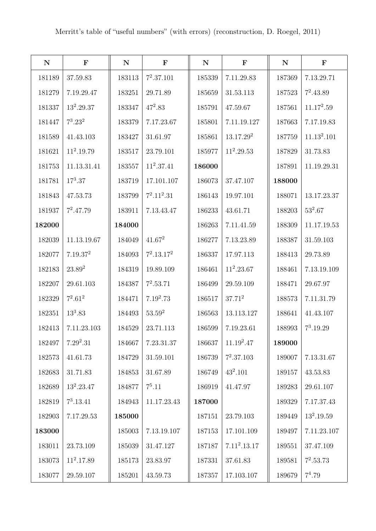| ${\bf N}$ | $\mathbf F$          | ${\bf N}$ | $\mathbf F$   | ${\bf N}$ | $\mathbf F$           | $\mathbf N$ | $\mathbf F$             |
|-----------|----------------------|-----------|---------------|-----------|-----------------------|-------------|-------------------------|
| 181189    | 37.59.83             | 183113    | $7^2.37.101$  | 185339    | 7.11.29.83            | 187369      | 7.13.29.71              |
| 181279    | 7.19.29.47           | 183251    | 29.71.89      | 185659    | 31.53.113             | 187523      | $7^2.43.89$             |
| 181337    | $13^2.29.37$         | 183347    | $47^2.83$     | 185791    | 47.59.67              | 187561      | $11.17^2.59$            |
| 181447    | $7^3.23^2$           | 183379    | 7.17.23.67    | 185801    | 7.11.19.127           | 187663      | 7.17.19.83              |
| 181589    | 41.43.103            | 183427    | 31.61.97      | 185861    | 13.17.29 <sup>2</sup> | 187759      | 11.13 <sup>2</sup> .101 |
| 181621    | $11^2.19.79$         | 183517    | 23.79.101     | 185977    | $11^2.29.53$          | 187829      | 31.73.83                |
| 181753    | 11.13.31.41          | 183557    | $11^2.37.41$  | 186000    |                       | 187891      | 11.19.29.31             |
| 181781    | $17^3.37$            | 183719    | 17.101.107    | 186073    | 37.47.107             | 188000      |                         |
| 181843    | 47.53.73             | 183799    | $7^2.11^2.31$ | 186143    | 19.97.101             | 188071      | 13.17.23.37             |
| 181937    | $7^2.47.79$          | 183911    | 7.13.43.47    | 186233    | 43.61.71              | 188203      | $53^2.67$               |
| 182000    |                      | 184000    |               | 186263    | 7.11.41.59            | 188309      | 11.17.19.53             |
| 182039    | 11.13.19.67          | 184049    | $41.67^2$     | 186277    | 7.13.23.89            | 188387      | 31.59.103               |
| 182077    | 7.19.37 <sup>2</sup> | 184093    | $7^2.13.17^2$ | 186337    | 17.97.113             | 188413      | 29.73.89                |
| 182183    | $23.89^{2}$          | 184319    | 19.89.109     | 186461    | $11^2.23.67$          | 188461      | 7.13.19.109             |
| 182207    | 29.61.103            | 184387    | $7^2.53.71$   | 186499    | 29.59.109             | 188471      | 29.67.97                |
| 182329    | $7^2.61^2$           | 184471    | $7.19^2.73$   | 186517    | $37.71^2$             | 188573      | 7.11.31.79              |
| 182351    | $13^3.83$            | 184493    | $53.59^{2}$   | 186563    | 13.113.127            | 188641      | 41.43.107               |
| 182413    | 7.11.23.103          | 184529    | 23.71.113     | 186599    | 7.19.23.61            | 188993      | $7^3.19.29$             |
| 182497    | $7.29^2.31$          | 184667    | 7.23.31.37    | 186637    | $11.19^2.47$          | 189000      |                         |
| 182573    | 41.61.73             | 184729    | 31.59.101     | 186739    | $7^2.37.103$          | 189007      | 7.13.31.67              |
| 182683    | 31.71.83             | 184853    | 31.67.89      | 186749    | $43^2.101$            | 189157      | 43.53.83                |
| 182689    | $13^2.23.47$         | 184877    | $7^5.11$      | 186919    | 41.47.97              | 189283      | 29.61.107               |
| 182819    | $7^3.13.41$          | 184943    | 11.17.23.43   | 187000    |                       | 189329      | 7.17.37.43              |
| 182903    | 7.17.29.53           | 185000    |               | 187151    | 23.79.103             | 189449      | $13^2.19.59$            |
| 183000    |                      | 185003    | 7.13.19.107   | 187153    | 17.101.109            | 189497      | 7.11.23.107             |
| 183011    | 23.73.109            | 185039    | 31.47.127     | 187187    | $7.11^2.13.17$        | 189551      | 37.47.109               |
| 183073    | $11^2.17.89$         | 185173    | 23.83.97      | 187331    | 37.61.83              | 189581      | $7^2.53.73$             |
| 183077    | 29.59.107            | 185201    | 43.59.73      | 187357    | 17.103.107            | 189679      | $7^4.79$                |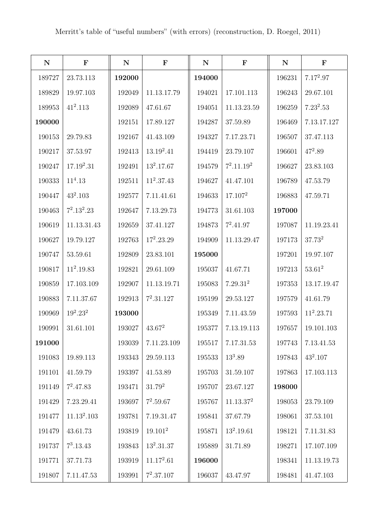| ${\bf N}$ | $\mathbf F$             | ${\bf N}$ | $\mathbf F$         | ${\bf N}$ | $\mathbf F$           | ${\bf N}$ | $\mathbf F$  |
|-----------|-------------------------|-----------|---------------------|-----------|-----------------------|-----------|--------------|
| 189727    | 23.73.113               | 192000    |                     | 194000    |                       | 196231    | $7.17^2.97$  |
| 189829    | 19.97.103               | 192049    | 11.13.17.79         | 194021    | 17.101.113            | 196243    | 29.67.101    |
| 189953    | $41^2.113$              | 192089    | 47.61.67            | 194051    | 11.13.23.59           | 196259    | $7.23^2.53$  |
| 190000    |                         | 192151    | 17.89.127           | 194287    | 37.59.89              | 196469    | 7.13.17.127  |
| 190153    | 29.79.83                | 192167    | 41.43.109           | 194327    | 7.17.23.71            | 196507    | 37.47.113    |
| 190217    | 37.53.97                | 192413    | $13.19^2.41$        | 194419    | 23.79.107             | 196601    | $47^2.89$    |
| 190247    | $17.19^2.31$            | 192491    | $13^2.17.67$        | 194579    | $7^2.11.19^2$         | 196627    | 23.83.103    |
| 190333    | $11^4.13$               | 192511    | $11^2.37.43$        | 194627    | 41.47.101             | 196789    | 47.53.79     |
| 190447    | $43^2.103$              | 192577    | 7.11.41.61          | 194633    | 17.107 <sup>2</sup>   | 196883    | 47.59.71     |
| 190463    | $7^2.13^2.23$           | 192647    | 7.13.29.73          | 194773    | 31.61.103             | 197000    |              |
| 190619    | 11.13.31.43             | 192659    | 37.41.127           | 194873    | $7^2.41.97$           | 197087    | 11.19.23.41  |
| 190627    | 19.79.127               | 192763    | $17^2.23.29$        | 194909    | 11.13.29.47           | 197173    | $37.73^{2}$  |
| 190747    | 53.59.61                | 192809    | 23.83.101           | 195000    |                       | 197201    | 19.97.107    |
| 190817    | $11^2.19.83$            | 192821    | 29.61.109           | 195037    | 41.67.71              | 197213    | $53.61^2$    |
| 190859    | 17.103.109              | 192907    | 11.13.19.71         | 195083    | 7.29.31 <sup>2</sup>  | 197353    | 13.17.19.47  |
| 190883    | 7.11.37.67              | 192913    | $7^2.31.127$        | 195199    | 29.53.127             | 197579    | 41.61.79     |
| 190969    | $19^2.23^2$             | 193000    |                     | 195349    | 7.11.43.59            | 197593    | $11^2.23.71$ |
| 190991    | 31.61.101               | 193027    | $43.67^2$           | 195377    | 7.13.19.113           | 197657    | 19.101.103   |
| 191000    |                         | 193039    | 7.11.23.109         | 195517    | 7.17.31.53            | 197743    | 7.13.41.53   |
| 191083    | 19.89.113               | 193343    | 29.59.113           | 195533    | $13^3.89$             | 197843    | $43^2.107$   |
| 191101    | 41.59.79                | 193397    | 41.53.89            | 195703    | 31.59.107             | 197863    | 17.103.113   |
| 191149    | $7^2.47.83$             | 193471    | $31.79^2$           | 195707    | 23.67.127             | 198000    |              |
| 191429    | 7.23.29.41              | 193697    | $7^2.59.67$         | 195767    | 11.13.37 <sup>2</sup> | 198053    | 23.79.109    |
| 191477    | 11.13 <sup>2</sup> .103 | 193781    | 7.19.31.47          | 195841    | 37.67.79              | 198061    | 37.53.101    |
| 191479    | 43.61.73                | 193819    | 19.101 <sup>2</sup> | 195871    | $13^2.19.61$          | 198121    | 7.11.31.83   |
| 191737    | $7^3.13.43$             | 193843    | $13^2.31.37$        | 195889    | 31.71.89              | 198271    | 17.107.109   |
| 191771    | 37.71.73                | 193919    | $11.17^2.61$        | 196000    |                       | 198341    | 11.13.19.73  |
| 191807    | 7.11.47.53              | 193991    | $7^2.37.107$        | 196037    | 43.47.97              | 198481    | 41.47.103    |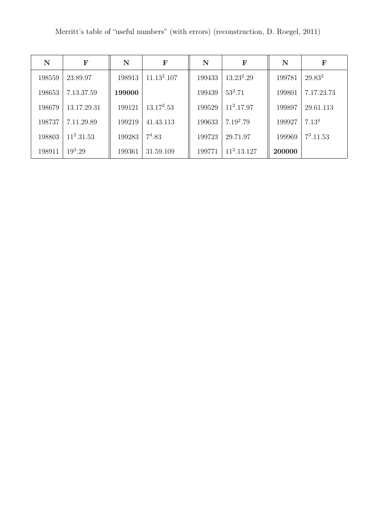| N      | $\mathbf F$  | N      | ${\bf F}$               | $\mathbf N$ | $\mathbf F$   | N      | F                 |
|--------|--------------|--------|-------------------------|-------------|---------------|--------|-------------------|
| 198559 | 23.89.97     | 198913 | 11.13 <sup>2</sup> .107 | 199433      | $13.23^2.29$  | 199781 | $29.83^2$         |
| 198653 | 7.13.37.59   | 199000 |                         | 199439      | $53^2.71$     | 199801 | 7.17.23.73        |
| 198679 | 13.17.29.31  | 199121 | $13.17^2.53$            | 199529      | $11^2.17.97$  | 199897 | 29.61.113         |
| 198737 | 7.11.29.89   | 199219 | 41.43.113               | 199633      | $7.19^2.79$   | 199927 | 7.13 <sup>4</sup> |
| 198803 | $11^2.31.53$ | 199283 | $7^4.83$                | 199723      | 29.71.97      | 199969 | $7^3.11.53$       |
| 198911 | $19^3.29$    | 199361 | 31.59.109               | 199771      | $11^2.13.127$ | 200000 |                   |

Merritt's table of "useful numbers" (with errors) (reconstruction, D. Roegel, 2011)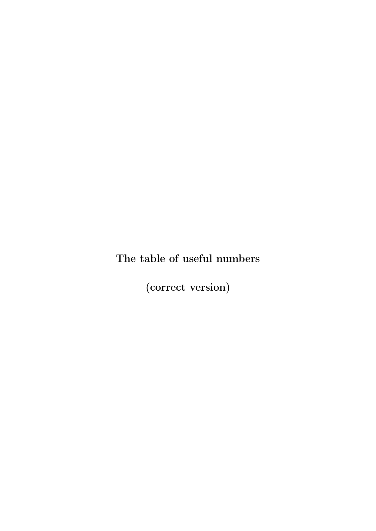## The table of useful numbers

(correct version)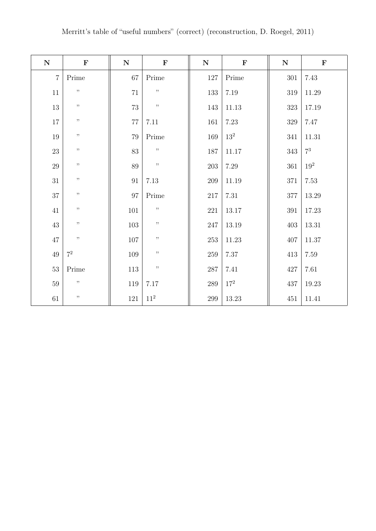| Merritt's table of "useful numbers" (correct) (reconstruction, D. Roegel, 2011) |  |  |  |  |
|---------------------------------------------------------------------------------|--|--|--|--|
|---------------------------------------------------------------------------------|--|--|--|--|

| ${\bf N}$      | $\mathbf F$ | ${\bf N}$ | $\mathbf F$     | ${\bf N}$ | $\mathbf F$     | ${\bf N}$ | $\mathbf F$     |
|----------------|-------------|-----------|-----------------|-----------|-----------------|-----------|-----------------|
| $\overline{7}$ | Prime       | $67\,$    | Prime           | 127       | Prime           | 301       | 7.43            |
| 11             | $, ,$       | $71\,$    | $, \,$          | 133       | $7.19\,$        | $319\,$   | $11.29\,$       |
| $13\,$         | $, \,$      | 73        | $, ,$           | 143       | $11.13\,$       | $323\,$   | 17.19           |
| 17             | , ,         | $77\,$    | 7.11            | 161       | 7.23            | 329       | 7.47            |
| 19             | $, \,$      | $79\,$    | Prime           | 169       | 13 <sup>2</sup> | $341\,$   | $11.31\,$       |
| $23\,$         | , ,         | 83        | $, \,$          | 187       | 11.17           | 343       | $7^3$           |
| $29\,$         | $, \,$      | 89        | $, \,$          | $203\,$   | 7.29            | $361\,$   | 19 <sup>2</sup> |
| 31             | $, \,$      | 91        | $7.13\,$        | 209       | $11.19\,$       | 371       | 7.53            |
| $37\,$         | $, \,$      | $97\,$    | Prime           | 217       | $7.31\,$        | $377\,$   | $13.29\,$       |
| 41             | $, \,$      | $101\,$   | $, \,$          | 221       | 13.17           | $391\,$   | 17.23           |
| 43             | $, \,$      | 103       | ,,              | 247       | 13.19           | 403       | 13.31           |
| $47\,$         | $, \,$      | $107\,$   | $, \,$          | 253       | 11.23           | 407       | $11.37\,$       |
| 49             | $7^2$       | 109       | ,,              | $259\,$   | $7.37\,$        | 413       | 7.59            |
| $53\,$         | Prime       | 113       | $, \,$          | $287\,$   | 7.41            | $427\,$   | 7.61            |
| 59             | $, \,$      | 119       | 7.17            | $289\,$   | $17^{2}$        | 437       | $19.23\,$       |
| $61\,$         | $, \,$      | 121       | 11 <sup>2</sup> | 299       | 13.23           | 451       | $11.41\,$       |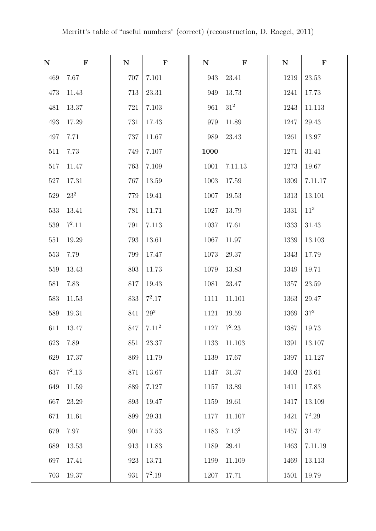| ${\bf N}$ | $\mathbf F$ | ${\bf N}$ | $\mathbf F$ | ${\bf N}$ | $\mathbf F$       | ${\bf N}$ | $\mathbf F$     |
|-----------|-------------|-----------|-------------|-----------|-------------------|-----------|-----------------|
| 469       | 7.67        | 707       | 7.101       | 943       | 23.41             | 1219      | 23.53           |
| 473       | 11.43       | 713       | 23.31       | 949       | 13.73             | 1241      | 17.73           |
| 481       | 13.37       | 721       | 7.103       | 961       | $31^2\,$          | 1243      | 11.113          |
| 493       | 17.29       | 731       | 17.43       | 979       | 11.89             | 1247      | 29.43           |
| 497       | 7.71        | 737       | 11.67       | 989       | 23.43             | 1261      | 13.97           |
| 511       | 7.73        | 749       | 7.107       | 1000      |                   | 1271      | 31.41           |
| 517       | 11.47       | 763       | 7.109       | 1001      | 7.11.13           | 1273      | 19.67           |
| 527       | 17.31       | 767       | 13.59       | 1003      | 17.59             | 1309      | 7.11.17         |
| 529       | $23^{2}$    | 779       | 19.41       | 1007      | 19.53             | 1313      | 13.101          |
| 533       | 13.41       | 781       | 11.71       | 1027      | 13.79             | 1331      | 11 <sup>3</sup> |
| 539       | $7^2.11$    | 791       | 7.113       | 1037      | 17.61             | 1333      | 31.43           |
| 551       | 19.29       | 793       | 13.61       | 1067      | 11.97             | 1339      | 13.103          |
| 553       | 7.79        | 799       | 17.47       | 1073      | 29.37             | 1343      | 17.79           |
| 559       | 13.43       | 803       | 11.73       | 1079      | 13.83             | 1349      | 19.71           |
| 581       | 7.83        | 817       | 19.43       | 1081      | 23.47             | 1357      | 23.59           |
| 583       | 11.53       | 833       | $7^2.17$    | 1111      | 11.101            | 1363      | 29.47           |
| 589       | 19.31       | 841       | $29^2\,$    | 1121      | 19.59             | 1369      | $37^2\,$        |
| 611       | 13.47       | 847       | $7.11^{2}$  | 1127      | $7^2.23$          | 1387      | 19.73           |
| 623       | 7.89        | 851       | 23.37       | 1133      | 11.103            | 1391      | 13.107          |
| 629       | 17.37       | 869       | 11.79       | 1139      | 17.67             | 1397      | 11.127          |
| 637       | $7^2.13$    | 871       | 13.67       | 1147      | 31.37             | 1403      | 23.61           |
| 649       | $11.59\,$   | 889       | 7.127       | 1157      | 13.89             | 1411      | 17.83           |
| 667       | 23.29       | 893       | 19.47       | 1159      | 19.61             | 1417      | 13.109          |
| 671       | 11.61       | 899       | 29.31       | 1177      | 11.107            | 1421      | $7^2.29$        |
| 679       | 7.97        | 901       | 17.53       | 1183      | 7.13 <sup>2</sup> | 1457      | 31.47           |
| 689       | 13.53       | 913       | 11.83       | 1189      | 29.41             | 1463      | 7.11.19         |
| 697       | 17.41       | 923       | 13.71       | 1199      | 11.109            | 1469      | 13.113          |
| 703       | 19.37       | 931       | $7^2.19$    | 1207      | 17.71             | 1501      | 19.79           |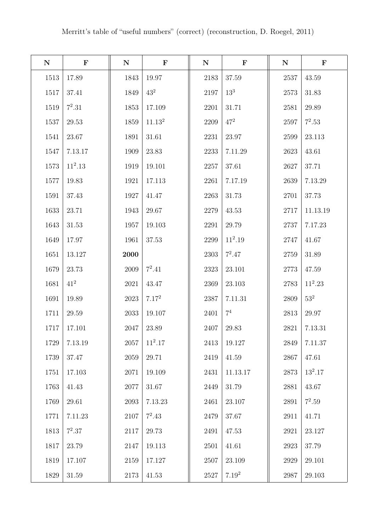| ${\bf N}$ | $\mathbf F$ | ${\bf N}$ | $\mathbf F$     | ${\bf N}$ | $\mathbf F$     | $\mathbf N$ | $\mathbf F$ |
|-----------|-------------|-----------|-----------------|-----------|-----------------|-------------|-------------|
| 1513      | 17.89       | 1843      | 19.97           | 2183      | 37.59           | 2537        | $43.59\,$   |
| 1517      | 37.41       | 1849      | $43^2$          | 2197      | 13 <sup>3</sup> | 2573        | 31.83       |
| 1519      | $7^2.31$    | 1853      | 17.109          | 2201      | 31.71           | 2581        | 29.89       |
| 1537      | $29.53\,$   | 1859      | $11.13^{\rm 2}$ | 2209      | $47^{2}$        | 2597        | $7^2.53$    |
| 1541      | 23.67       | 1891      | 31.61           | 2231      | 23.97           | 2599        | 23.113      |
| 1547      | 7.13.17     | 1909      | 23.83           | 2233      | 7.11.29         | 2623        | 43.61       |
| 1573      | $11^2.13$   | 1919      | 19.101          | 2257      | 37.61           | 2627        | 37.71       |
| 1577      | 19.83       | 1921      | 17.113          | 2261      | 7.17.19         | 2639        | 7.13.29     |
| 1591      | 37.43       | 1927      | 41.47           | 2263      | 31.73           | 2701        | 37.73       |
| 1633      | 23.71       | 1943      | 29.67           | 2279      | 43.53           | 2717        | 11.13.19    |
| 1643      | 31.53       | 1957      | 19.103          | 2291      | 29.79           | 2737        | 7.17.23     |
| 1649      | 17.97       | 1961      | $37.53\,$       | 2299      | $11^2.19$       | 2747        | 41.67       |
| 1651      | 13.127      | 2000      |                 | 2303      | $7^2.47$        | 2759        | 31.89       |
| 1679      | 23.73       | 2009      | $7^2.41$        | 2323      | 23.101          | 2773        | 47.59       |
| 1681      | $41^{2}$    | 2021      | 43.47           | 2369      | 23.103          | 2783        | $11^2.23$   |
| 1691      | 19.89       | 2023      | $7.17^{2}$      | 2387      | 7.11.31         | 2809        | $53^2$      |
| 1711      | $29.59\,$   | 2033      | 19.107          | 2401      | 7 <sup>4</sup>  | 2813        | 29.97       |
| 1717      | 17.101      | 2047      | 23.89           | 2407      | 29.83           | 2821        | 7.13.31     |
| 1729      | 7.13.19     | 2057      | $11^2.17$       | 2413      | 19.127          | 2849        | 7.11.37     |
| 1739      | 37.47       | 2059      | 29.71           | 2419      | 41.59           | 2867        | 47.61       |
| 1751      | 17.103      | 2071      | 19.109          | 2431      | 11.13.17        | 2873        | $13^2.17$   |
| 1763      | 41.43       | 2077      | 31.67           | 2449      | 31.79           | 2881        | 43.67       |
| 1769      | 29.61       | 2093      | 7.13.23         | 2461      | 23.107          | 2891        | $7^2.59$    |
| 1771      | 7.11.23     | 2107      | $7^2.43$        | 2479      | 37.67           | 2911        | 41.71       |
| 1813      | $7^2.37$    | 2117      | 29.73           | 2491      | 47.53           | 2921        | 23.127      |
| 1817      | 23.79       | 2147      | 19.113          | 2501      | 41.61           | 2923        | 37.79       |
| 1819      | 17.107      | 2159      | 17.127          | 2507      | 23.109          | 2929        | 29.101      |
| 1829      | 31.59       | 2173      | 41.53           | 2527      | $7.19^2$        | 2987        | 29.103      |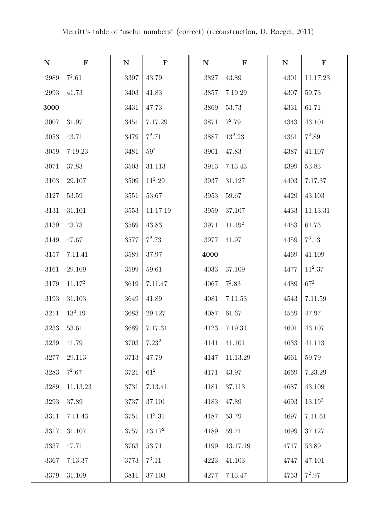| ${\bf N}$ | $\mathbf F$        | ${\bf N}$ | $\mathbf F$ | ${\bf N}$ | $\mathbf F$        | ${\bf N}$ | $\mathbf F$        |
|-----------|--------------------|-----------|-------------|-----------|--------------------|-----------|--------------------|
| 2989      | $7^2.61$           | 3397      | 43.79       | 3827      | 43.89              | 4301      | 11.17.23           |
| 2993      | 41.73              | 3403      | 41.83       | 3857      | 7.19.29            | 4307      | 59.73              |
| 3000      |                    | 3431      | 47.73       | 3869      | 53.73              | 4331      | 61.71              |
| 3007      | 31.97              | 3451      | 7.17.29     | 3871      | $7^2.79$           | 4343      | 43.101             |
| $3053\,$  | 43.71              | 3479      | $7^2.71$    | 3887      | $13^2.23$          | 4361      | $7^2.89$           |
| 3059      | 7.19.23            | 3481      | $59^2\,$    | 3901      | 47.83              | 4387      | 41.107             |
| 3071      | 37.83              | 3503      | 31.113      | 3913      | 7.13.43            | 4399      | 53.83              |
| 3103      | 29.107             | 3509      | $11^2.29$   | 3937      | 31.127             | 4403      | 7.17.37            |
| 3127      | 53.59              | 3551      | 53.67       | 3953      | 59.67              | 4429      | 43.103             |
| 3131      | 31.101             | $3553\,$  | 11.17.19    | 3959      | 37.107             | 4433      | 11.13.31           |
| 3139      | 43.73              | 3569      | 43.83       | 3971      | 11.19 <sup>2</sup> | 4453      | 61.73              |
| 3149      | 47.67              | 3577      | $7^2.73$    | 3977      | 41.97              | 4459      | $7^3.13$           |
| 3157      | 7.11.41            | 3589      | 37.97       | 4000      |                    | 4469      | 41.109             |
| 3161      | 29.109             | 3599      | 59.61       | 4033      | 37.109             | 4477      | $11^2.37$          |
| 3179      | 11.17 <sup>2</sup> | 3619      | 7.11.47     | 4067      | $7^2.83$           | 4489      | $67^2$             |
| 3193      | 31.103             | 3649      | 41.89       | 4081      | 7.11.53            | 4543      | 7.11.59            |
| 3211      | $13^2.19$          | 3683      | 29.127      | 4087      | 61.67              | 4559      | 47.97              |
| 3233      | 53.61              | 3689      | 7.17.31     | 4123      | 7.19.31            | 4601      | 43.107             |
| 3239      | 41.79              | 3703      | $7.23^2$    | 4141      | 41.101             | 4633      | 41.113             |
| 3277      | 29.113             | 3713      | 47.79       | 4147      | 11.13.29           | 4661      | 59.79              |
| 3283      | $7^2.67$           | 3721      | $61^2$      | 4171      | 43.97              | 4669      | 7.23.29            |
| 3289      | 11.13.23           | 3731      | 7.13.41     | 4181      | 37.113             | 4687      | 43.109             |
| 3293      | 37.89              | 3737      | 37.101      | 4183      | 47.89              | 4693      | 13.19 <sup>2</sup> |
| 3311      | 7.11.43            | $3751\,$  | $11^2.31$   | 4187      | 53.79              | 4697      | 7.11.61            |
| 3317      | 31.107             | 3757      | $13.17^2$   | 4189      | 59.71              | 4699      | 37.127             |
| 3337      | 47.71              | 3763      | 53.71       | 4199      | 13.17.19           | 4717      | 53.89              |
| 3367      | 7.13.37            | 3773      | $7^3.11$    | 4223      | 41.103             | 4747      | 47.101             |
| 3379      | 31.109             | 3811      | 37.103      | 4277      | 7.13.47            | 4753      | $7^2.97$           |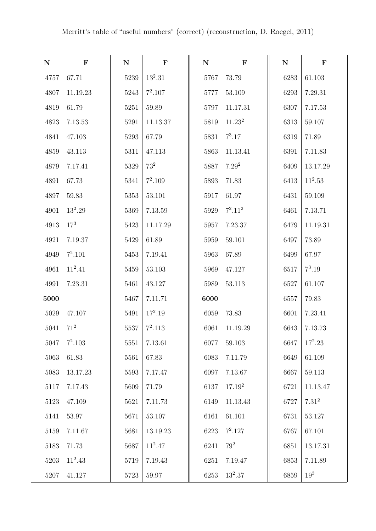| ${\bf N}$ | ${\bf F}$   | ${\bf N}$ | $\mathbf F$ | ${\bf N}$ | $\mathbf F$        | ${\bf N}$ | $\mathbf F$     |
|-----------|-------------|-----------|-------------|-----------|--------------------|-----------|-----------------|
| 4757      | 67.71       | 5239      | $13^2.31$   | 5767      | 73.79              | 6283      | 61.103          |
| 4807      | 11.19.23    | 5243      | $7^2.107$   | 5777      | 53.109             | 6293      | 7.29.31         |
| 4819      | 61.79       | 5251      | 59.89       | 5797      | 11.17.31           | 6307      | 7.17.53         |
| 4823      | $7.13.53\,$ | 5291      | 11.13.37    | 5819      | 11.23 <sup>2</sup> | 6313      | 59.107          |
| 4841      | 47.103      | 5293      | 67.79       | 5831      | $7^3.17$           | 6319      | 71.89           |
| 4859      | 43.113      | 5311      | 47.113      | 5863      | 11.13.41           | 6391      | 7.11.83         |
| 4879      | 7.17.41     | 5329      | $73^2$      | 5887      | 7.29 <sup>2</sup>  | 6409      | 13.17.29        |
| 4891      | 67.73       | 5341      | $7^2.109$   | 5893      | 71.83              | 6413      | $11^2.53$       |
| 4897      | 59.83       | 5353      | 53.101      | 5917      | 61.97              | 6431      | 59.109          |
| 4901      | $13^2.29$   | 5369      | 7.13.59     | 5929      | $7^2.11^2$         | 6461      | 7.13.71         |
| 4913      | $17^{3}$    | 5423      | 11.17.29    | 5957      | 7.23.37            | 6479      | 11.19.31        |
| 4921      | 7.19.37     | 5429      | 61.89       | 5959      | 59.101             | 6497      | 73.89           |
| 4949      | $7^2.101$   | 5453      | 7.19.41     | 5963      | 67.89              | 6499      | 67.97           |
| 4961      | $11^2.41$   | 5459      | 53.103      | 5969      | 47.127             | 6517      | $7^3.19$        |
| 4991      | 7.23.31     | 5461      | 43.127      | 5989      | 53.113             | 6527      | 61.107          |
| 5000      |             | 5467      | 7.11.71     | 6000      |                    | 6557      | 79.83           |
| 5029      | 47.107      | 5491      | $17^2.19$   | 6059      | 73.83              | 6601      | 7.23.41         |
| 5041      | $71^2$      | 5537      | $7^2.113$   | 6061      | 11.19.29           | 6643      | 7.13.73         |
| 5047      | $7^2.103$   | 5551      | 7.13.61     | 6077      | 59.103             | 6647      | $17^2.23$       |
| 5063      | 61.83       | 5561      | 67.83       | 6083      | 7.11.79            | 6649      | 61.109          |
| 5083      | 13.17.23    | 5593      | 7.17.47     | 6097      | 7.13.67            | 6667      | 59.113          |
| 5117      | 7.17.43     | 5609      | 71.79       | 6137      | $17.19^{2}$        | 6721      | 11.13.47        |
| 5123      | 47.109      | 5621      | 7.11.73     | 6149      | 11.13.43           | 6727      | $7.31^{2}$      |
| 5141      | 53.97       | 5671      | 53.107      | 6161      | 61.101             | 6731      | 53.127          |
| 5159      | 7.11.67     | 5681      | 13.19.23    | 6223      | $7^2.127$          | 6767      | 67.101          |
| 5183      | 71.73       | 5687      | $11^2.47$   | 6241      | $79^2$             | 6851      | 13.17.31        |
| 5203      | $11^2.43$   | 5719      | 7.19.43     | 6251      | 7.19.47            | 6853      | 7.11.89         |
| 5207      | 41.127      | 5723      | 59.97       | 6253      | $13^2.37$          | 6859      | 19 <sup>3</sup> |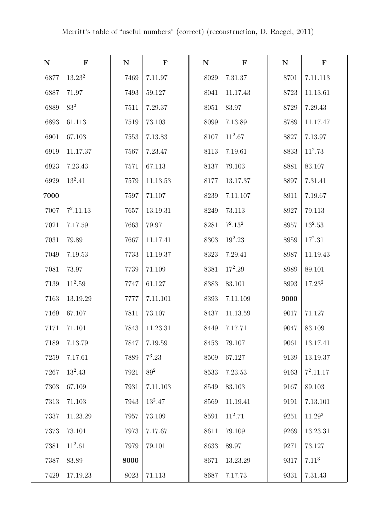| ${\bf N}$ | $\mathbf F$ | ${\bf N}$ | $\mathbf F$ | ${\bf N}$ | $\mathbf F$ | ${\bf N}$ | $\mathbf F$        |
|-----------|-------------|-----------|-------------|-----------|-------------|-----------|--------------------|
| 6877      | $13.23^{2}$ | 7469      | 7.11.97     | 8029      | 7.31.37     | 8701      | 7.11.113           |
| 6887      | 71.97       | 7493      | 59.127      | 8041      | 11.17.43    | 8723      | 11.13.61           |
| 6889      | $83^2$      | 7511      | 7.29.37     | 8051      | 83.97       | 8729      | 7.29.43            |
| 6893      | 61.113      | 7519      | 73.103      | 8099      | 7.13.89     | 8789      | 11.17.47           |
| 6901      | 67.103      | 7553      | 7.13.83     | 8107      | $11^2.67$   | 8827      | 7.13.97            |
| 6919      | 11.17.37    | 7567      | 7.23.47     | 8113      | 7.19.61     | 8833      | $11^2.73$          |
| 6923      | 7.23.43     | 7571      | 67.113      | 8137      | 79.103      | 8881      | 83.107             |
| 6929      | $13^2.41$   | 7579      | 11.13.53    | 8177      | 13.17.37    | 8897      | 7.31.41            |
| 7000      |             | 7597      | 71.107      | 8239      | 7.11.107    | 8911      | 7.19.67            |
| 7007      | $7^2.11.13$ | 7657      | 13.19.31    | 8249      | 73.113      | 8927      | 79.113             |
| 7021      | 7.17.59     | 7663      | 79.97       | 8281      | $7^2.13^2$  | 8957      | $13^2.53$          |
| 7031      | 79.89       | 7667      | 11.17.41    | 8303      | $19^2.23$   | 8959      | $17^2.31$          |
| 7049      | 7.19.53     | 7733      | 11.19.37    | 8323      | 7.29.41     | 8987      | 11.19.43           |
| 7081      | 73.97       | 7739      | 71.109      | 8381      | $17^2.29$   | 8989      | 89.101             |
| 7139      | $11^2.59$   | 7747      | 61.127      | 8383      | 83.101      | 8993      | 17.23 <sup>2</sup> |
| 7163      | 13.19.29    | 7777      | 7.11.101    | 8393      | 7.11.109    | 9000      |                    |
| 7169      | 67.107      | 7811      | 73.107      | 8437      | 11.13.59    | 9017      | 71.127             |
| 7171      | 71.101      | 7843      | 11.23.31    | 8449      | 7.17.71     | 9047      | 83.109             |
| 7189      | 7.13.79     | 7847      | 7.19.59     | 8453      | 79.107      | 9061      | 13.17.41           |
| 7259      | 7.17.61     | 7889      | $7^3.23$    | 8509      | 67.127      | 9139      | 13.19.37           |
| 7267      | $13^2.43$   | 7921      | $89^2$      | 8533      | 7.23.53     | 9163      | $7^2.11.17$        |
| 7303      | 67.109      | 7931      | 7.11.103    | 8549      | 83.103      | 9167      | 89.103             |
| 7313      | 71.103      | 7943      | $13^2.47$   | 8569      | 11.19.41    | 9191      | 7.13.101           |
| 7337      | 11.23.29    | 7957      | 73.109      | 8591      | $11^2.71$   | 9251      | 11.29 <sup>2</sup> |
| 7373      | 73.101      | 7973      | 7.17.67     | 8611      | 79.109      | 9269      | 13.23.31           |
| 7381      | $11^2.61$   | 7979      | 79.101      | 8633      | 89.97       | 9271      | 73.127             |
| 7387      | 83.89       | 8000      |             | 8671      | 13.23.29    | 9317      | $7.11^{3}$         |
| 7429      | 17.19.23    | 8023      | 71.113      | 8687      | 7.17.73     | 9331      | 7.31.43            |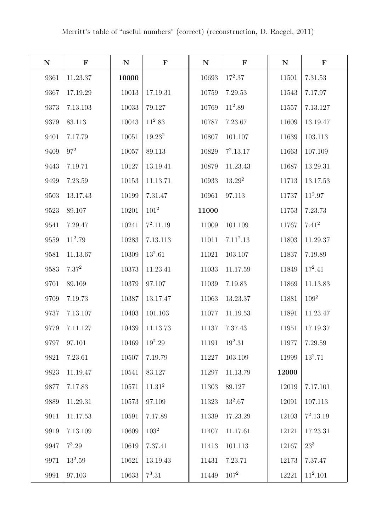| ${\bf N}$ | $\mathbf F$ | ${\bf N}$ | $\mathbf F$        | ${\bf N}$ | $\mathbf F$ | ${\bf N}$ | $\mathbf F$ |
|-----------|-------------|-----------|--------------------|-----------|-------------|-----------|-------------|
| 9361      | 11.23.37    | 10000     |                    | 10693     | $17^2.37$   | 11501     | 7.31.53     |
| 9367      | 17.19.29    | 10013     | 17.19.31           | 10759     | 7.29.53     | 11543     | 7.17.97     |
| 9373      | 7.13.103    | 10033     | 79.127             | 10769     | $11^2.89$   | 11557     | 7.13.127    |
| 9379      | 83.113      | 10043     | $11^2.83$          | 10787     | 7.23.67     | 11609     | 13.19.47    |
| 9401      | 7.17.79     | 10051     | 19.23 <sup>2</sup> | 10807     | 101.107     | 11639     | 103.113     |
| 9409      | $97^2$      | 10057     | 89.113             | 10829     | $7^2.13.17$ | 11663     | 107.109     |
| 9443      | 7.19.71     | 10127     | 13.19.41           | 10879     | 11.23.43    | 11687     | 13.29.31    |
| 9499      | 7.23.59     | 10153     | 11.13.71           | 10933     | $13.29^{2}$ | 11713     | 13.17.53    |
| 9503      | 13.17.43    | 10199     | 7.31.47            | 10961     | 97.113      | 11737     | $11^2.97$   |
| 9523      | 89.107      | 10201     | $101^2$            | 11000     |             | 11753     | 7.23.73     |
| 9541      | 7.29.47     | 10241     | $7^2.11.19$        | 11009     | 101.109     | 11767     | $7.41^{2}$  |
| 9559      | $11^2.79$   | 10283     | 7.13.113           | 11011     | $7.11^2.13$ | 11803     | 11.29.37    |
| 9581      | 11.13.67    | 10309     | $13^2.61$          | 11021     | 103.107     | 11837     | 7.19.89     |
| 9583      | $7.37^{2}$  | 10373     | 11.23.41           | 11033     | 11.17.59    | 11849     | $17^2.41$   |
| 9701      | 89.109      | 10379     | 97.107             | 11039     | 7.19.83     | 11869     | 11.13.83    |
| 9709      | 7.19.73     | 10387     | 13.17.47           | 11063     | 13.23.37    | 11881     | $109^2$     |
| 9737      | 7.13.107    | 10403     | 101.103            | 11077     | 11.19.53    | 11891     | 11.23.47    |
| 9779      | 7.11.127    | 10439     | 11.13.73           | 11137     | 7.37.43     | 11951     | 17.19.37    |
| 9797      | 97.101      | 10469     | $19^2.29$          | 11191     | $19^2.31$   | 11977     | 7.29.59     |
| 9821      | 7.23.61     | 10507     | 7.19.79            | 11227     | 103.109     | 11999     | $13^2.71$   |
| 9823      | 11.19.47    | 10541     | 83.127             | 11297     | 11.13.79    | 12000     |             |
| 9877      | 7.17.83     | 10571     | 11.31 <sup>2</sup> | 11303     | 89.127      | 12019     | 7.17.101    |
| 9889      | 11.29.31    | 10573     | 97.109             | 11323     | $13^2.67$   | 12091     | 107.113     |
| 9911      | 11.17.53    | 10591     | 7.17.89            | 11339     | 17.23.29    | 12103     | $7^2.13.19$ |
| 9919      | 7.13.109    | 10609     | $103^2$            | 11407     | 11.17.61    | 12121     | 17.23.31    |
| 9947      | $7^3.29$    | 10619     | 7.37.41            | 11413     | 101.113     | 12167     | $23^{3}$    |
| 9971      | $13^2.59$   | 10621     | 13.19.43           | 11431     | 7.23.71     | 12173     | 7.37.47     |
| 9991      | 97.103      | 10633     | $7^3.31$           | 11449     | $107^2$     | 12221     | $11^2.101$  |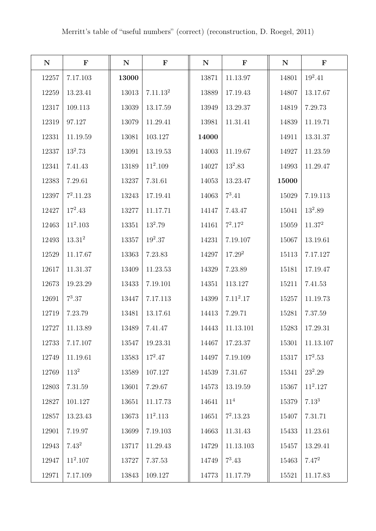| ${\bf N}$ | $\mathbf F$ | ${\bf N}$ | $\mathbf F$          | ${\bf N}$ | $\mathbf F$           | ${\bf N}$ | $\mathbf F$        |
|-----------|-------------|-----------|----------------------|-----------|-----------------------|-----------|--------------------|
| 12257     | 7.17.103    | 13000     |                      | 13871     | 11.13.97              | 14801     | $19^2.41$          |
| 12259     | 13.23.41    | 13013     | 7.11.13 <sup>2</sup> | 13889     | 17.19.43              | 14807     | 13.17.67           |
| 12317     | 109.113     | 13039     | 13.17.59             | 13949     | 13.29.37              | 14819     | 7.29.73            |
| 12319     | 97.127      | 13079     | 11.29.41             | 13981     | 11.31.41              | 14839     | 11.19.71           |
| 12331     | 11.19.59    | 13081     | 103.127              | 14000     |                       | 14911     | 13.31.37           |
| 12337     | $13^2.73$   | 13091     | 13.19.53             | 14003     | 11.19.67              | 14927     | 11.23.59           |
| 12341     | 7.41.43     | 13189     | $11^2.109$           | 14027     | $13^2.83$             | 14993     | 11.29.47           |
| 12383     | 7.29.61     | 13237     | 7.31.61              | 14053     | 13.23.47              | 15000     |                    |
| 12397     | $7^2.11.23$ | 13243     | 17.19.41             | 14063     | $7^3.41$              | 15029     | 7.19.113           |
| 12427     | $17^2.43$   | 13277     | 11.17.71             | 14147     | 7.43.47               | 15041     | $13^2.89$          |
| 12463     | $11^2.103$  | 13351     | $13^2.79$            | 14161     | $7^2.17^2$            | 15059     | 11.37 <sup>2</sup> |
| 12493     | $13.31^{2}$ | 13357     | $19^2.37$            | 14231     | 7.19.107              | 15067     | 13.19.61           |
| 12529     | 11.17.67    | 13363     | 7.23.83              | 14297     | 17.29 <sup>2</sup>    | 15113     | 7.17.127           |
| 12617     | 11.31.37    | 13409     | 11.23.53             | 14329     | 7.23.89               | 15181     | 17.19.47           |
| 12673     | 19.23.29    | 13433     | 7.19.101             | 14351     | 113.127               | 15211     | 7.41.53            |
| 12691     | $7^3.37$    | 13447     | 7.17.113             | 14399     | 7.11 <sup>2</sup> .17 | 15257     | 11.19.73           |
| 12719     | 7.23.79     | 13481     | 13.17.61             | 14413     | 7.29.71               | 15281     | 7.37.59            |
| 12727     | 11.13.89    | 13489     | 7.41.47              | 14443     | 11.13.101             | 15283     | 17.29.31           |
| 12733     | 7.17.107    | 13547     | 19.23.31             | 14467     | 17.23.37              | 15301     | 11.13.107          |
| 12749     | 11.19.61    | 13583     | $17^2.47$            | 14497     | 7.19.109              | 15317     | $17^2.53$          |
| 12769     | $113^2$     | 13589     | 107.127              | 14539     | 7.31.67               | 15341     | $23^2.29$          |
| 12803     | 7.31.59     | 13601     | 7.29.67              | 14573     | 13.19.59              | 15367     | $11^2.127$         |
| 12827     | 101.127     | 13651     | 11.17.73             | 14641     | 11 <sup>4</sup>       | 15379     | $7.13^{3}$         |
| 12857     | 13.23.43    | 13673     | $11^2.113$           | 14651     | $7^2.13.23$           | 15407     | 7.31.71            |
| 12901     | 7.19.97     | 13699     | 7.19.103             | 14663     | 11.31.43              | 15433     | 11.23.61           |
| 12943     | $7.43^{2}$  | 13717     | 11.29.43             | 14729     | 11.13.103             | 15457     | 13.29.41           |
| 12947     | $11^2.107$  | 13727     | 7.37.53              | 14749     | $7^3.43$              | 15463     | $7.47^{2}$         |
| 12971     | 7.17.109    | 13843     | 109.127              | 14773     | 11.17.79              | 15521     | 11.17.83           |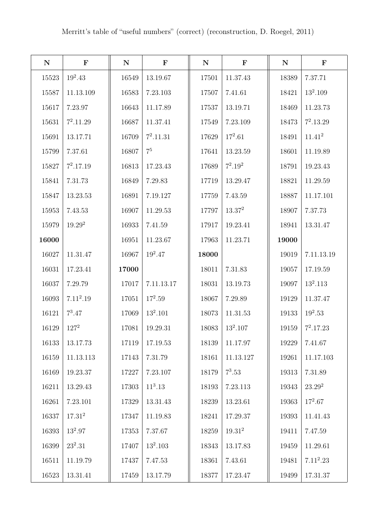| ${\bf N}$ | $\mathbf F$           | ${\bf N}$ | $\mathbf F$  | ${\bf N}$ | $\mathbf F$ | ${\bf N}$ | $\mathbf F$        |
|-----------|-----------------------|-----------|--------------|-----------|-------------|-----------|--------------------|
| 15523     | $19^2.43$             | 16549     | 13.19.67     | 17501     | 11.37.43    | 18389     | 7.37.71            |
| 15587     | 11.13.109             | 16583     | 7.23.103     | 17507     | 7.41.61     | 18421     | $13^2.109$         |
| 15617     | 7.23.97               | 16643     | 11.17.89     | 17537     | 13.19.71    | 18469     | 11.23.73           |
| 15631     | $7^2.11.29$           | 16687     | 11.37.41     | 17549     | 7.23.109    | 18473     | $7^2.13.29$        |
| 15691     | 13.17.71              | 16709     | $7^2.11.31$  | 17629     | $17^2.61$   | 18491     | $11.41^{2}$        |
| 15799     | 7.37.61               | 16807     | $\rm 7^5$    | 17641     | 13.23.59    | 18601     | 11.19.89           |
| 15827     | $7^2.17.19$           | 16813     | 17.23.43     | 17689     | $7^2.19^2$  | 18791     | 19.23.43           |
| 15841     | 7.31.73               | 16849     | 7.29.83      | 17719     | 13.29.47    | 18821     | 11.29.59           |
| 15847     | 13.23.53              | 16891     | 7.19.127     | 17759     | 7.43.59     | 18887     | 11.17.101          |
| 15953     | 7.43.53               | 16907     | 11.29.53     | 17797     | $13.37^2$   | 18907     | 7.37.73            |
| 15979     | $19.29^{2}$           | 16933     | 7.41.59      | 17917     | 19.23.41    | 18941     | 13.31.47           |
| 16000     |                       | 16951     | 11.23.67     | 17963     | 11.23.71    | 19000     |                    |
| 16027     | 11.31.47              | 16967     | $19^2.47$    | 18000     |             | 19019     | 7.11.13.19         |
| 16031     | 17.23.41              | 17000     |              | 18011     | 7.31.83     | 19057     | 17.19.59           |
| 16037     | 7.29.79               | 17017     | 7.11.13.17   | 18031     | 13.19.73    | 19097     | $13^2.113$         |
| 16093     | 7.11 <sup>2</sup> .19 | 17051     | $17^2.59$    | 18067     | 7.29.89     | 19129     | 11.37.47           |
| 16121     | $7^3.47$              | 17069     | $13^2.101\,$ | 18073     | 11.31.53    | 19133     | $19^2.53$          |
| 16129     | $127^2$               | 17081     | 19.29.31     | 18083     | $13^2.107$  | 19159     | $7^2.17.23$        |
| 16133     | 13.17.73              | 17119     | 17.19.53     | 18139     | 11.17.97    | 19229     | 7.41.67            |
| 16159     | 11.13.113             | 17143     | 7.31.79      | 18161     | 11.13.127   | 19261     | 11.17.103          |
| 16169     | 19.23.37              | 17227     | 7.23.107     | 18179     | $7^3.53$    | 19313     | 7.31.89            |
| 16211     | 13.29.43              | 17303     | $11^3.13$    | 18193     | 7.23.113    | 19343     | 23.29 <sup>2</sup> |
| 16261     | 7.23.101              | 17329     | 13.31.43     | 18239     | 13.23.61    | 19363     | $17^2.67$          |
| 16337     | $17.31^{2}$           | 17347     | 11.19.83     | 18241     | 17.29.37    | 19393     | 11.41.43           |
| 16393     | $13^2.97$             | 17353     | 7.37.67      | 18259     | $19.31^{2}$ | 19411     | 7.47.59            |
| 16399     | $23^2.31$             | 17407     | $13^2.103$   | 18343     | 13.17.83    | 19459     | 11.29.61           |
| 16511     | 11.19.79              | 17437     | 7.47.53      | 18361     | 7.43.61     | 19481     | $7.11^2.23$        |
| 16523     | 13.31.41              | 17459     | 13.17.79     | 18377     | 17.23.47    | 19499     | 17.31.37           |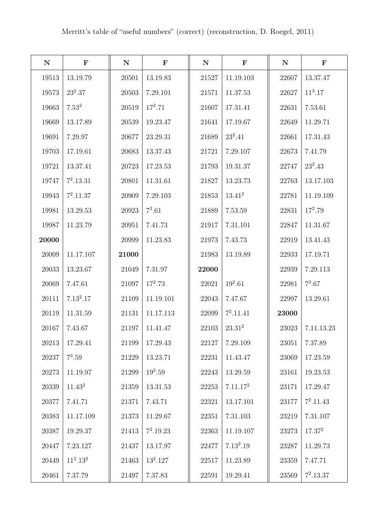| ${\bf N}$ | $\mathbf F$   | ${\bf N}$ | $\mathbf F$ | ${\bf N}$ | $\mathbf F$          | ${\bf N}$ | $\mathbf F$        |
|-----------|---------------|-----------|-------------|-----------|----------------------|-----------|--------------------|
| 19513     | 13.19.79      | 20501     | 13.19.83    | 21527     | 11.19.103            | 22607     | 13.37.47           |
| 19573     | $23^2.37$     | 20503     | 7.29.101    | 21571     | 11.37.53             | 22627     | $11^3.17$          |
| 19663     | $7.53^{2}$    | 20519     | $17^2.71$   | 21607     | 17.31.41             | 22631     | 7.53.61            |
| 19669     | 13.17.89      | 20539     | 19.23.47    | 21641     | 17.19.67             | 22649     | 11.29.71           |
| 19691     | 7.29.97       | 20677     | 23.29.31    | 21689     | $23^2.41$            | 22661     | 17.31.43           |
| 19703     | 17.19.61      | 20683     | 13.37.43    | 21721     | 7.29.107             | 22673     | 7.41.79            |
| 19721     | 13.37.41      | 20723     | 17.23.53    | 21793     | 19.31.37             | 22747     | $23^2.43$          |
| 19747     | $7^2.13.31$   | 20801     | 11.31.61    | 21827     | 13.23.73             | 22763     | 13.17.103          |
| 19943     | $7^2.11.37$   | 20909     | 7.29.103    | 21853     | $13.41^{2}$          | 22781     | 11.19.109          |
| 19981     | 13.29.53      | 20923     | $7^3.61$    | 21889     | 7.53.59              | 22831     | $17^2.79$          |
| 19987     | 11.23.79      | 20951     | 7.41.73     | 21917     | 7.31.101             | 22847     | 11.31.67           |
| 20000     |               | 20999     | 11.23.83    | 21973     | 7.43.73              | 22919     | 13.41.43           |
| 20009     | 11.17.107     | 21000     |             | 21983     | 13.19.89             | 22933     | 17.19.71           |
| 20033     | 13.23.67      | 21049     | 7.31.97     | 22000     |                      | 22939     | 7.29.113           |
| 20069     | 7.47.61       | 21097     | $17^2.73$   | 22021     | $19^2.61$            | 22981     | $7^3.67$           |
| 20111     | $7.13^{2}.17$ | 21109     | 11.19.101   | 22043     | 7.47.67              | 22997     | 13.29.61           |
| 20119     | 11.31.59      | 21131     | 11.17.113   | 22099     | $7^2.11.41$          | 23000     |                    |
| 20167     | 7.43.67       | 21197     | 11.41.47    | 22103     | $23.31^2$            | 23023     | 7.11.13.23         |
| 20213     | 17.29.41      | 21199     | 17.29.43    | 22127     | 7.29.109             | 23051     | 7.37.89            |
| 20237     | $7^3.59$      | 21229     | 13.23.71    | 22231     | 11.43.47             | 23069     | 17.23.59           |
| 20273     | 11.19.97      | 21299     | $19^2.59$   | 22243     | 13.29.59             | 23161     | 19.23.53           |
| 20339     | $11.43^2$     | 21359     | 13.31.53    | 22253     | 7.11.17 <sup>2</sup> | 23171     | 17.29.47           |
| 20377     | 7.41.71       | 21371     | 7.43.71     | 22321     | 13.17.101            | 23177     | $7^2.11.43$        |
| 20383     | 11.17.109     | 21373     | 11.29.67    | 22351     | 7.31.103             | 23219     | 7.31.107           |
| 20387     | 19.29.37      | 21413     | $7^2.19.23$ | 22363     | 11.19.107            | 23273     | 17.37 <sup>2</sup> |
| 20447     | 7.23.127      | 21437     | 13.17.97    | 22477     | $7.13^2.19$          | 23287     | 11.29.73           |
| 20449     | $11^2.13^2$   | 21463     | $13^2.127$  | $22517\,$ | 11.23.89             | 23359     | 7.47.71            |
| 20461     | 7.37.79       | 21497     | 7.37.83     | 22591     | 19.29.41             | 23569     | $7^2.13.37$        |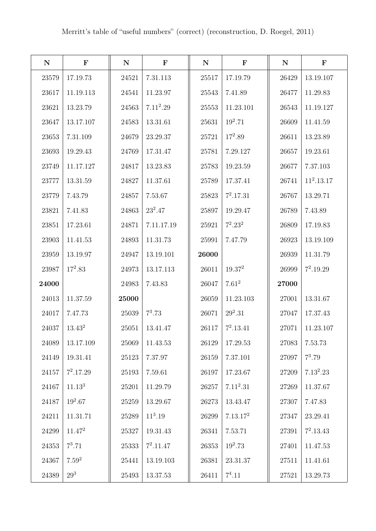| ${\bf N}$ | $\mathbf F$        | ${\bf N}$ | $\mathbf F$ | ${\bf N}$ | $\mathbf F$          | ${\bf N}$ | $\mathbf F$  |
|-----------|--------------------|-----------|-------------|-----------|----------------------|-----------|--------------|
| 23579     | 17.19.73           | 24521     | 7.31.113    | 25517     | 17.19.79             | 26429     | 13.19.107    |
| 23617     | 11.19.113          | 24541     | 11.23.97    | 25543     | 7.41.89              | 26477     | 11.29.83     |
| 23621     | 13.23.79           | 24563     | $7.11^2.29$ | 25553     | 11.23.101            | 26543     | 11.19.127    |
| 23647     | 13.17.107          | 24583     | 13.31.61    | 25631     | $19^2.71$            | 26609     | 11.41.59     |
| 23653     | 7.31.109           | 24679     | 23.29.37    | 25721     | $17^2.89$            | 26611     | 13.23.89     |
| 23693     | 19.29.43           | 24769     | 17.31.47    | 25781     | 7.29.127             | 26657     | 19.23.61     |
| 23749     | 11.17.127          | 24817     | 13.23.83    | 25783     | 19.23.59             | 26677     | 7.37.103     |
| 23777     | 13.31.59           | 24827     | 11.37.61    | 25789     | 17.37.41             | 26741     | $11^2.13.17$ |
| 23779     | 7.43.79            | 24857     | 7.53.67     | 25823     | $7^2.17.31$          | 26767     | 13.29.71     |
| 23821     | 7.41.83            | 24863     | $23^2.47$   | 25897     | 19.29.47             | 26789     | 7.43.89      |
| 23851     | 17.23.61           | 24871     | 7.11.17.19  | 25921     | $7^2.23^2$           | 26809     | 17.19.83     |
| 23903     | 11.41.53           | 24893     | 11.31.73    | 25991     | 7.47.79              | 26923     | 13.19.109    |
| 23959     | 13.19.97           | 24947     | 13.19.101   | 26000     |                      | 26939     | 11.31.79     |
| 23987     | $17^2.83$          | 24973     | 13.17.113   | 26011     | 19.37 <sup>2</sup>   | 26999     | $7^2.19.29$  |
| 24000     |                    | 24983     | 7.43.83     | 26047     | $7.61^2$             | 27000     |              |
| 24013     | 11.37.59           | 25000     |             | 26059     | 11.23.103            | 27001     | 13.31.67     |
| 24017     | 7.47.73            | 25039     | $7^3.73$    | 26071     | $29^2.31$            | 27047     | 17.37.43     |
| 24037     | $13.43^2$          | 25051     | 13.41.47    | 26117     | $7^2.13.41$          | 27071     | 11.23.107    |
| 24089     | 13.17.109          | 25069     | 11.43.53    | 26129     | 17.29.53             | 27083     | 7.53.73      |
| 24149     | 19.31.41           | 25123     | 7.37.97     | 26159     | 7.37.101             | 27097     | $7^3.79$     |
| 24157     | $7^2.17.29$        | 25193     | 7.59.61     | 26197     | 17.23.67             | 27209     | $7.13^2.23$  |
| 24167     | 11.13 <sup>3</sup> | 25201     | 11.29.79    | 26257     | $7.11^2.31$          | 27269     | 11.37.67     |
| 24187     | $19^2.67$          | 25259     | 13.29.67    | 26273     | 13.43.47             | 27307     | 7.47.83      |
| 24211     | 11.31.71           | 25289     | $11^3.19$   | 26299     | 7.13.17 <sup>2</sup> | 27347     | 23.29.41     |
| 24299     | $11.47^2$          | 25327     | 19.31.43    | 26341     | 7.53.71              | 27391     | $7^2.13.43$  |
| 24353     | $7^3.71$           | 25333     | $7^2.11.47$ | 26353     | $19^2.73$            | 27401     | 11.47.53     |
| 24367     | $7.59^{2}$         | 25441     | 13.19.103   | 26381     | 23.31.37             | 27511     | 11.41.61     |
| 24389     | $29^{3}$           | 25493     | 13.37.53    | 26411     | $7^4.11$             | 27521     | 13.29.73     |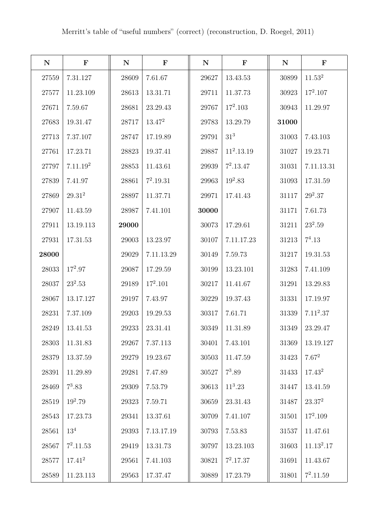| ${\bf N}$ | $\mathbf F$          | ${\bf N}$ | $\mathbf F$ | ${\bf N}$ | $\mathbf F$     | ${\bf N}$ | $\mathbf F$  |
|-----------|----------------------|-----------|-------------|-----------|-----------------|-----------|--------------|
| 27559     | 7.31.127             | 28609     | 7.61.67     | 29627     | 13.43.53        | 30899     | $11.53^2$    |
| 27577     | 11.23.109            | 28613     | 13.31.71    | 29711     | 11.37.73        | 30923     | $17^2.107$   |
| 27671     | 7.59.67              | 28681     | 23.29.43    | 29767     | $17^2.103$      | 30943     | 11.29.97     |
| 27683     | 19.31.47             | 28717     | $13.47^{2}$ | 29783     | 13.29.79        | 31000     |              |
| 27713     | 7.37.107             | 28747     | 17.19.89    | 29791     | 31 <sup>3</sup> | 31003     | 7.43.103     |
| 27761     | 17.23.71             | 28823     | 19.37.41    | 29887     | $11^2.13.19$    | 31027     | 19.23.71     |
| 27797     | 7.11.19 <sup>2</sup> | 28853     | 11.43.61    | 29939     | $7^2.13.47$     | 31031     | 7.11.13.31   |
| 27839     | 7.41.97              | 28861     | $7^2.19.31$ | 29963     | $19^2.83$       | 31093     | 17.31.59     |
| 27869     | $29.31^{2}$          | 28897     | 11.37.71    | 29971     | 17.41.43        | 31117     | $29^2.37$    |
| 27907     | 11.43.59             | 28987     | 7.41.101    | 30000     |                 | 31171     | 7.61.73      |
| 27911     | 13.19.113            | 29000     |             | 30073     | 17.29.61        | 31211     | $23^2.59$    |
| 27931     | 17.31.53             | 29003     | 13.23.97    | 30107     | 7.11.17.23      | 31213     | $7^4.13$     |
| 28000     |                      | 29029     | 7.11.13.29  | 30149     | 7.59.73         | 31217     | 19.31.53     |
| 28033     | $17^2.97$            | 29087     | 17.29.59    | 30199     | 13.23.101       | 31283     | 7.41.109     |
| 28037     | $23^2.53$            | 29189     | $17^2.101$  | 30217     | 11.41.67        | 31291     | 13.29.83     |
| 28067     | 13.17.127            | 29197     | 7.43.97     | 30229     | 19.37.43        | 31331     | 17.19.97     |
| 28231     | 7.37.109             | 29203     | 19.29.53    | 30317     | 7.61.71         | 31339     | $7.11^2.37$  |
| 28249     | 13.41.53             | 29233     | 23.31.41    | 30349     | 11.31.89        | 31349     | 23.29.47     |
| 28303     | 11.31.83             | 29267     | 7.37.113    | 30401     | 7.43.101        | 31369     | 13.19.127    |
| 28379     | 13.37.59             | 29279     | 19.23.67    | 30503     | 11.47.59        | $31423\,$ | $7.67^2$     |
| 28391     | 11.29.89             | 29281     | 7.47.89     | 30527     | $7^3.89$        | $31433\,$ | $17.43^{2}$  |
| 28469     | $7^3.83$             | 29309     | 7.53.79     | 30613     | $11^3.23$       | 31447     | 13.41.59     |
| 28519     | $19^2.79$            | 29323     | 7.59.71     | 30659     | 23.31.43        | 31487     | $23.37^2$    |
| 28543     | 17.23.73             | 29341     | 13.37.61    | 30709     | 7.41.107        | 31501     | $17^2.109$   |
| 28561     | $13^{4}$             | 29393     | 7.13.17.19  | 30793     | 7.53.83         | 31537     | 11.47.61     |
| 28567     | $7^2.11.53$          | 29419     | 13.31.73    | 30797     | 13.23.103       | 31603     | $11.13^2.17$ |
| 28577     | $17.41^{2}$          | 29561     | 7.41.103    | 30821     | $7^2.17.37$     | 31691     | 11.43.67     |
| 28589     | 11.23.113            | 29563     | 17.37.47    | 30889     | 17.23.79        | 31801     | $7^2.11.59$  |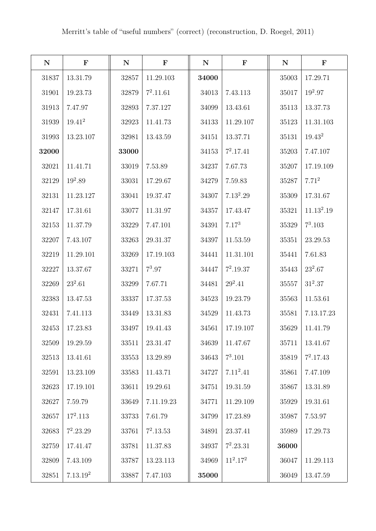| ${\bf N}$ | $\mathbf F$          | ${\bf N}$ | $\mathbf F$ | ${\bf N}$ | $\mathbf F$ | ${\bf N}$ | $\mathbf F$            |
|-----------|----------------------|-----------|-------------|-----------|-------------|-----------|------------------------|
| 31837     | 13.31.79             | 32857     | 11.29.103   | 34000     |             | 35003     | 17.29.71               |
| 31901     | 19.23.73             | 32879     | $7^2.11.61$ | 34013     | 7.43.113    | 35017     | $19^2.97$              |
| 31913     | 7.47.97              | 32893     | 7.37.127    | 34099     | 13.43.61    | 35113     | 13.37.73               |
| 31939     | $19.41^{2}$          | 32923     | 11.41.73    | 34133     | 11.29.107   | 35123     | 11.31.103              |
| 31993     | 13.23.107            | 32981     | 13.43.59    | 34151     | 13.37.71    | 35131     | $19.43^{2}$            |
| 32000     |                      | 33000     |             | 34153     | $7^2.17.41$ | 35203     | 7.47.107               |
| 32021     | 11.41.71             | 33019     | 7.53.89     | 34237     | 7.67.73     | 35207     | 17.19.109              |
| 32129     | $19^2.89$            | 33031     | 17.29.67    | 34279     | 7.59.83     | 35287     | 7.71 <sup>2</sup>      |
| 32131     | 11.23.127            | 33041     | 19.37.47    | 34307     | $7.13^2.29$ | 35309     | 17.31.67               |
| 32147     | 17.31.61             | 33077     | 11.31.97    | 34357     | 17.43.47    | 35321     | 11.13 <sup>2</sup> .19 |
| 32153     | 11.37.79             | 33229     | 7.47.101    | 34391     | $7.17^{3}$  | 35329     | $7^3.103$              |
| 32207     | 7.43.107             | 33263     | 29.31.37    | 34397     | 11.53.59    | 35351     | 23.29.53               |
| 32219     | 11.29.101            | 33269     | 17.19.103   | 34441     | 11.31.101   | 35441     | 7.61.83                |
| 32227     | 13.37.67             | 33271     | $7^3.97$    | 34447     | $7^2.19.37$ | $35443\,$ | $23^2.67$              |
| 32269     | $23^2.61$            | 33299     | 7.67.71     | 34481     | $29^2.41$   | 35557     | $31^2.37$              |
| 32383     | 13.47.53             | 33337     | 17.37.53    | 34523     | 19.23.79    | 35563     | 11.53.61               |
| 32431     | 7.41.113             | 33449     | 13.31.83    | 34529     | 11.43.73    | 35581     | 7.13.17.23             |
| 32453     | 17.23.83             | 33497     | 19.41.43    | 34561     | 17.19.107   | 35629     | 11.41.79               |
| 32509     | 19.29.59             | 33511     | 23.31.47    | 34639     | 11.47.67    | 35711     | 13.41.67               |
| 32513     | 13.41.61             | 33553     | 13.29.89    | 34643     | $7^3.101$   | 35819     | $7^2.17.43$            |
| 32591     | 13.23.109            | 33583     | 11.43.71    | 34727     | $7.11^2.41$ | 35861     | 7.47.109               |
| 32623     | 17.19.101            | 33611     | 19.29.61    | 34751     | 19.31.59    | 35867     | 13.31.89               |
| 32627     | 7.59.79              | 33649     | 7.11.19.23  | 34771     | 11.29.109   | 35929     | 19.31.61               |
| 32657     | $17^2.113$           | 33733     | 7.61.79     | 34799     | 17.23.89    | 35987     | 7.53.97                |
| 32683     | $7^2.23.29$          | 33761     | $7^2.13.53$ | 34891     | 23.37.41    | 35989     | 17.29.73               |
| 32759     | 17.41.47             | 33781     | 11.37.83    | 34937     | $7^2.23.31$ | 36000     |                        |
| 32809     | 7.43.109             | 33787     | 13.23.113   | 34969     | $11^2.17^2$ | 36047     | 11.29.113              |
| 32851     | 7.13.19 <sup>2</sup> | 33887     | 7.47.103    | 35000     |             | 36049     | 13.47.59               |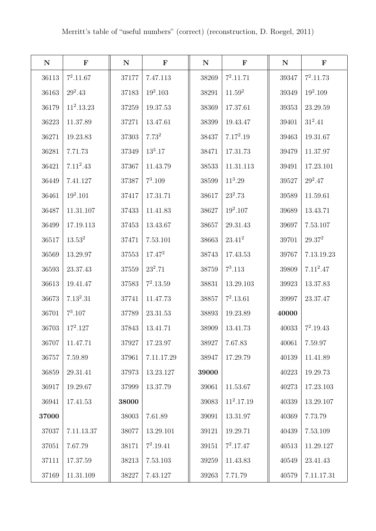| ${\bf N}$ | $\mathbf F$  | $\mathbf N$ | $\mathbf F$  | ${\bf N}$ | $\mathbf F$        | ${\bf N}$ | $\mathbf F$ |
|-----------|--------------|-------------|--------------|-----------|--------------------|-----------|-------------|
| 36113     | $7^2.11.67$  | 37177       | 7.47.113     | 38269     | $7^2.11.71$        | 39347     | $7^2.11.73$ |
| 36163     | $29^2.43$    | 37183       | $19^2.103\,$ | 38291     | 11.59 <sup>2</sup> | 39349     | $19^2.109$  |
| 36179     | $11^2.13.23$ | 37259       | 19.37.53     | 38369     | 17.37.61           | 39353     | 23.29.59    |
| 36223     | 11.37.89     | 37271       | 13.47.61     | 38399     | 19.43.47           | 39401     | $31^2.41$   |
| 36271     | 19.23.83     | 37303       | $7.73^{2}$   | 38437     | $7.17^2.19$        | 39463     | 19.31.67    |
| 36281     | 7.71.73      | 37349       | $13^3.17$    | 38471     | 17.31.73           | 39479     | 11.37.97    |
| 36421     | $7.11^2.43$  | 37367       | 11.43.79     | 38533     | 11.31.113          | 39491     | 17.23.101   |
| 36449     | 7.41.127     | 37387       | $7^3.109$    | 38599     | $11^3.29$          | 39527     | $29^2.47$   |
| 36461     | $19^2.101$   | 37417       | 17.31.71     | 38617     | $23^2.73$          | 39589     | 11.59.61    |
| 36487     | 11.31.107    | 37433       | 11.41.83     | 38627     | $19^2.107$         | 39689     | 13.43.71    |
| 36499     | 17.19.113    | 37453       | 13.43.67     | 38657     | 29.31.43           | 39697     | 7.53.107    |
| 36517     | $13.53^2$    | 37471       | 7.53.101     | 38663     | $23.41^{2}$        | 39701     | $29.37^{2}$ |
| 36569     | 13.29.97     | 37553       | $17.47^{2}$  | 38743     | 17.43.53           | 39767     | 7.13.19.23  |
| 36593     | 23.37.43     | 37559       | $23^2.71$    | 38759     | $7^3.113$          | 39809     | $7.11^2.47$ |
| 36613     | 19.41.47     | 37583       | $7^2.13.59$  | 38831     | 13.29.103          | 39923     | 13.37.83    |
| 36673     | $7.13^2.31$  | 37741       | 11.47.73     | 38857     | $7^2.13.61$        | 39997     | 23.37.47    |
| 36701     | $7^3.107$    | 37789       | 23.31.53     | 38893     | 19.23.89           | 40000     |             |
| 36703     | $17^2.127$   | 37843       | 13.41.71     | 38909     | 13.41.73           | 40033     | $7^2.19.43$ |
| 36707     | 11.47.71     | 37927       | 17.23.97     | 38927     | 7.67.83            | 40061     | 7.59.97     |
| 36757     | 7.59.89      | 37961       | 7.11.17.29   | 38947     | 17.29.79           | 40139     | 11.41.89    |
| 36859     | 29.31.41     | 37973       | 13.23.127    | 39000     |                    | 40223     | 19.29.73    |
| 36917     | 19.29.67     | 37999       | 13.37.79     | 39061     | 11.53.67           | 40273     | 17.23.103   |
| 36941     | 17.41.53     | 38000       |              | 39083     | $11^2.17.19$       | 40339     | 13.29.107   |
| 37000     |              | 38003       | 7.61.89      | 39091     | 13.31.97           | 40369     | 7.73.79     |
| 37037     | 7.11.13.37   | 38077       | 13.29.101    | 39121     | 19.29.71           | 40439     | 7.53.109    |
| 37051     | 7.67.79      | 38171       | $7^2.19.41$  | 39151     | $7^2.17.47$        | 40513     | 11.29.127   |
| 37111     | 17.37.59     | 38213       | 7.53.103     | 39259     | 11.43.83           | 40549     | 23.41.43    |
| 37169     | 11.31.109    | 38227       | 7.43.127     | 39263     | 7.71.79            | 40579     | 7.11.17.31  |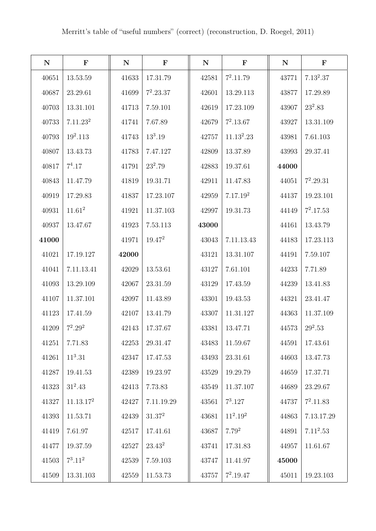| ${\bf N}$ | $\mathbf F$           | ${\bf N}$ | $\mathbf F$ | ${\bf N}$ | $\mathbf F$          | ${\bf N}$ | $\mathbf F$ |
|-----------|-----------------------|-----------|-------------|-----------|----------------------|-----------|-------------|
| 40651     | 13.53.59              | 41633     | 17.31.79    | 42581     | $7^2.11.79$          | 43771     | $7.13^2.37$ |
| 40687     | 23.29.61              | 41699     | $7^2.23.37$ | 42601     | 13.29.113            | 43877     | 17.29.89    |
| 40703     | 13.31.101             | 41713     | 7.59.101    | 42619     | 17.23.109            | 43907     | $23^2.83$   |
| 40733     | 7.11.23 <sup>2</sup>  | 41741     | 7.67.89     | 42679     | $7^2.13.67$          | 43927     | 13.31.109   |
| 40793     | $19^2.113$            | 41743     | $13^3.19$   | 42757     | $11.13^2.23$         | 43981     | 7.61.103    |
| 40807     | 13.43.73              | 41783     | 7.47.127    | 42809     | 13.37.89             | 43993     | 29.37.41    |
| 40817     | $7^4.17$              | 41791     | $23^2.79$   | 42883     | 19.37.61             | 44000     |             |
| 40843     | 11.47.79              | 41819     | 19.31.71    | 42911     | 11.47.83             | 44051     | $7^2.29.31$ |
| 40919     | 17.29.83              | 41837     | 17.23.107   | 42959     | 7.17.19 <sup>2</sup> | 44137     | 19.23.101   |
| 40931     | $11.61^2$             | 41921     | 11.37.103   | 42997     | 19.31.73             | 44149     | $7^2.17.53$ |
| 40937     | 13.47.67              | 41923     | 7.53.113    | 43000     |                      | 44161     | 13.43.79    |
| 41000     |                       | 41971     | $19.47^{2}$ | 43043     | 7.11.13.43           | 44183     | 17.23.113   |
| 41021     | 17.19.127             | 42000     |             | 43121     | 13.31.107            | 44191     | 7.59.107    |
| 41041     | 7.11.13.41            | 42029     | 13.53.61    | 43127     | 7.61.101             | 44233     | 7.71.89     |
| 41093     | 13.29.109             | 42067     | 23.31.59    | 43129     | 17.43.59             | 44239     | 13.41.83    |
| 41107     | 11.37.101             | 42097     | 11.43.89    | 43301     | 19.43.53             | 44321     | 23.41.47    |
| 41123     | 17.41.59              | 42107     | 13.41.79    | 43307     | 11.31.127            | 44363     | 11.37.109   |
| 41209     | $7^2.29^2$            | 42143     | 17.37.67    | 43381     | 13.47.71             | 44573     | $29^2.53$   |
| 41251     | 7.71.83               | 42253     | 29.31.47    | 43483     | 11.59.67             | 44591     | 17.43.61    |
| 41261     | $11^3.31$             | 42347     | 17.47.53    | $\!3493$  | 23.31.61             | 44603     | 13.47.73    |
| 41287     | 19.41.53              | 42389     | 19.23.97    | 43529     | 19.29.79             | 44659     | 17.37.71    |
| 41323     | $31^2.43$             | 42413     | 7.73.83     | 43549     | 11.37.107            | 44689     | 23.29.67    |
| 41327     | 11.13.17 <sup>2</sup> | 42427     | 7.11.19.29  | 43561     | $7^3.127$            | 44737     | $7^2.11.83$ |
| 41393     | 11.53.71              | 42439     | $31.37^2$   | 43681     | $11^2.19^2$          | 44863     | 7.13.17.29  |
| 41419     | 7.61.97               | 42517     | 17.41.61    | 43687     | $7.79^{2}$           | 44891     | $7.11^2.53$ |
| 41477     | 19.37.59              | 42527     | $23.43^2$   | 43741     | 17.31.83             | 44957     | 11.61.67    |
| 41503     | $7^3.11^2$            | 42539     | 7.59.103    | 43747     | 11.41.97             | 45000     |             |
| 41509     | 13.31.103             | 42559     | 11.53.73    | 43757     | $7^2.19.47$          | 45011     | 19.23.103   |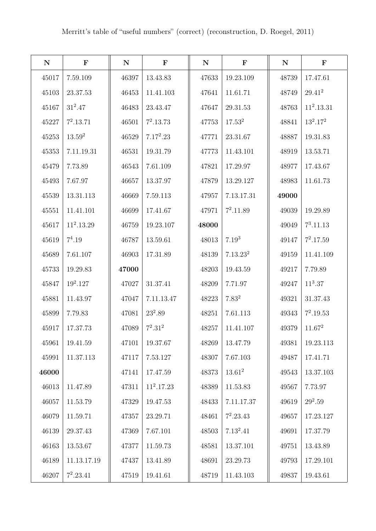| ${\bf N}$ | $\mathbf F$  | ${\bf N}$ | $\mathbf F$  | ${\bf N}$ | $\mathbf F$          | ${\bf N}$ | $\mathbf F$  |
|-----------|--------------|-----------|--------------|-----------|----------------------|-----------|--------------|
| 45017     | 7.59.109     | 46397     | 13.43.83     | 47633     | 19.23.109            | 48739     | 17.47.61     |
| 45103     | 23.37.53     | 46453     | 11.41.103    | 47641     | 11.61.71             | 48749     | $29.41^{2}$  |
| 45167     | $31^2.47$    | 46483     | 23.43.47     | 47647     | 29.31.53             | 48763     | $11^2.13.31$ |
| 45227     | $7^2.13.71$  | 46501     | $7^2.13.73$  | 47753     | 17.53 <sup>2</sup>   | 48841     | $13^2.17^2$  |
| 45253     | $13.59^2$    | 46529     | $7.17^2.23$  | 47771     | 23.31.67             | 48887     | 19.31.83     |
| 45353     | 7.11.19.31   | 46531     | 19.31.79     | 47773     | 11.43.101            | 48919     | 13.53.71     |
| 45479     | 7.73.89      | 46543     | 7.61.109     | 47821     | 17.29.97             | 48977     | 17.43.67     |
| 45493     | 7.67.97      | 46657     | 13.37.97     | 47879     | 13.29.127            | 48983     | 11.61.73     |
| 45539     | 13.31.113    | 46669     | 7.59.113     | 47957     | 7.13.17.31           | 49000     |              |
| 45551     | 11.41.101    | 46699     | 17.41.67     | 47971     | $7^2.11.89$          | 49039     | 19.29.89     |
| 45617     | $11^2.13.29$ | 46759     | 19.23.107    | 48000     |                      | 49049     | $7^3.11.13$  |
| 45619     | $7^4.19$     | 46787     | 13.59.61     | 48013     | $7.19^{3}$           | 49147     | $7^2.17.59$  |
| 45689     | 7.61.107     | 46903     | 17.31.89     | 48139     | 7.13.23 <sup>2</sup> | 49159     | 11.41.109    |
| 45733     | 19.29.83     | 47000     |              | 48203     | 19.43.59             | 49217     | 7.79.89      |
| 45847     | $19^2.127$   | 47027     | 31.37.41     | 48209     | 7.71.97              | 49247     | $11^3.37$    |
| 45881     | 11.43.97     | 47047     | 7.11.13.47   | 48223     | $7.83^{2}$           | 49321     | 31.37.43     |
| 45899     | 7.79.83      | 47081     | $23^2.89$    | 48251     | 7.61.113             | 49343     | $7^2.19.53$  |
| 45917     | 17.37.73     | 47089     | $7^2.31^2$   | 48257     | 11.41.107            | 49379     | $11.67^2$    |
| 45961     | 19.41.59     | 47101     | 19.37.67     | 48269     | 13.47.79             | 49381     | 19.23.113    |
| 45991     | 11.37.113    | 47117     | 7.53.127     | 48307     | 7.67.103             | 49487     | 17.41.71     |
| 46000     |              | 47141     | 17.47.59     | 48373     | $13.61^2$            | 49543     | 13.37.103    |
| 46013     | 11.47.89     | 47311     | $11^2.17.23$ | 48389     | 11.53.83             | 49567     | 7.73.97      |
| 46057     | 11.53.79     | 47329     | 19.47.53     | 48433     | 7.11.17.37           | 49619     | $29^2.59$    |
| 46079     | 11.59.71     | 47357     | 23.29.71     | 48461     | $7^2.23.43$          | 49657     | 17.23.127    |
| 46139     | 29.37.43     | 47369     | 7.67.101     | 48503     | $7.13^2.41$          | 49691     | 17.37.79     |
| 46163     | 13.53.67     | 47377     | 11.59.73     | 48581     | 13.37.101            | 49751     | 13.43.89     |
| 46189     | 11.13.17.19  | 47437     | 13.41.89     | 48691     | 23.29.73             | 49793     | 17.29.101    |
| 46207     | $7^2.23.41$  | 47519     | 19.41.61     | 48719     | 11.43.103            | 49837     | 19.43.61     |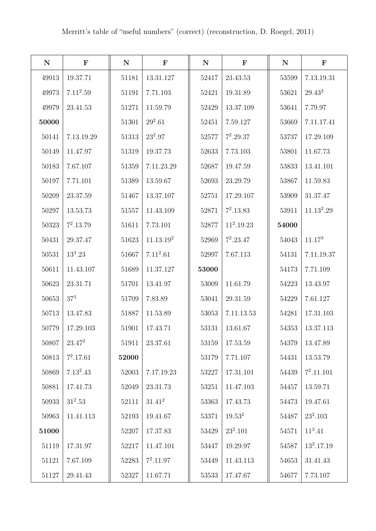| ${\bf N}$ | $\mathbf F$ | $\mathbf N$ | $\mathbf F$           | ${\bf N}$ | $\mathbf F$  | ${\bf N}$ | $\mathbf F$                 |
|-----------|-------------|-------------|-----------------------|-----------|--------------|-----------|-----------------------------|
| 49913     | 19.37.71    | 51181       | 13.31.127             | 52417     | 23.43.53     | 53599     | 7.13.19.31                  |
| 49973     | $7.11^2.59$ | 51191       | 7.71.103              | 52421     | 19.31.89     | 53621     | $29.43^{\mathrm{\small 2}}$ |
| 49979     | 23.41.53    | 51271       | 11.59.79              | 52429     | 13.37.109    | 53641     | 7.79.97                     |
| 50000     |             | 51301       | $29^2.61$             | 52451     | 7.59.127     | 53669     | 7.11.17.41                  |
| 50141     | 7.13.19.29  | 51313       | $23^2.97$             | 52577     | $7^2.29.37$  | 53737     | 17.29.109                   |
| 50149     | 11.47.97    | 51319       | 19.37.73              | 52633     | 7.73.103     | 53801     | 11.67.73                    |
| 50183     | 7.67.107    | 51359       | 7.11.23.29            | 52687     | 19.47.59     | 53833     | 13.41.101                   |
| 50197     | 7.71.101    | 51389       | 13.59.67              | 52693     | 23.29.79     | 53867     | 11.59.83                    |
| 50209     | 23.37.59    | 51467       | 13.37.107             | 52751     | 17.29.107    | 53909     | 31.37.47                    |
| 50297     | 13.53.73    | 51557       | 11.43.109             | 52871     | $7^2.13.83$  | 53911     | 11.13 <sup>2</sup> .29      |
| 50323     | $7^2.13.79$ | 51611       | 7.73.101              | 52877     | $11^2.19.23$ | 54000     |                             |
| 50431     | 29.37.47    | 51623       | 11.13.19 <sup>2</sup> | 52969     | $7^2.23.47$  | 54043     | $11.17^{3}$                 |
| 50531     | $13^3.23$   | 51667       | $7.11^2.61$           | 52997     | 7.67.113     | 54131     | 7.11.19.37                  |
| 50611     | 11.43.107   | 51689       | 11.37.127             | 53000     |              | $54173\,$ | 7.71.109                    |
| 50623     | 23.31.71    | $51701\,$   | 13.41.97              | 53009     | 11.61.79     | 54223     | 13.43.97                    |
| 50653     | $37^3\,$    | 51709       | 7.83.89               | 53041     | 29.31.59     | 54229     | 7.61.127                    |
| 50713     | 13.47.83    | 51887       | 11.53.89              | 53053     | 7.11.13.53   | 54281     | 17.31.103                   |
| 50779     | 17.29.103   | 51901       | 17.43.71              | 53131     | 13.61.67     | 54353     | 13.37.113                   |
| 50807     | $23.47^2$   | 51911       | 23.37.61              | 53159     | 17.53.59     | 54379     | 13.47.89                    |
| 50813     | $7^2.17.61$ | 52000       |                       | 53179     | 7.71.107     | 54431     | 13.53.79                    |
| 50869     | $7.13^2.43$ | 52003       | 7.17.19.23            | 53227     | 17.31.101    | $54439\,$ | $7^2.11.101$                |
| 50881     | 17.41.73    | $52049\,$   | 23.31.73              | 53251     | 11.47.103    | 54457     | 13.59.71                    |
| 50933     | $31^2.53$   | 52111       | $31.41^2$             | 53363     | 17.43.73     | 54473     | 19.47.61                    |
| 50963     | 11.41.113   | 52193       | 19.41.67              | 53371     | $19.53^2$    | 54487     | $23^2.103$                  |
| 51000     |             | 52207       | 17.37.83              | 53429     | $23^2.101$   | 54571     | $11^3.41$                   |
| 51119     | 17.31.97    | 52217       | 11.47.101             | 53447     | 19.29.97     | 54587     | $13^2.17.19$                |
| 51121     | 7.67.109    | 52283       | $7^2.11.97$           | 53449     | 11.43.113    | 54653     | 31.41.43                    |
| 51127     | 29.41.43    | 52327       | 11.67.71              | 53533     | 17.47.67     | 54677     | 7.73.107                    |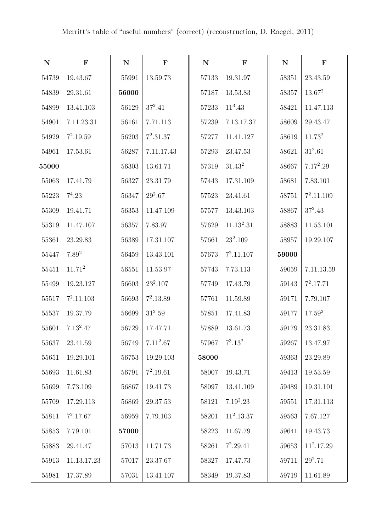| ${\bf N}$ | $\mathbf F$        | ${\bf N}$ | $\mathbf F$ | ${\bf N}$ | $\mathbf F$  | ${\bf N}$ | $\mathbf F$        |
|-----------|--------------------|-----------|-------------|-----------|--------------|-----------|--------------------|
| 54739     | 19.43.67           | 55991     | 13.59.73    | 57133     | 19.31.97     | 58351     | 23.43.59           |
| 54839     | 29.31.61           | 56000     |             | 57187     | 13.53.83     | 58357     | $13.67^2$          |
| 54899     | 13.41.103          | 56129     | $37^2.41$   | 57233     | $11^3.43$    | 58421     | 11.47.113          |
| 54901     | 7.11.23.31         | 56161     | 7.71.113    | 57239     | 7.13.17.37   | 58609     | 29.43.47           |
| 54929     | $7^2.19.59$        | 56203     | $7^2.31.37$ | 57277     | 11.41.127    | 58619     | 11.73 <sup>2</sup> |
| 54961     | 17.53.61           | 56287     | 7.11.17.43  | 57293     | 23.47.53     | 58621     | $31^2.61$          |
| 55000     |                    | 56303     | 13.61.71    | 57319     | $31.43^2$    | 58667     | $7.17^2.29$        |
| 55063     | 17.41.79           | 56327     | 23.31.79    | 57443     | 17.31.109    | 58681     | 7.83.101           |
| 55223     | $7^4.23$           | 56347     | $29^2.67$   | 57523     | 23.41.61     | 58751     | $7^2.11.109$       |
| 55309     | 19.41.71           | 56353     | 11.47.109   | 57577     | 13.43.103    | 58867     | $37^2.43$          |
| 55319     | 11.47.107          | 56357     | 7.83.97     | 57629     | $11.13^2.31$ | 58883     | 11.53.101          |
| 55361     | 23.29.83           | 56389     | 17.31.107   | 57661     | $23^2.109$   | 58957     | 19.29.107          |
| 55447     | $7.89^{2}$         | 56459     | 13.43.101   | 57673     | $7^2.11.107$ | 59000     |                    |
| 55451     | 11.71 <sup>2</sup> | 56551     | 11.53.97    | 57743     | 7.73.113     | 59059     | 7.11.13.59         |
| 55499     | 19.23.127          | 56603     | $23^2.107$  | 57749     | 17.43.79     | 59143     | $7^2.17.71$        |
| 55517     | $7^2.11.103$       | 56693     | $7^2.13.89$ | 57761     | 11.59.89     | 59171     | 7.79.107           |
| 55537     | 19.37.79           | 56699     | $31^2.59$   | 57851     | 17.41.83     | 59177     | $17.59^{2}$        |
| 55601     | $7.13^2.47$        | 56729     | 17.47.71    | 57889     | 13.61.73     | 59179     | 23.31.83           |
| 55637     | 23.41.59           | 56749     | $7.11^2.67$ | 57967     | $7^3.13^2$   | 59267     | 13.47.97           |
| 55651     | 19.29.101          | 56753     | 19.29.103   | 58000     |              | 59363     | 23.29.89           |
| 55693     | 11.61.83           | 56791     | $7^2.19.61$ | 58007     | 19.43.71     | $59413\,$ | 19.53.59           |
| 55699     | 7.73.109           | 56867     | 19.41.73    | 58097     | 13.41.109    | 59489     | 19.31.101          |
| 55709     | 17.29.113          | 56869     | 29.37.53    | 58121     | $7.19^2.23$  | 59551     | 17.31.113          |
| 55811     | $7^2.17.67$        | 56959     | 7.79.103    | 58201     | $11^2.13.37$ | 59563     | 7.67.127           |
| 55853     | 7.79.101           | 57000     |             | 58223     | 11.67.79     | 59641     | 19.43.73           |
| 55883     | 29.41.47           | 57013     | 11.71.73    | 58261     | $7^2.29.41$  | 59653     | $11^2.17.29$       |
| 55913     | 11.13.17.23        | 57017     | 23.37.67    | 58327     | 17.47.73     | 59711     | $29^2.71$          |
| 55981     | 17.37.89           | 57031     | 13.41.107   | 58349     | 19.37.83     | 59719     | 11.61.89           |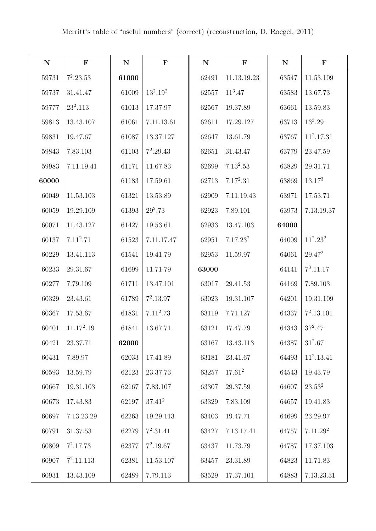| ${\bf N}$ | $\mathbf F$  | $\mathbf N$ | $\mathbf F$ | ${\bf N}$ | $\mathbf F$          | ${\bf N}$ | $\mathbf F$          |
|-----------|--------------|-------------|-------------|-----------|----------------------|-----------|----------------------|
| 59731     | $7^2.23.53$  | 61000       |             | 62491     | 11.13.19.23          | 63547     | 11.53.109            |
| 59737     | 31.41.47     | 61009       | $13^2.19^2$ | 62557     | $11^3.47$            | 63583     | 13.67.73             |
| 59777     | $23^2.113$   | 61013       | 17.37.97    | 62567     | 19.37.89             | 63661     | 13.59.83             |
| 59813     | 13.43.107    | 61061       | 7.11.13.61  | 62611     | 17.29.127            | 63713     | $13^3.29$            |
| 59831     | 19.47.67     | 61087       | 13.37.127   | 62647     | 13.61.79             | 63767     | $11^2.17.31$         |
| 59843     | 7.83.103     | 61103       | $7^2.29.43$ | 62651     | 31.43.47             | 63779     | 23.47.59             |
| 59983     | 7.11.19.41   | 61171       | 11.67.83    | 62699     | $7.13^2.53$          | 63829     | 29.31.71             |
| 60000     |              | 61183       | 17.59.61    | 62713     | $7.17^2.31$          | 63869     | 13.17 <sup>3</sup>   |
| 60049     | 11.53.103    | 61321       | 13.53.89    | 62909     | 7.11.19.43           | 63971     | 17.53.71             |
| 60059     | 19.29.109    | 61393       | $29^2.73$   | 62923     | 7.89.101             | 63973     | 7.13.19.37           |
| 60071     | 11.43.127    | 61427       | 19.53.61    | 62933     | 13.47.103            | 64000     |                      |
| 60137     | $7.11^2.71$  | 61523       | 7.11.17.47  | 62951     | 7.17.23 <sup>2</sup> | 64009     | $11^2.23^2$          |
| 60229     | 13.41.113    | 61541       | 19.41.79    | 62953     | 11.59.97             | 64061     | $29.47^{2}$          |
| 60233     | 29.31.67     | 61699       | 11.71.79    | 63000     |                      | 64141     | $7^3.11.17$          |
| 60277     | 7.79.109     | 61711       | 13.47.101   | 63017     | 29.41.53             | 64169     | 7.89.103             |
| 60329     | 23.43.61     | 61789       | $7^2.13.97$ | 63023     | 19.31.107            | 64201     | 19.31.109            |
| 60367     | 17.53.67     | 61831       | $7.11^2.73$ | 63119     | 7.71.127             | 64337     | $7^2.13.101$         |
| 60401     | $11.17^2.19$ | 61841       | 13.67.71    | 63121     | 17.47.79             | 64343     | $37^2.47$            |
| 60421     | 23.37.71     | 62000       |             | 63167     | 13.43.113            | 64387     | $31^2.67$            |
| 60431     | 7.89.97      | 62033       | 17.41.89    | 63181     | 23.41.67             | 64493     | $11^2.13.41$         |
| 60593     | 13.59.79     | 62123       | 23.37.73    | 63257     | $17.61^2$            | 64543     | 19.43.79             |
| 60667     | 19.31.103    | 62167       | 7.83.107    | 63307     | 29.37.59             | 64607     | $23.53^2$            |
| 60673     | 17.43.83     | 62197       | $37.41^2$   | 63329     | 7.83.109             | 64657     | 19.41.83             |
| 60697     | 7.13.23.29   | 62263       | 19.29.113   | 63403     | 19.47.71             | 64699     | 23.29.97             |
| 60791     | 31.37.53     | 62279       | $7^2.31.41$ | 63427     | 7.13.17.41           | 64757     | 7.11.29 <sup>2</sup> |
| 60809     | $7^2.17.73$  | 62377       | $7^2.19.67$ | 63437     | 11.73.79             | 64787     | 17.37.103            |
| 60907     | $7^2.11.113$ | 62381       | 11.53.107   | 63457     | 23.31.89             | 64823     | 11.71.83             |
| 60931     | 13.43.109    | 62489       | 7.79.113    | 63529     | 17.37.101            | 64883     | 7.13.23.31           |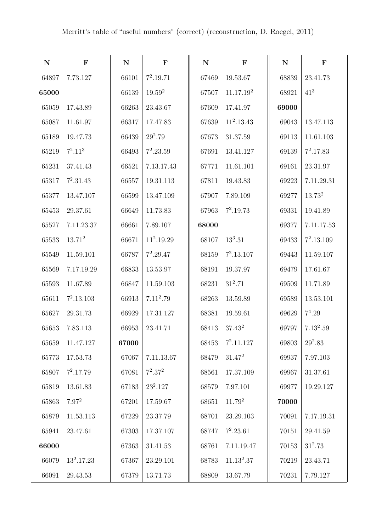| ${\bf N}$ | $\mathbf F$  | $\mathbf N$ | $\mathbf F$  | ${\bf N}$ | $\mathbf F$  | ${\bf N}$ | $\mathbf F$  |
|-----------|--------------|-------------|--------------|-----------|--------------|-----------|--------------|
| 64897     | 7.73.127     | 66101       | $7^2.19.71$  | 67469     | 19.53.67     | 68839     | 23.41.73     |
| 65000     |              | 66139       | $19.59^{2}$  | 67507     | 11.17.192    | 68921     | $41^{3}$     |
| 65059     | 17.43.89     | 66263       | 23.43.67     | 67609     | 17.41.97     | 69000     |              |
| 65087     | 11.61.97     | 66317       | 17.47.83     | 67639     | $11^2.13.43$ | 69043     | 13.47.113    |
| 65189     | 19.47.73     | 66439       | $29^2.79$    | 67673     | 31.37.59     | 69113     | 11.61.103    |
| 65219     | $7^2.11^3$   | 66493       | $7^2.23.59$  | 67691     | 13.41.127    | 69139     | $7^2.17.83$  |
| 65231     | 37.41.43     | 66521       | 7.13.17.43   | 67771     | 11.61.101    | 69161     | 23.31.97     |
| 65317     | $7^2.31.43$  | 66557       | 19.31.113    | 67811     | 19.43.83     | 69223     | 7.11.29.31   |
| 65377     | 13.47.107    | 66599       | 13.47.109    | 67907     | 7.89.109     | 69277     | $13.73^{2}$  |
| 65453     | 29.37.61     | 66649       | 11.73.83     | 67963     | $7^2.19.73$  | 69331     | 19.41.89     |
| 65527     | 7.11.23.37   | 66661       | 7.89.107     | 68000     |              | 69377     | 7.11.17.53   |
| 65533     | $13.71^2$    | 66671       | $11^2.19.29$ | 68107     | $13^3.31$    | 69433     | $7^2.13.109$ |
| 65549     | 11.59.101    | 66787       | $7^2.29.47$  | 68159     | $7^2.13.107$ | 69443     | 11.59.107    |
| 65569     | 7.17.19.29   | 66833       | 13.53.97     | 68191     | 19.37.97     | 69479     | 17.61.67     |
| 65593     | 11.67.89     | 66847       | 11.59.103    | 68231     | $31^2.71$    | 69509     | 11.71.89     |
| 65611     | $7^2.13.103$ | 66913       | $7.11^2.79$  | 68263     | 13.59.89     | 69589     | 13.53.101    |
| 65627     | 29.31.73     | 66929       | 17.31.127    | 68381     | 19.59.61     | 69629     | $7^4.29$     |
| 65653     | 7.83.113     | 66953       | 23.41.71     | 68413     | $37.43^{2}$  | 69797     | $7.13^2.59$  |
| 65659     | 11.47.127    | 67000       |              | 68453     | $7^2.11.127$ | 69803     | $29^2.83$    |
| 65773     | 17.53.73     | 67067       | 7.11.13.67   | 68479     | $31.47^2$    | 69937     | 7.97.103     |
| 65807     | $7^2.17.79$  | 67081       | $7^2.37^2$   | 68561     | 17.37.109    | 69967     | 31.37.61     |
| 65819     | 13.61.83     | 67183       | $23^2.127$   | 68579     | 7.97.101     | 69977     | 19.29.127    |
| 65863     | $7.97^{2}$   | 67201       | 17.59.67     | 68651     | $11.79^2$    | 70000     |              |
| 65879     | 11.53.113    | 67229       | 23.37.79     | 68701     | 23.29.103    | 70091     | 7.17.19.31   |
| 65941     | 23.47.61     | 67303       | 17.37.107    | 68747     | $7^2.23.61$  | 70151     | 29.41.59     |
| 66000     |              | 67363       | 31.41.53     | 68761     | 7.11.19.47   | 70153     | $31^2.73$    |
| 66079     | $13^2.17.23$ | 67367       | 23.29.101    | 68783     | $11.13^2.37$ | 70219     | 23.43.71     |
| 66091     | 29.43.53     | 67379       | 13.71.73     | 68809     | 13.67.79     | 70231     | 7.79.127     |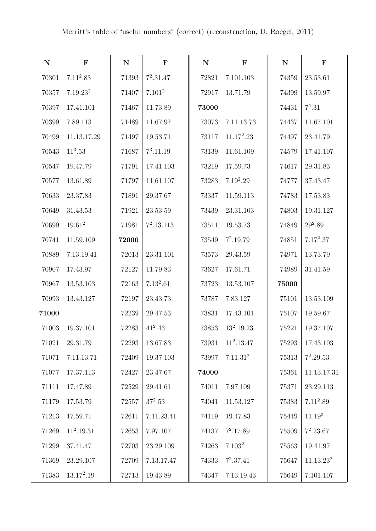| ${\bf N}$ | $\mathbf F$          | ${\bf N}$ | $\mathbf F$  | ${\bf N}$ | $\mathbf F$          | ${\bf N}$ | $\mathbf F$           |
|-----------|----------------------|-----------|--------------|-----------|----------------------|-----------|-----------------------|
| 70301     | $7.11^2.83$          | 71393     | $7^2.31.47$  | 72821     | 7.101.103            | 74359     | 23.53.61              |
| 70357     | 7.19.23 <sup>2</sup> | 71407     | $7.101^2$    | 72917     | 13.71.79             | 74399     | 13.59.97              |
| 70397     | 17.41.101            | 71467     | 11.73.89     | 73000     |                      | 74431     | $7^4.31$              |
| 70399     | 7.89.113             | 71489     | 11.67.97     | 73073     | 7.11.13.73           | 74437     | 11.67.101             |
| 70499     | 11.13.17.29          | 71497     | 19.53.71     | 73117     | $11.17^2.23$         | 74497     | 23.41.79              |
| 70543     | $11^3.53$            | 71687     | $7^3.11.19$  | 73139     | 11.61.109            | 74579     | 17.41.107             |
| 70547     | 19.47.79             | 71791     | 17.41.103    | 73219     | 17.59.73             | 74617     | 29.31.83              |
| 70577     | 13.61.89             | 71797     | 11.61.107    | 73283     | $7.19^2.29$          | 74777     | 37.43.47              |
| 70633     | 23.37.83             | 71891     | 29.37.67     | 73337     | 11.59.113            | 74783     | 17.53.83              |
| 70649     | 31.43.53             | 71921     | 23.53.59     | 73439     | 23.31.103            | 74803     | 19.31.127             |
| 70699     | $19.61^2$            | 71981     | $7^2.13.113$ | 73511     | 19.53.73             | 74849     | $29^2.89$             |
| 70741     | 11.59.109            | 72000     |              | 73549     | $7^2.19.79$          | 74851     | $7.17^2.37$           |
| 70889     | 7.13.19.41           | 72013     | 23.31.101    | 73573     | 29.43.59             | 74971     | 13.73.79              |
| 70907     | 17.43.97             | 72127     | 11.79.83     | 73627     | 17.61.71             | 74989     | 31.41.59              |
| 70967     | 13.53.103            | 72163     | $7.13^2.61$  | 73723     | 13.53.107            | 75000     |                       |
| 70993     | 13.43.127            | 72197     | 23.43.73     | 73787     | 7.83.127             | 75101     | 13.53.109             |
| 71000     |                      | 72239     | 29.47.53     | 73831     | 17.43.101            | 75107     | 19.59.67              |
| 71003     | 19.37.101            | 72283     | $41^2.43$    | 73853     | $13^2.19.23$         | 75221     | 19.37.107             |
| 71021     | 29.31.79             | 72293     | 13.67.83     | 73931     | $11^2.13.47$         | 75293     | 17.43.103             |
| 71071     | 7.11.13.71           | 72409     | 19.37.103    | 73997     | 7.11.31 <sup>2</sup> | 75313     | $7^2.29.53$           |
| 71077     | 17.37.113            | 72427     | 23.47.67     | 74000     |                      | 75361     | 11.13.17.31           |
| 71111     | 17.47.89             | 72529     | 29.41.61     | 74011     | 7.97.109             | 75371     | 23.29.113             |
| 71179     | 17.53.79             | 72557     | $37^2.53$    | 74041     | 11.53.127            | 75383     | $7.11^2.89$           |
| 71213     | 17.59.71             | 72611     | 7.11.23.41   | 74119     | 19.47.83             | 75449     | 11.19 <sup>3</sup>    |
| 71269     | $11^2.19.31$         | 72653     | 7.97.107     | 74137     | $7^2.17.89$          | $75509\,$ | $7^2.23.67$           |
| 71299     | 37.41.47             | 72703     | 23.29.109    | 74263     | 7.103 <sup>2</sup>   | 75563     | 19.41.97              |
| 71369     | 23.29.107            | 72709     | 7.13.17.47   | 74333     | $7^2.37.41$          | 75647     | 11.13.23 <sup>2</sup> |
| 71383     | $13.17^2.19$         | 72713     | 19.43.89     | 74347     | 7.13.19.43           | 75649     | 7.101.107             |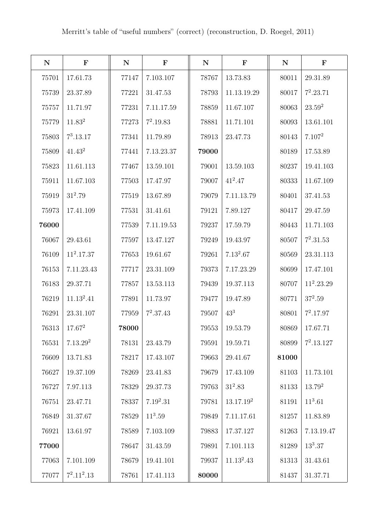| ${\bf N}$ | $\mathbf F$          | ${\bf N}$ | $\mathbf F$ | ${\bf N}$ | $\mathbf F$           | ${\bf N}$ | $\mathbf F$        |
|-----------|----------------------|-----------|-------------|-----------|-----------------------|-----------|--------------------|
| 75701     | 17.61.73             | 77147     | 7.103.107   | 78767     | 13.73.83              | 80011     | 29.31.89           |
| 75739     | 23.37.89             | 77221     | 31.47.53    | 78793     | 11.13.19.29           | 80017     | $7^2.23.71$        |
| 75757     | 11.71.97             | 77231     | 7.11.17.59  | 78859     | 11.67.107             | 80063     | $23.59^2$          |
| 75779     | 11.83 <sup>2</sup>   | 77273     | $7^2.19.83$ | 78881     | 11.71.101             | 80093     | 13.61.101          |
| 75803     | $7^3.13.17$          | 77341     | 11.79.89    | 78913     | 23.47.73              | 80143     | 7.107 <sup>2</sup> |
| 75809     | $41.43^2$            | 77441     | 7.13.23.37  | 79000     |                       | 80189     | 17.53.89           |
| 75823     | 11.61.113            | 77467     | 13.59.101   | 79001     | 13.59.103             | 80237     | 19.41.103          |
| 75911     | 11.67.103            | 77503     | 17.47.97    | 79007     | $41^2.47$             | 80333     | 11.67.109          |
| 75919     | $31^2.79$            | 77519     | 13.67.89    | 79079     | 7.11.13.79            | 80401     | 37.41.53           |
| 75973     | 17.41.109            | 77531     | 31.41.61    | 79121     | 7.89.127              | 80417     | 29.47.59           |
| 76000     |                      | 77539     | 7.11.19.53  | 79237     | 17.59.79              | 80443     | 11.71.103          |
| 76067     | 29.43.61             | 77597     | 13.47.127   | 79249     | 19.43.97              | 80507     | $7^2.31.53$        |
| 76109     | $11^2.17.37$         | 77653     | 19.61.67    | 79261     | $7.13^2.67$           | 80569     | 23.31.113          |
| 76153     | 7.11.23.43           | 77717     | 23.31.109   | 79373     | 7.17.23.29            | 80699     | 17.47.101          |
| 76183     | 29.37.71             | 77857     | 13.53.113   | 79439     | 19.37.113             | 80707     | $11^2.23.29$       |
| 76219     | $11.13^2.41$         | 77891     | 11.73.97    | 79477     | 19.47.89              | 80771     | $37^2.59$          |
| 76291     | 23.31.107            | 77959     | $7^2.37.43$ | 79507     | $43^{3}$              | 80801     | $7^2.17.97$        |
| 76313     | $17.67^2$            | 78000     |             | 79553     | 19.53.79              | 80869     | 17.67.71           |
| 76531     | 7.13.29 <sup>2</sup> | 78131     | 23.43.79    | 79591     | 19.59.71              | 80899     | $7^2.13.127$       |
| 76609     | 13.71.83             | 78217     | 17.43.107   | 79663     | 29.41.67              | 81000     |                    |
| 76627     | 19.37.109            | 78269     | 23.41.83    | 79679     | 17.43.109             | 81103     | 11.73.101          |
| 76727     | 7.97.113             | 78329     | 29.37.73    | 79763     | $31^2.83$             | 81133     | $13.79^{2}$        |
| 76751     | 23.47.71             | 78337     | $7.19^2.31$ | 79781     | 13.17.19 <sup>2</sup> | 81191     | $11^3.61$          |
| 76849     | 31.37.67             | 78529     | $11^3.59$   | 79849     | 7.11.17.61            | 81257     | 11.83.89           |
| 76921     | 13.61.97             | 78589     | 7.103.109   | 79883     | 17.37.127             | 81263     | 7.13.19.47         |
| 77000     |                      | 78647     | 31.43.59    | 79891     | 7.101.113             | 81289     | $13^3.37$          |
| 77063     | 7.101.109            | 78679     | 19.41.101   | 79937     | $11.13^2.43$          | 81313     | 31.43.61           |
| 77077     | $7^2.11^2.13$        | 78761     | 17.41.113   | 80000     |                       | 81437     | 31.37.71           |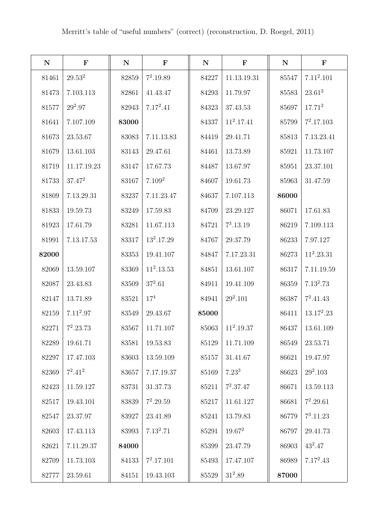| ${\bf N}$ | $\mathbf F$ | ${\bf N}$ | $\mathbf F$        | ${\bf N}$ | $\mathbf F$  | ${\bf N}$ | $\mathbf F$  |
|-----------|-------------|-----------|--------------------|-----------|--------------|-----------|--------------|
| 81461     | $29.53^{2}$ | 82859     | $7^2.19.89$        | 84227     | 11.13.19.31  | 85547     | $7.11^2.101$ |
| 81473     | 7.103.113   | 82861     | 41.43.47           | 84293     | 11.79.97     | 85583     | $23.61^{2}$  |
| 81577     | $29^2.97$   | 82943     | $7.17^2.41$        | 84323     | 37.43.53     | 85697     | $17.71^2$    |
| 81641     | 7.107.109   | 83000     |                    | 84337     | $11^2.17.41$ | 85799     | $7^2.17.103$ |
| 81673     | 23.53.67    | 83083     | 7.11.13.83         | 84419     | 29.41.71     | 85813     | 7.13.23.41   |
| 81679     | 13.61.103   | 83143     | 29.47.61           | 84461     | 13.73.89     | 85921     | 11.73.107    |
| 81719     | 11.17.19.23 | 83147     | 17.67.73           | 84487     | 13.67.97     | 85951     | 23.37.101    |
| 81733     | $37.47^{2}$ | 83167     | 7.109 <sup>2</sup> | 84607     | 19.61.73     | 85963     | 31.47.59     |
| 81809     | 7.13.29.31  | 83237     | 7.11.23.47         | 84637     | 7.107.113    | 86000     |              |
| 81833     | 19.59.73    | 83249     | 17.59.83           | 84709     | 23.29.127    | 86071     | 17.61.83     |
| 81923     | 17.61.79    | 83281     | 11.67.113          | 84721     | $7^3.13.19$  | 86219     | 7.109.113    |
| 81991     | 7.13.17.53  | 83317     | $13^2.17.29$       | 84767     | 29.37.79     | 86233     | 7.97.127     |
| 82000     |             | 83353     | 19.41.107          | 84847     | 7.17.23.31   | 86273     | $11^2.23.31$ |
| 82069     | 13.59.107   | 83369     | $11^2.13.53$       | 84851     | 13.61.107    | 86317     | 7.11.19.59   |
| 82087     | 23.43.83    | $83509\,$ | $37^2.61$          | 84911     | 19.41.109    | 86359     | $7.13^2.73$  |
| 82147     | 13.71.89    | 83521     | $17^4\,$           | 84941     | $29^2.101$   | 86387     | $7^2.41.43$  |
| 82159     | $7.11^2.97$ | 83549     | 29.43.67           | 85000     |              | 86411     | $13.17^2.23$ |
| 82271     | $7^2.23.73$ | 83567     | 11.71.107          | 85063     | $11^2.19.37$ | 86437     | 13.61.109    |
| 82289     | 19.61.71    | 83581     | 19.53.83           | 85129     | 11.71.109    | 86549     | 23.53.71     |
| 82297     | 17.47.103   | 83603     | 13.59.109          | 85157     | 31.41.67     | 86621     | 19.47.97     |
| 82369     | $7^2.41^2$  | 83657     | 7.17.19.37         | 85169     | $7.23^3$     | 86623     | $29^2.103$   |
| 82423     | 11.59.127   | 83731     | 31.37.73           | 85211     | $7^2.37.47$  | 86671     | 13.59.113    |
| 82517     | 19.43.101   | 83839     | $7^2.29.59$        | 85217     | 11.61.127    | $86681\,$ | $7^2.29.61$  |
| 82547     | 23.37.97    | 83927     | 23.41.89           | 85241     | 13.79.83     | 86779     | $7^3.11.23$  |
| 82603     | 17.43.113   | 83993     | $7.13^2.71$        | 85291     | $19.67^2$    | 86797     | 29.41.73     |
| 82621     | 7.11.29.37  | 84000     |                    | 85399     | 23.47.79     | 86903     | $43^2.47$    |
| 82709     | 11.73.103   | 84133     | $7^2.17.101$       | 85493     | 17.47.107    | 86989     | $7.17^2.43$  |
| 82777     | 23.59.61    | 84151     | 19.43.103          | 85529     | $31^2.89$    | 87000     |              |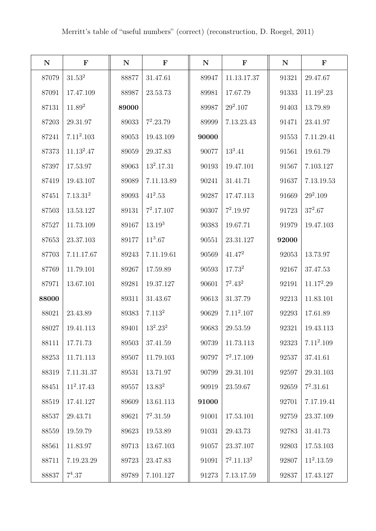| ${\bf N}$ | $\mathbf F$          | ${\bf N}$ | $\mathbf F$        | ${\bf N}$ | $\mathbf F$        | $\mathbf N$ | $\mathbf F$  |
|-----------|----------------------|-----------|--------------------|-----------|--------------------|-------------|--------------|
| 87079     | $31.53^2$            | 88877     | 31.47.61           | 89947     | 11.13.17.37        | 91321       | 29.47.67     |
| 87091     | 17.47.109            | 88987     | 23.53.73           | 89981     | 17.67.79           | 91333       | $11.19^2.23$ |
| 87131     | $11.89^2$            | 89000     |                    | 89987     | $29^2.107$         | 91403       | 13.79.89     |
| 87203     | 29.31.97             | 89033     | $7^2.23.79$        | 89999     | 7.13.23.43         | 91471       | 23.41.97     |
| 87241     | $7.11^2.103$         | 89053     | 19.43.109          | 90000     |                    | 91553       | 7.11.29.41   |
| 87373     | $11.13^2.47$         | 89059     | 29.37.83           | 90077     | $13^3.41$          | 91561       | 19.61.79     |
| 87397     | 17.53.97             | 89063     | $13^2.17.31$       | 90193     | 19.47.101          | 91567       | 7.103.127    |
| 87419     | 19.43.107            | 89089     | 7.11.13.89         | 90241     | 31.41.71           | 91637       | 7.13.19.53   |
| 87451     | 7.13.31 <sup>2</sup> | 89093     | $41^2.53$          | 90287     | 17.47.113          | 91669       | $29^2.109$   |
| 87503     | 13.53.127            | 89131     | $7^2.17.107$       | 90307     | $7^2.19.97$        | 91723       | $37^2.67$    |
| 87527     | 11.73.109            | 89167     | $13.19^{3}$        | 90383     | 19.67.71           | 91979       | 19.47.103    |
| 87653     | 23.37.103            | 89177     | $11^3.67$          | 90551     | 23.31.127          | 92000       |              |
| 87703     | 7.11.17.67           | 89243     | 7.11.19.61         | 90569     | $41.47^2$          | 92053       | 13.73.97     |
| 87769     | 11.79.101            | 89267     | 17.59.89           | 90593     | 17.73 <sup>2</sup> | 92167       | 37.47.53     |
| 87971     | 13.67.101            | 89281     | 19.37.127          | 90601     | $7^2.43^2$         | 92191       | $11.17^2.29$ |
| 88000     |                      | 89311     | 31.43.67           | 90613     | 31.37.79           | 92213       | 11.83.101    |
| 88021     | 23.43.89             | 89383     | 7.113 <sup>2</sup> | 90629     | $7.11^2.107$       | 92293       | 17.61.89     |
| 88027     | 19.41.113            | 89401     | $13^2.23^2$        | 90683     | 29.53.59           | 92321       | 19.43.113    |
| 88111     | 17.71.73             | 89503     | 37.41.59           | 90739     | 11.73.113          | 92323       | $7.11^2.109$ |
| 88253     | 11.71.113            | 89507     | 11.79.103          | 90797     | $7^2.17.109$       | 92537       | 37.41.61     |
| 88319     | 7.11.31.37           | 89531     | 13.71.97           | 90799     | 29.31.101          | 92597       | 29.31.103    |
| 88451     | $11^2.17.43$         | 89557     | 13.83 <sup>2</sup> | 90919     | 23.59.67           | 92659       | $7^2.31.61$  |
| 88519     | 17.41.127            | 89609     | 13.61.113          | 91000     |                    | 92701       | 7.17.19.41   |
| 88537     | 29.43.71             | 89621     | $7^2.31.59$        | 91001     | 17.53.101          | 92759       | 23.37.109    |
| 88559     | 19.59.79             | 89623     | 19.53.89           | 91031     | 29.43.73           | 92783       | 31.41.73     |
| 88561     | 11.83.97             | 89713     | 13.67.103          | 91057     | 23.37.107          | 92803       | 17.53.103    |
| 88711     | 7.19.23.29           | 89723     | 23.47.83           | 91091     | $7^2.11.13^2$      | 92807       | $11^2.13.59$ |
| 88837     | $7^4.37$             | 89789     | 7.101.127          | 91273     | 7.13.17.59         | 92837       | 17.43.127    |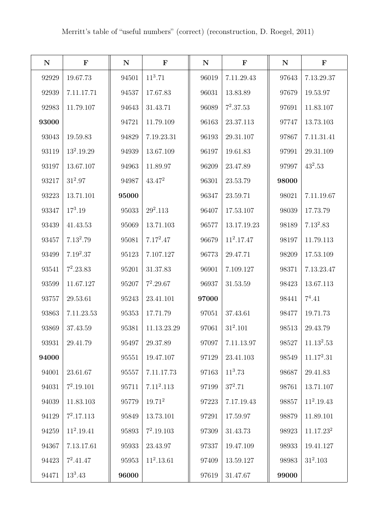| ${\bf N}$ | $\mathbf F$  | ${\bf N}$ | $\mathbf F$  | ${\bf N}$ | $\mathbf F$  | ${\bf N}$ | $\mathbf F$           |
|-----------|--------------|-----------|--------------|-----------|--------------|-----------|-----------------------|
| 92929     | 19.67.73     | 94501     | $11^3.71$    | 96019     | 7.11.29.43   | 97643     | 7.13.29.37            |
| 92939     | 7.11.17.71   | 94537     | 17.67.83     | 96031     | 13.83.89     | 97679     | 19.53.97              |
| 92983     | 11.79.107    | 94643     | 31.43.71     | 96089     | $7^2.37.53$  | 97691     | 11.83.107             |
| 93000     |              | 94721     | 11.79.109    | 96163     | 23.37.113    | 97747     | 13.73.103             |
| 93043     | 19.59.83     | 94829     | 7.19.23.31   | 96193     | 29.31.107    | 97867     | 7.11.31.41            |
| 93119     | $13^2.19.29$ | 94939     | 13.67.109    | 96197     | 19.61.83     | 97991     | 29.31.109             |
| 93197     | 13.67.107    | 94963     | 11.89.97     | 96209     | 23.47.89     | 97997     | $43^2.53$             |
| 93217     | $31^2.97$    | 94987     | $43.47^2$    | 96301     | 23.53.79     | 98000     |                       |
| 93223     | 13.71.101    | 95000     |              | 96347     | 23.59.71     | 98021     | 7.11.19.67            |
| 93347     | $17^3.19$    | 95033     | $29^2.113$   | 96407     | 17.53.107    | 98039     | 17.73.79              |
| 93439     | 41.43.53     | 95069     | 13.71.103    | 96577     | 13.17.19.23  | 98189     | $7.13^2.83$           |
| 93457     | $7.13^2.79$  | 95081     | $7.17^2.47$  | 96679     | $11^2.17.47$ | 98197     | 11.79.113             |
| 93499     | $7.19^2.37$  | 95123     | 7.107.127    | 96773     | 29.47.71     | 98209     | 17.53.109             |
| 93541     | $7^2.23.83$  | 95201     | 31.37.83     | 96901     | 7.109.127    | 98371     | 7.13.23.47            |
| 93599     | 11.67.127    | 95207     | $7^2.29.67$  | 96937     | 31.53.59     | 98423     | 13.67.113             |
| 93757     | 29.53.61     | 95243     | 23.41.101    | 97000     |              | 98441     | $7^4.41$              |
| 93863     | 7.11.23.53   | 95353     | 17.71.79     | 97051     | 37.43.61     | 98477     | 19.71.73              |
| 93869     | 37.43.59     | 95381     | 11.13.23.29  | 97061     | $31^2.101$   | $98513\,$ | 29.43.79              |
| 93931     | 29.41.79     | 95497     | 29.37.89     | 97097     | 7.11.13.97   | 98527     | $11.13^2.53$          |
| 94000     |              | 95551     | 19.47.107    | 97129     | 23.41.103    | 98549     | $11.17^2.31$          |
| 94001     | 23.61.67     | 95557     | 7.11.17.73   | 97163     | $11^3.73$    | 98687     | 29.41.83              |
| 94031     | $7^2.19.101$ | 95711     | $7.11^2.113$ | 97199     | $37^2.71$    | 98761     | 13.71.107             |
| 94039     | 11.83.103    | 95779     | $19.71^2$    | 97223     | 7.17.19.43   | 98857     | $11^2.19.43$          |
| 94129     | $7^2.17.113$ | 95849     | 13.73.101    | 97291     | 17.59.97     | 98879     | 11.89.101             |
| 94259     | $11^2.19.41$ | 95893     | $7^2.19.103$ | 97309     | 31.43.73     | 98923     | 11.17.23 <sup>2</sup> |
| 94367     | 7.13.17.61   | 95933     | 23.43.97     | 97337     | 19.47.109    | 98933     | 19.41.127             |
| 94423     | $7^2.41.47$  | 95953     | $11^2.13.61$ | 97409     | 13.59.127    | 98983     | $31^2.103$            |
| 94471     | $13^3.43$    | 96000     |              | 97619     | 31.47.67     | 99000     |                       |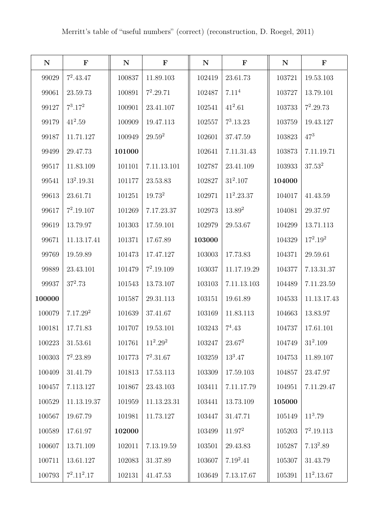| ${\bf N}$ | $\mathbf F$          | ${\bf N}$ | $\mathbf F$        | ${\bf N}$ | $\mathbf F$  | ${\bf N}$ | $\mathbf F$  |
|-----------|----------------------|-----------|--------------------|-----------|--------------|-----------|--------------|
| 99029     | $7^2.43.47$          | 100837    | 11.89.103          | 102419    | 23.61.73     | 103721    | 19.53.103    |
| 99061     | 23.59.73             | 100891    | $7^2.29.71$        | 102487    | $7.11^{4}$   | 103727    | 13.79.101    |
| 99127     | $7^3.17^2$           | 100901    | 23.41.107          | 102541    | $41^2.61$    | 103733    | $7^2.29.73$  |
| 99179     | $41^2.59$            | 100909    | 19.47.113          | 102557    | $7^3.13.23$  | 103759    | 19.43.127    |
| 99187     | 11.71.127            | 100949    | $29.59^{2}$        | 102601    | 37.47.59     | 103823    | $47^{3}$     |
| 99499     | 29.47.73             | 101000    |                    | 102641    | 7.11.31.43   | 103873    | 7.11.19.71   |
| 99517     | 11.83.109            | 101101    | 7.11.13.101        | 102787    | 23.41.109    | 103933    | $37.53^2$    |
| 99541     | $13^2.19.31$         | 101177    | 23.53.83           | 102827    | $31^2.107$   | 104000    |              |
| 99613     | 23.61.71             | 101251    | 19.73 <sup>2</sup> | 102971    | $11^2.23.37$ | 104017    | 41.43.59     |
| 99617     | $7^2.19.107$         | 101269    | 7.17.23.37         | 102973    | $13.89^{2}$  | 104081    | 29.37.97     |
| 99619     | 13.79.97             | 101303    | 17.59.101          | 102979    | 29.53.67     | 104299    | 13.71.113    |
| 99671     | 11.13.17.41          | 101371    | 17.67.89           | 103000    |              | 104329    | $17^2.19^2$  |
| 99769     | 19.59.89             | 101473    | 17.47.127          | 103003    | 17.73.83     | 104371    | 29.59.61     |
| 99889     | 23.43.101            | 101479    | $7^2.19.109$       | 103037    | 11.17.19.29  | 104377    | 7.13.31.37   |
| 99937     | $37^2.73$            | 101543    | 13.73.107          | 103103    | 7.11.13.103  | 104489    | 7.11.23.59   |
| 100000    |                      | 101587    | 29.31.113          | 103151    | 19.61.89     | 104533    | 11.13.17.43  |
| 100079    | 7.17.29 <sup>2</sup> | 101639    | 37.41.67           | 103169    | 11.83.113    | 104663    | 13.83.97     |
| 100181    | 17.71.83             | 101707    | 19.53.101          | 103243    | $7^4.43$     | 104737    | 17.61.101    |
| 100223    | 31.53.61             | 101761    | $11^2.29^2$        | 103247    | $23.67^2$    | 104749    | $31^2.109$   |
| 100303    | $7^2.23.89$          | 101773    | $7^2.31.67$        | 103259    | $13^3.47$    | 104753    | 11.89.107    |
| 100409    | 31.41.79             | 101813    | 17.53.113          | 103309    | 17.59.103    | 104857    | 23.47.97     |
| 100457    | 7.113.127            | 101867    | 23.43.103          | 103411    | 7.11.17.79   | 104951    | 7.11.29.47   |
| 100529    | 11.13.19.37          | 101959    | 11.13.23.31        | 103441    | 13.73.109    | 105000    |              |
| 100567    | 19.67.79             | 101981    | 11.73.127          | 103447    | 31.47.71     | 105149    | $11^3.79$    |
| 100589    | 17.61.97             | 102000    |                    | 103499    | $11.97^2$    | 105203    | $7^2.19.113$ |
| 100607    | 13.71.109            | 102011    | 7.13.19.59         | 103501    | 29.43.83     | 105287    | $7.13^2.89$  |
| 100711    | 13.61.127            | 102083    | 31.37.89           | 103607    | $7.19^2.41$  | 105307    | 31.43.79     |
| 100793    | $7^2.11^2.17$        | 102131    | 41.47.53           | 103649    | 7.13.17.67   | 105391    | $11^2.13.67$ |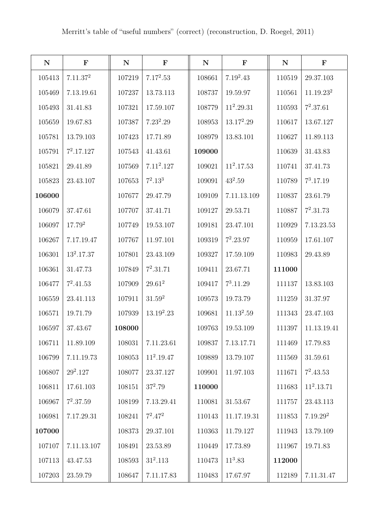| ${\bf N}$ | $\mathbf{F}$         | ${\bf N}$ | $\mathbf F$  | ${\bf N}$ | $\mathbf F$  | ${\bf N}$ | $\mathbf F$          |
|-----------|----------------------|-----------|--------------|-----------|--------------|-----------|----------------------|
| 105413    | 7.11.37 <sup>2</sup> | 107219    | $7.17^2.53$  | 108661    | $7.19^2.43$  | 110519    | 29.37.103            |
| 105469    | 7.13.19.61           | 107237    | 13.73.113    | 108737    | 19.59.97     | 110561    | $11.19.23^{2}\,$     |
| 105493    | 31.41.83             | 107321    | 17.59.107    | 108779    | $11^2.29.31$ | 110593    | $7^2.37.61$          |
| 105659    | 19.67.83             | 107387    | $7.23^2.29$  | 108953    | $13.17^2.29$ | 110617    | 13.67.127            |
| 105781    | 13.79.103            | 107423    | 17.71.89     | 108979    | 13.83.101    | 110627    | 11.89.113            |
| 105791    | $7^2.17.127$         | 107543    | 41.43.61     | 109000    |              | 110639    | 31.43.83             |
| 105821    | 29.41.89             | 107569    | $7.11^2.127$ | 109021    | $11^2.17.53$ | 110741    | 37.41.73             |
| 105823    | 23.43.107            | 107653    | $7^2.13^3$   | 109091    | $43^2.59$    | 110789    | $7^3.17.19$          |
| 106000    |                      | 107677    | 29.47.79     | 109109    | 7.11.13.109  | 110837    | 23.61.79             |
| 106079    | 37.47.61             | 107707    | 37.41.71     | 109127    | 29.53.71     | 110887    | $7^2.31.73$          |
| 106097    | $17.79^{2}$          | 107749    | 19.53.107    | 109181    | 23.47.101    | 110929    | 7.13.23.53           |
| 106267    | 7.17.19.47           | 107767    | 11.97.101    | 109319    | $7^2.23.97$  | 110959    | 17.61.107            |
| 106301    | $13^2.17.37$         | 107801    | 23.43.109    | 109327    | 17.59.109    | 110983    | 29.43.89             |
| 106361    | 31.47.73             | 107849    | $7^2.31.71$  | 109411    | 23.67.71     | 111000    |                      |
| 106477    | $7^2.41.53$          | 107909    | $29.61^2$    | 109417    | $7^3.11.29$  | 111137    | 13.83.103            |
| 106559    | 23.41.113            | 107911    | $31.59^2$    | 109573    | 19.73.79     | 111259    | 31.37.97             |
| 106571    | 19.71.79             | 107939    | $13.19^2.23$ | 109681    | $11.13^2.59$ | 111343    | 23.47.103            |
| 106597    | 37.43.67             | 108000    |              | 109763    | 19.53.109    | 111397    | 11.13.19.41          |
| 106711    | 11.89.109            | 108031    | 7.11.23.61   | 109837    | 7.13.17.71   | 111469    | 17.79.83             |
| 106799    | 7.11.19.73           | 108053    | $11^2.19.47$ | 109889    | 13.79.107    | 111569    | $31.59.61\,$         |
| 106807    | $29^2.127$           | 108077    | 23.37.127    | 109901    | 11.97.103    | 111671    | $7^2.43.53$          |
| 106811    | 17.61.103            | 108151    | $37^2.79$    | 110000    |              | 111683    | $11^2.13.71$         |
| 106967    | $7^2.37.59$          | 108199    | 7.13.29.41   | 110081    | 31.53.67     | 111757    | 23.43.113            |
| 106981    | 7.17.29.31           | 108241    | $7^2.47^2$   | 110143    | 11.17.19.31  | 111853    | 7.19.29 <sup>2</sup> |
| 107000    |                      | 108373    | 29.37.101    | 110363    | 11.79.127    | 111943    | 13.79.109            |
| 107107    | 7.11.13.107          | 108491    | 23.53.89     | 110449    | 17.73.89     | 111967    | 19.71.83             |
| 107113    | 43.47.53             | 108593    | $31^2.113$   | 110473    | $11^3.83$    | 112000    |                      |
| 107203    | 23.59.79             | 108647    | 7.11.17.83   | 110483    | 17.67.97     | 112189    | 7.11.31.47           |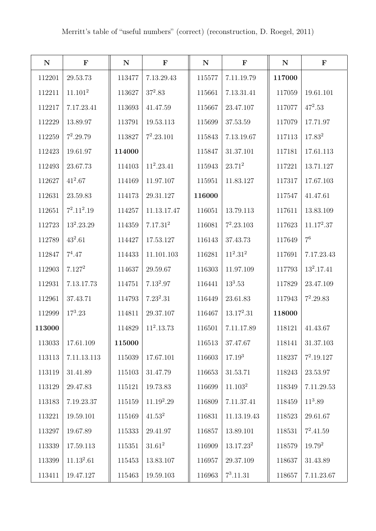| ${\bf N}$ | $\mathbf F$         | ${\bf N}$ | $\mathbf F$          | ${\bf N}$ | $\mathbf F$           | ${\bf N}$ | $\mathbf F$    |
|-----------|---------------------|-----------|----------------------|-----------|-----------------------|-----------|----------------|
| 112201    | 29.53.73            | 113477    | 7.13.29.43           | 115577    | 7.11.19.79            | 117000    |                |
| 112211    | 11.101 <sup>2</sup> | 113627    | $37^2.83$            | 115661    | 7.13.31.41            | 117059    | 19.61.101      |
| 112217    | 7.17.23.41          | 113693    | 41.47.59             | 115667    | 23.47.107             | 117077    | $47^2.53$      |
| 112229    | 13.89.97            | 113791    | 19.53.113            | 115699    | 37.53.59              | 117079    | 17.71.97       |
| 112259    | $7^2.29.79$         | 113827    | $7^2.23.101$         | 115843    | 7.13.19.67            | 117113    | $17.83^{2}$    |
| 112423    | 19.61.97            | 114000    |                      | 115847    | 31.37.101             | 117181    | 17.61.113      |
| 112493    | 23.67.73            | 114103    | $11^2.23.41$         | 115943    | $23.71^2$             | 117221    | 13.71.127      |
| 112627    | $41^2.67$           | 114169    | 11.97.107            | 115951    | 11.83.127             | 117317    | 17.67.103      |
| 112631    | 23.59.83            | 114173    | 29.31.127            | 116000    |                       | 117547    | 41.47.61       |
| 112651    | $7^2.11^2.19$       | 114257    | 11.13.17.47          | 116051    | 13.79.113             | 117611    | 13.83.109      |
| 112723    | $13^2.23.29$        | 114359    | 7.17.31 <sup>2</sup> | 116081    | $7^2.23.103$          | 117623    | $11.17^2.37$   |
| 112789    | $43^2.61$           | 114427    | 17.53.127            | 116143    | 37.43.73              | 117649    | 7 <sup>6</sup> |
| 112847    | $7^4.47$            | 114433    | 11.101.103           | 116281    | $11^2.31^2$           | 117691    | 7.17.23.43     |
| 112903    | 7.127 <sup>2</sup>  | 114637    | 29.59.67             | 116303    | 11.97.109             | 117793    | $13^2.17.41$   |
| 112931    | 7.13.17.73          | 114751    | $7.13^2.97$          | 116441    | $13^3.53$             | 117829    | 23.47.109      |
| 112961    | 37.43.71            | 114793    | $7.23^2.31$          | 116449    | 23.61.83              | 117943    | $7^2.29.83$    |
| 112999    | $17^3.23$           | 114811    | 29.37.107            | 116467    | $13.17^2.31$          | 118000    |                |
| 113000    |                     | 114829    | $11^2.13.73$         | 116501    | 7.11.17.89            | 118121    | 41.43.67       |
| 113033    | 17.61.109           | 115000    |                      | 116513    | 37.47.67              | 118141    | 31.37.103      |
| 113113    | 7.11.13.113         | 115039    | 17.67.101            | 116603    | $17.19^{3}$           | 118237    | $7^2.19.127$   |
| 113119    | 31.41.89            | 115103    | 31.47.79             | 116653    | 31.53.71              | 118243    | 23.53.97       |
| 113129    | 29.47.83            | 115121    | 19.73.83             | 116699    | 11.103 <sup>2</sup>   | 118349    | 7.11.29.53     |
| 113183    | 7.19.23.37          | 115159    | $11.19^2.29$         | 116809    | 7.11.37.41            | 118459    | $11^3.89$      |
| 113221    | 19.59.101           | 115169    | $41.53^2$            | 116831    | 11.13.19.43           | 118523    | 29.61.67       |
| 113297    | 19.67.89            | 115333    | 29.41.97             | 116857    | 13.89.101             | 118531    | $7^2.41.59$    |
| 113339    | 17.59.113           | 115351    | $31.61^2$            | 116909    | 13.17.23 <sup>2</sup> | 118579    | $19.79^{2}$    |
| 113399    | $11.13^2.61$        | 115453    | 13.83.107            | 116957    | 29.37.109             | 118637    | 31.43.89       |
| 113411    | 19.47.127           | 115463    | 19.59.103            | 116963    | $7^3.11.31$           | 118657    | 7.11.23.67     |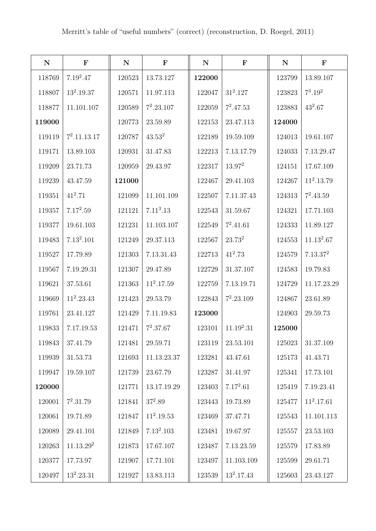| ${\bf N}$ | $\mathbf F$           | ${\bf N}$ | $\mathbf F$           | ${\bf N}$ | $\mathbf F$  | ${\bf N}$ | $\mathbf F$          |
|-----------|-----------------------|-----------|-----------------------|-----------|--------------|-----------|----------------------|
| 118769    | $7.19^2.47$           | 120523    | 13.73.127             | 122000    |              | 123799    | 13.89.107            |
| 118807    | $13^2.19.37$          | 120571    | 11.97.113             | 122047    | $31^2.127$   | 123823    | $7^3.19^2$           |
| 118877    | 11.101.107            | 120589    | $7^2.23.107$          | 122059    | $7^2.47.53$  | 123883    | $43^2.67$            |
| 119000    |                       | 120773    | 23.59.89              | 122153    | 23.47.113    | 124000    |                      |
| 119119    | $7^2.11.13.17$        | 120787    | $43.53^2$             | 122189    | 19.59.109    | 124013    | 19.61.107            |
| 119171    | 13.89.103             | 120931    | 31.47.83              | 122213    | 7.13.17.79   | 124033    | 7.13.29.47           |
| 119209    | 23.71.73              | 120959    | 29.43.97              | 122317    | $13.97^2$    | 124151    | 17.67.109            |
| 119239    | 43.47.59              | 121000    |                       | 122467    | 29.41.103    | 124267    | $11^2.13.79$         |
| 119351    | $41^2.71$             | 121099    | 11.101.109            | 122507    | 7.11.37.43   | 124313    | $7^2.43.59$          |
| 119357    | $7.17^2.59$           | 121121    | 7.11 <sup>3</sup> .13 | 122543    | 31.59.67     | 124321    | 17.71.103            |
| 119377    | 19.61.103             | 121231    | 11.103.107            | 122549    | $7^2.41.61$  | 124333    | 11.89.127            |
| 119483    | $7.13^2.101$          | 121249    | 29.37.113             | 122567    | $23.73^{2}$  | 124553    | $11.13^2.67$         |
| 119527    | 17.79.89              | 121303    | 7.13.31.43            | 122713    | $41^2.73$    | 124579    | 7.13.37 <sup>2</sup> |
| 119567    | 7.19.29.31            | 121307    | 29.47.89              | 122729    | 31.37.107    | 124583    | 19.79.83             |
| 119621    | 37.53.61              | 121363    | $11^2.17.59$          | 122759    | 7.13.19.71   | 124729    | 11.17.23.29          |
| 119669    | $11^2.23.43$          | 121423    | 29.53.79              | 122843    | $7^2.23.109$ | 124867    | 23.61.89             |
| 119761    | 23.41.127             | 121429    | 7.11.19.83            | 123000    |              | 124903    | 29.59.73             |
| 119833    | 7.17.19.53            | 121471    | $7^2.37.67$           | 123101    | $11.19^2.31$ | 125000    |                      |
| 119843    | 37.41.79              | 121481    | 29.59.71              | 123119    | 23.53.101    | 125023    | 31.37.109            |
| 119939    | 31.53.73              | 121693    | 11.13.23.37           | 123281    | 43.47.61     | 125173    | 41.43.71             |
| 119947    | 19.59.107             | 121739    | 23.67.79              | 123287    | 31.41.97     | 125341    | 17.73.101            |
| 120000    |                       | 121771    | 13.17.19.29           | 123403    | $7.17^2.61$  | 125419    | 7.19.23.41           |
| 120001    | $7^2.31.79$           | 121841    | $37^2.89\,$           | 123443    | 19.73.89     | 125477    | $11^2.17.61$         |
| 120061    | 19.71.89              | 121847    | $11^2.19.53$          | 123469    | 37.47.71     | 125543    | 11.101.113           |
| 120089    | 29.41.101             | 121849    | $7.13^2.103$          | 123481    | 19.67.97     | 125557    | 23.53.103            |
| 120263    | 11.13.29 <sup>2</sup> | 121873    | 17.67.107             | 123487    | 7.13.23.59   | 125579    | 17.83.89             |
| 120377    | 17.73.97              | 121907    | 17.71.101             | 123497    | 11.103.109   | 125599    | $29.61.71\,$         |
| 120497    | $13^2.23.31$          | 121927    | 13.83.113             | 123539    | $13^2.17.43$ | 125603    | 23.43.127            |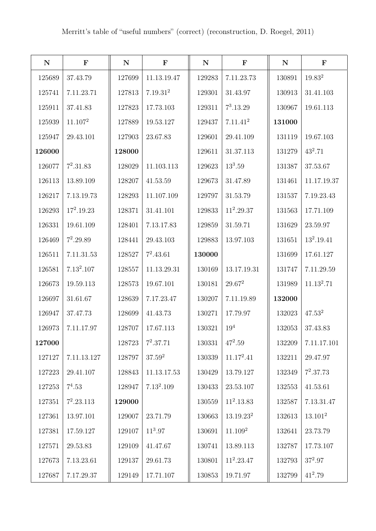| ${\bf N}$ | $\mathbf F$         | ${\bf N}$ | $\mathbf F$          | ${\bf N}$ | $\mathbf F$           | ${\bf N}$ | $\mathbf F$            |
|-----------|---------------------|-----------|----------------------|-----------|-----------------------|-----------|------------------------|
| 125689    | 37.43.79            | 127699    | 11.13.19.47          | 129283    | 7.11.23.73            | 130891    | $19.83^{2}$            |
| 125741    | 7.11.23.71          | 127813    | 7.19.31 <sup>2</sup> | 129301    | 31.43.97              | 130913    | 31.41.103              |
| 125911    | 37.41.83            | 127823    | 17.73.103            | 129311    | $7^3.13.29$           | 130967    | 19.61.113              |
| 125939    | 11.107 <sup>2</sup> | 127889    | 19.53.127            | 129437    | 7.11.41 <sup>2</sup>  | 131000    |                        |
| 125947    | 29.43.101           | 127903    | 23.67.83             | 129601    | 29.41.109             | 131119    | 19.67.103              |
| 126000    |                     | 128000    |                      | 129611    | 31.37.113             | 131279    | $43^2.71$              |
| 126077    | $7^2.31.83$         | 128029    | 11.103.113           | 129623    | $13^3.59$             | 131387    | 37.53.67               |
| 126113    | 13.89.109           | 128207    | 41.53.59             | 129673    | 31.47.89              | 131461    | 11.17.19.37            |
| 126217    | 7.13.19.73          | 128293    | 11.107.109           | 129797    | 31.53.79              | 131537    | 7.19.23.43             |
| 126293    | $17^2.19.23$        | 128371    | 31.41.101            | 129833    | $11^2.29.37$          | 131563    | 17.71.109              |
| 126331    | 19.61.109           | 128401    | 7.13.17.83           | 129859    | 31.59.71              | 131629    | 23.59.97               |
| 126469    | $7^2.29.89$         | 128441    | 29.43.103            | 129883    | 13.97.103             | 131651    | $13^2.19.41$           |
| 126511    | 7.11.31.53          | 128527    | $7^2.43.61$          | 130000    |                       | 131699    | 17.61.127              |
| 126581    | $7.13^2.107$        | 128557    | 11.13.29.31          | 130169    | 13.17.19.31           | 131747    | 7.11.29.59             |
| 126673    | 19.59.113           | 128573    | 19.67.101            | 130181    | $29.67^2$             | 131989    | 11.13 <sup>2</sup> .71 |
| 126697    | 31.61.67            | 128639    | 7.17.23.47           | 130207    | 7.11.19.89            | 132000    |                        |
| 126947    | 37.47.73            | 128699    | 41.43.73             | 130271    | 17.79.97              | 132023    | $47.53^2$              |
| 126973    | 7.11.17.97          | 128707    | 17.67.113            | 130321    | 19 <sup>4</sup>       | 132053    | 37.43.83               |
| 127000    |                     | 128723    | $7^2.37.71$          | 130331    | $47^2.59$             | 132209    | 7.11.17.101            |
| 127127    | 7.11.13.127         | 128797    | $37.59^2$            | 130339    | $11.17^2.41$          | 132211    | 29.47.97               |
| 127223    | 29.41.107           | 128843    | 11.13.17.53          | 130429    | 13.79.127             | 132349    | $7^2.37.73$            |
| 127253    | $7^4.53$            | 128947    | $7.13^2.109$         | 130433    | 23.53.107             | 132553    | 41.53.61               |
| 127351    | $7^2.23.113$        | 129000    |                      | 130559    | $11^2.13.83$          | 132587    | 7.13.31.47             |
| 127361    | 13.97.101           | 129007    | 23.71.79             | 130663    | 13.19.23 <sup>2</sup> | 132613    | 13.101 <sup>2</sup>    |
| 127381    | 17.59.127           | 129107    | $11^3.97$            | 130691    | 11.109 <sup>2</sup>   | 132641    | 23.73.79               |
| 127571    | 29.53.83            | 129109    | 41.47.67             | 130741    | 13.89.113             | 132787    | 17.73.107              |
| 127673    | 7.13.23.61          | 129137    | 29.61.73             | 130801    | $11^2.23.47$          | 132793    | $37^2.97$              |
| 127687    | 7.17.29.37          | 129149    | 17.71.107            | 130853    | 19.71.97              | 132799    | $41^2.79$              |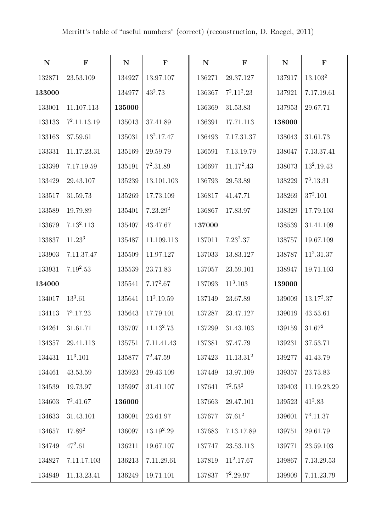| ${\bf N}$ | $\mathbf F$        | ${\bf N}$ | $\mathbf F$          | ${\bf N}$ | $\mathbf F$           | ${\bf N}$  | $\mathbf F$         |
|-----------|--------------------|-----------|----------------------|-----------|-----------------------|------------|---------------------|
| 132871    | 23.53.109          | 134927    | 13.97.107            | 136271    | 29.37.127             | 137917     | 13.103 <sup>2</sup> |
| 133000    |                    | 134977    | $43^2.73$            | 136367    | $7^2.11^2.23$         | 137921     | 7.17.19.61          |
| 133001    | 11.107.113         | 135000    |                      | 136369    | 31.53.83              | 137953     | 29.67.71            |
| 133133    | $7^2.11.13.19$     | 135013    | 37.41.89             | 136391    | 17.71.113             | 138000     |                     |
| 133163    | 37.59.61           | 135031    | $13^2.17.47$         | 136493    | 7.17.31.37            | 138043     | 31.61.73            |
| 133331    | 11.17.23.31        | 135169    | 29.59.79             | 136591    | 7.13.19.79            | 138047     | 7.13.37.41          |
| 133399    | 7.17.19.59         | 135191    | $7^2.31.89$          | 136697    | $11.17^2.43$          | 138073     | $13^2.19.43$        |
| 133429    | 29.43.107          | 135239    | 13.101.103           | 136793    | 29.53.89              | 138229     | $7^3.13.31$         |
| 133517    | 31.59.73           | 135269    | 17.73.109            | 136817    | 41.47.71              | 138269     | $37^2.101$          |
| 133589    | 19.79.89           | 135401    | 7.23.29 <sup>2</sup> | 136867    | 17.83.97              | 138329     | 17.79.103           |
| 133679    | $7.13^2.113$       | 135407    | 43.47.67             | 137000    |                       | 138539     | 31.41.109           |
| 133837    | 11.23 <sup>3</sup> | 135487    | 11.109.113           | 137011    | $7.23^2.37$           | 138757     | 19.67.109           |
| 133903    | 7.11.37.47         | 135509    | 11.97.127            | 137033    | 13.83.127             | 138787     | $11^2.31.37$        |
| 133931    | $7.19^2.53$        | 135539    | 23.71.83             | 137057    | 23.59.101             | 138947     | 19.71.103           |
| 134000    |                    | 135541    | $7.17^2.67$          | 137093    | $11^3.103$            | 139000     |                     |
| 134017    | $13^3.61$          | 135641    | $11^2.19.59$         | 137149    | 23.67.89              | 139009     | $13.17^2.37$        |
| 134113    | $7^3.17.23$        | 135643    | 17.79.101            | 137287    | 23.47.127             | 139019     | 43.53.61            |
| 134261    | 31.61.71           | 135707    | $11.13^2.73$         | 137299    | 31.43.103             | 139159     | $31.67^2$           |
| 134357    | 29.41.113          | 135751    | 7.11.41.43           | 137381    | 37.47.79              | 139231     | 37.53.71            |
| 134431    | $11^3.101$         | 135877    | $7^2.47.59$          | 137423    | 11.13.31 <sup>2</sup> | 139277     | 41.43.79            |
| 134461    | 43.53.59           | 135923    | 29.43.109            | 137449    | 13.97.109             | 139357     | 23.73.83            |
| 134539    | 19.73.97           | 135997    | 31.41.107            | 137641    | $7^2.53^2$            | 139403     | 11.19.23.29         |
| 134603    | $7^2.41.67$        | 136000    |                      | 137663    | 29.47.101             | $139523\,$ | $41^2.83$           |
| 134633    | 31.43.101          | 136091    | 23.61.97             | 137677    | $37.61^2$             | 139601     | $7^3.11.37$         |
| 134657    | $17.89^{2}$        | 136097    | $13.19^2.29$         | 137683    | 7.13.17.89            | 139751     | 29.61.79            |
| 134749    | $47^2.61$          | 136211    | 19.67.107            | 137747    | 23.53.113             | 139771     | 23.59.103           |
| 134827    | 7.11.17.103        | 136213    | 7.11.29.61           | 137819    | $11^2.17.67$          | 139867     | 7.13.29.53          |
| 134849    | 11.13.23.41        | 136249    | 19.71.101            | 137837    | $7^2.29.97$           | 139909     | 7.11.23.79          |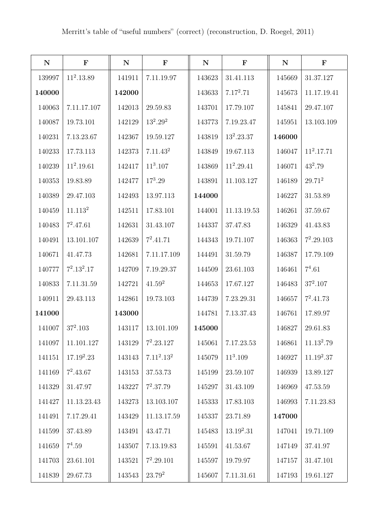| ${\bf N}$ | $\mathbf F$         | ${\bf N}$ | $\mathbf F$          | ${\bf N}$ | $\mathbf F$  | ${\bf N}$ | $\mathbf F$  |
|-----------|---------------------|-----------|----------------------|-----------|--------------|-----------|--------------|
| 139997    | $11^2.13.89$        | 141911    | 7.11.19.97           | 143623    | 31.41.113    | 145669    | 31.37.127    |
| 140000    |                     | 142000    |                      | 143633    | $7.17^2.71$  | 145673    | 11.17.19.41  |
| 140063    | 7.11.17.107         | 142013    | 29.59.83             | 143701    | 17.79.107    | 145841    | 29.47.107    |
| 140087    | 19.73.101           | 142129    | $13^2.29^2$          | 143773    | 7.19.23.47   | 145951    | 13.103.109   |
| 140231    | 7.13.23.67          | 142367    | 19.59.127            | 143819    | $13^2.23.37$ | 146000    |              |
| 140233    | 17.73.113           | 142373    | 7.11.43 <sup>2</sup> | 143849    | 19.67.113    | 146047    | $11^2.17.71$ |
| 140239    | $11^2.19.61$        | 142417    | $11^3.107$           | 143869    | $11^2.29.41$ | 146071    | $43^2.79$    |
| 140353    | 19.83.89            | 142477    | $17^3.29$            | 143891    | 11.103.127   | 146189    | $29.71^2$    |
| 140389    | 29.47.103           | 142493    | 13.97.113            | 144000    |              | 146227    | 31.53.89     |
| 140459    | 11.113 <sup>2</sup> | 142511    | 17.83.101            | 144001    | 11.13.19.53  | 146261    | 37.59.67     |
| 140483    | $7^2.47.61$         | 142631    | 31.43.107            | 144337    | 37.47.83     | 146329    | 41.43.83     |
| 140491    | 13.101.107          | 142639    | $7^2.41.71$          | 144343    | 19.71.107    | 146363    | $7^2.29.103$ |
| 140671    | 41.47.73            | 142681    | 7.11.17.109          | 144491    | 31.59.79     | 146387    | 17.79.109    |
| 140777    | $7^2.13^2.17$       | 142709    | 7.19.29.37           | 144509    | 23.61.103    | 146461    | $7^4.61$     |
| 140833    | 7.11.31.59          | 142721    | $41.59^2$            | 144653    | 17.67.127    | 146483    | $37^2.107$   |
| 140911    | 29.43.113           | 142861    | 19.73.103            | 144739    | 7.23.29.31   | 146657    | $7^2.41.73$  |
| 141000    |                     | 143000    |                      | 144781    | 7.13.37.43   | 146761    | 17.89.97     |
| 141007    | $37^2.103$          | 143117    | 13.101.109           | 145000    |              | 146827    | 29.61.83     |
| 141097    | 11.101.127          | 143129    | $7^2.23.127$         | 145061    | 7.17.23.53   | 146861    | $11.13^2.79$ |
| 141151    | $17.19^2.23$        | 143143    | $7.11^2.13^2$        | 145079    | $11^3.109$   | 146927    | $11.19^2.37$ |
| 141169    | $7^2.43.67$         | 143153    | 37.53.73             | 145199    | 23.59.107    | 146939    | 13.89.127    |
| 141329    | 31.47.97            | 143227    | $7^2.37.79$          | 145297    | 31.43.109    | 146969    | 47.53.59     |
| 141427    | 11.13.23.43         | 143273    | 13.103.107           | 145333    | 17.83.103    | 146993    | 7.11.23.83   |
| 141491    | 7.17.29.41          | 143429    | 11.13.17.59          | 145337    | 23.71.89     | 147000    |              |
| 141599    | 37.43.89            | 143491    | 43.47.71             | 145483    | $13.19^2.31$ | 147041    | 19.71.109    |
| 141659    | $7^4.59$            | 143507    | 7.13.19.83           | 145591    | 41.53.67     | 147149    | 37.41.97     |
| 141703    | 23.61.101           | 143521    | $7^2.29.101$         | 145597    | 19.79.97     | 147157    | 31.47.101    |
| 141839    | 29.67.73            | 143543    | $23.79^{2}$          | 145607    | 7.11.31.61   | 147193    | 19.61.127    |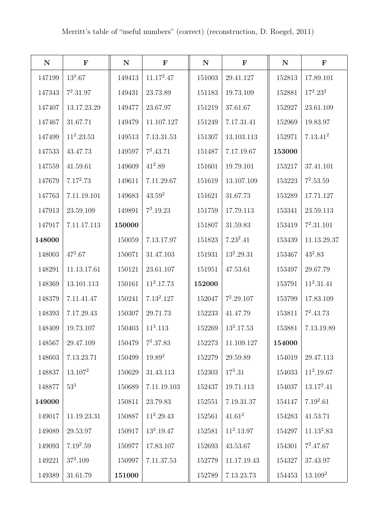| ${\bf N}$ | $\mathbf F$     | ${\bf N}$ | $\mathbf F$  | ${\bf N}$ | $\mathbf F$  | ${\bf N}$ | $\mathbf F$         |
|-----------|-----------------|-----------|--------------|-----------|--------------|-----------|---------------------|
| 147199    | $13^3.67$       | 149413    | $11.17^2.47$ | 151003    | 29.41.127    | 152813    | 17.89.101           |
| 147343    | $7^2.31.97$     | 149431    | 23.73.89     | 151183    | 19.73.109    | 152881    | $17^2.23^2$         |
| 147407    | 13.17.23.29     | 149477    | 23.67.97     | 151219    | 37.61.67     | 152927    | 23.61.109           |
| 147467    | 31.67.71        | 149479    | 11.107.127   | 151249    | 7.17.31.41   | 152969    | 19.83.97            |
| 147499    | $11^2.23.53$    | 149513    | 7.13.31.53   | 151307    | 13.103.113   | 152971    | $7.13.41^2$         |
| 147533    | 43.47.73        | 149597    | $7^2.43.71$  | 151487    | 7.17.19.67   | 153000    |                     |
| 147559    | 41.59.61        | 149609    | $41^2.89$    | 151601    | 19.79.101    | 153217    | 37.41.101           |
| 147679    | $7.17^2.73$     | 149611    | 7.11.29.67   | 151619    | 13.107.109   | 153223    | $7^2.53.59$         |
| 147763    | 7.11.19.101     | 149683    | $43.59^2$    | 151621    | 31.67.73     | 153289    | 17.71.127           |
| 147913    | 23.59.109       | 149891    | $7^3.19.23$  | 151759    | 17.79.113    | 153341    | 23.59.113           |
| 147917    | 7.11.17.113     | 150000    |              | 151807    | 31.59.83     | 153419    | $7^2.31.101$        |
| 148000    |                 | 150059    | 7.13.17.97   | 151823    | $7.23^2.41$  | 153439    | 11.13.29.37         |
| 148003    | $47^2.67$       | 150071    | 31.47.103    | 151931    | $13^2.29.31$ | 153467    | $43^2.83$           |
| 148291    | 11.13.17.61     | 150121    | 23.61.107    | 151951    | 47.53.61     | 153497    | 29.67.79            |
| 148369    | 13.101.113      | 150161    | $11^2.17.73$ | 152000    |              | 153791    | $11^2.31.41$        |
| 148379    | 7.11.41.47      | 150241    | $7.13^2.127$ | 152047    | $7^2.29.107$ | 153799    | 17.83.109           |
| 148393    | 7.17.29.43      | 150307    | 29.71.73     | 152233    | 41.47.79     | 153811    | $7^2.43.73$         |
| 148409    | 19.73.107       | 150403    | $11^3.113$   | 152269    | $13^2.17.53$ | 153881    | 7.13.19.89          |
| 148567    | 29.47.109       | 150479    | $7^2.37.83$  | 152273    | 11.109.127   | 154000    |                     |
| 148603    | 7.13.23.71      | 150499    | $19.89^{2}$  | 152279    | 29.59.89     | 154019    | 29.47.113           |
| 148837    | $13.107^2$      | 150629    | 31.43.113    | 152303    | $17^3.31$    | 154033    | $11^2.19.67$        |
| 148877    | 53 <sup>3</sup> | 150689    | 7.11.19.103  | 152437    | 19.71.113    | 154037    | $13.17^2.41$        |
| 149000    |                 | 150811    | 23.79.83     | 152551    | 7.19.31.37   | 154147    | $7.19^2.61$         |
| 149017    | 11.19.23.31     | 150887    | $11^2.29.43$ | 152561    | $41.61^2$    | 154283    | 41.53.71            |
| 149089    | 29.53.97        | 150917    | $13^2.19.47$ | 152581    | $11^2.13.97$ | 154297    | $11.13^2.83$        |
| 149093    | $7.19^2.59$     | 150977    | 17.83.107    | 152693    | 43.53.67     | 154301    | $7^2.47.67$         |
| 149221    | $37^2.109$      | 150997    | 7.11.37.53   | 152779    | 11.17.19.43  | 154327    | 37.43.97            |
| 149389    | 31.61.79        | 151000    |              | 152789    | 7.13.23.73   | 154453    | 13.109 <sup>2</sup> |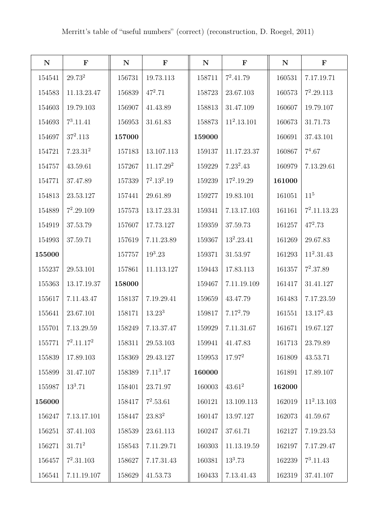| $\mathbf N$ | $\mathbf{F}$         | ${\bf N}$ | $\mathbf F$           | ${\bf N}$ | $\mathbf F$   | $\mathbf N$ | $\mathbf F$     |
|-------------|----------------------|-----------|-----------------------|-----------|---------------|-------------|-----------------|
| 154541      | $29.73^{2}$          | 156731    | 19.73.113             | 158711    | $7^2.41.79$   | 160531      | 7.17.19.71      |
| 154583      | 11.13.23.47          | 156839    | $47^2.71$             | 158723    | 23.67.103     | 160573      | $7^2.29.113$    |
| 154603      | 19.79.103            | 156907    | 41.43.89              | 158813    | 31.47.109     | 160607      | 19.79.107       |
| 154693      | $7^3.11.41$          | 156953    | 31.61.83              | 158873    | $11^2.13.101$ | 160673      | 31.71.73        |
| 154697      | $37^2.113$           | 157000    |                       | 159000    |               | 160691      | 37.43.101       |
| 154721      | 7.23.31 <sup>2</sup> | 157183    | 13.107.113            | 159137    | 11.17.23.37   | 160867      | $7^4.67$        |
| 154757      | 43.59.61             | 157267    | 11.17.29 <sup>2</sup> | 159229    | $7.23^2.43$   | 160979      | 7.13.29.61      |
| 154771      | 37.47.89             | 157339    | $7^2.13^2.19$         | 159239    | $17^2.19.29$  | 161000      |                 |
| 154813      | 23.53.127            | 157441    | 29.61.89              | 159277    | 19.83.101     | 161051      | 11 <sup>5</sup> |
| 154889      | $7^2.29.109$         | 157573    | 13.17.23.31           | 159341    | 7.13.17.103   | 161161      | $7^2.11.13.23$  |
| 154919      | 37.53.79             | 157607    | 17.73.127             | 159359    | 37.59.73      | 161257      | $47^2.73$       |
| 154993      | 37.59.71             | 157619    | 7.11.23.89            | 159367    | $13^2.23.41$  | 161269      | 29.67.83        |
| 155000      |                      | 157757    | $19^3.23$             | 159371    | 31.53.97      | 161293      | $11^2.31.43$    |
| 155237      | 29.53.101            | 157861    | 11.113.127            | 159443    | 17.83.113     | 161357      | $7^2.37.89$     |
| 155363      | 13.17.19.37          | 158000    |                       | 159467    | 7.11.19.109   | 161417      | 31.41.127       |
| 155617      | 7.11.43.47           | 158137    | 7.19.29.41            | 159659    | 43.47.79      | 161483      | 7.17.23.59      |
| 155641      | 23.67.101            | 158171    | 13.23 <sup>3</sup>    | 159817    | $7.17^2.79$   | 161551      | $13.17^2.43$    |
| 155701      | 7.13.29.59           | 158249    | 7.13.37.47            | 159929    | 7.11.31.67    | 161671      | 19.67.127       |
| 155771      | $7^2.11.17^2$        | 158311    | 29.53.103             | 159941    | 41.47.83      | 161713      | 23.79.89        |
| 155839      | 17.89.103            | 158369    | 29.43.127             | 159953    | $17.97^{2}$   | 161809      | 43.53.71        |
| 155899      | 31.47.107            | 158389    | 7.11 <sup>3</sup> .17 | 160000    |               | 161891      | 17.89.107       |
| 155987      | $13^3.71$            | 158401    | 23.71.97              | 160003    | $43.61^2$     | 162000      |                 |
| 156000      |                      | 158417    | $7^2.53.61$           | 160121    | 13.109.113    | 162019      | $11^2.13.103$   |
| 156247      | 7.13.17.101          | 158447    | $23.83^2$             | 160147    | 13.97.127     | 162073      | 41.59.67        |
| 156251      | 37.41.103            | 158539    | 23.61.113             | 160247    | 37.61.71      | 162127      | 7.19.23.53      |
| 156271      | $31.71^2$            | 158543    | 7.11.29.71            | 160303    | 11.13.19.59   | 162197      | 7.17.29.47      |
| 156457      | $7^2.31.103$         | 158627    | 7.17.31.43            | 160381    | $13^3.73$     | 162239      | $7^3.11.43$     |
| 156541      | 7.11.19.107          | 158629    | 41.53.73              | 160433    | 7.13.41.43    | 162319      | 37.41.107       |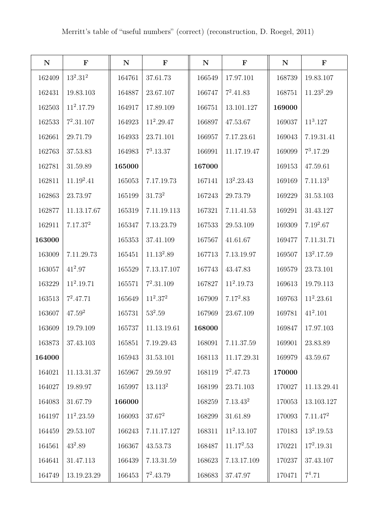| ${\bf N}$ | $\mathbf F$          | ${\bf N}$ | $\mathbf F$        | ${\bf N}$ | $\mathbf F$          | ${\bf N}$ | $\mathbf F$          |
|-----------|----------------------|-----------|--------------------|-----------|----------------------|-----------|----------------------|
| 162409    | $13^2.31^2$          | 164761    | 37.61.73           | 166549    | 17.97.101            | 168739    | 19.83.107            |
| 162431    | 19.83.103            | 164887    | 23.67.107          | 166747    | $7^2.41.83$          | 168751    | $11.23^2.29$         |
| 162503    | $11^2.17.79$         | 164917    | 17.89.109          | 166751    | 13.101.127           | 169000    |                      |
| 162533    | $7^2.31.107$         | 164923    | $11^2.29.47$       | 166897    | 47.53.67             | 169037    | $11^3.127$           |
| 162661    | 29.71.79             | 164933    | 23.71.101          | 166957    | 7.17.23.61           | 169043    | 7.19.31.41           |
| 162763    | 37.53.83             | 164983    | $7^3.13.37$        | 166991    | 11.17.19.47          | 169099    | $7^3.17.29$          |
| 162781    | 31.59.89             | 165000    |                    | 167000    |                      | 169153    | 47.59.61             |
| 162811    | $11.19^2.41$         | 165053    | 7.17.19.73         | 167141    | $13^2.23.43$         | 169169    | 7.11.13 <sup>3</sup> |
| 162863    | 23.73.97             | 165199    | 31.73 <sup>2</sup> | 167243    | 29.73.79             | 169229    | 31.53.103            |
| 162877    | 11.13.17.67          | 165319    | 7.11.19.113        | 167321    | 7.11.41.53           | 169291    | 31.43.127            |
| 162911    | 7.17.37 <sup>2</sup> | 165347    | 7.13.23.79         | 167533    | 29.53.109            | 169309    | $7.19^2.67$          |
| 163000    |                      | 165353    | 37.41.109          | 167567    | 41.61.67             | 169477    | 7.11.31.71           |
| 163009    | 7.11.29.73           | 165451    | $11.13^2.89$       | 167713    | 7.13.19.97           | 169507    | $13^2.17.59$         |
| 163057    | $41^2.97$            | 165529    | 7.13.17.107        | 167743    | 43.47.83             | 169579    | 23.73.101            |
| 163229    | $11^2.19.71$         | 165571    | $7^2.31.109$       | 167827    | $11^2.19.73$         | 169613    | 19.79.113            |
| 163513    | $7^2.47.71$          | 165649    | $11^2.37^2$        | 167909    | $7.17^2.83$          | 169763    | $11^2.23.61$         |
| 163607    | $47.59^{2}$          | 165731    | $53^2.59$          | 167969    | 23.67.109            | 169781    | $41^2.101$           |
| 163609    | 19.79.109            | 165737    | 11.13.19.61        | 168000    |                      | 169847    | 17.97.103            |
| 163873    | 37.43.103            | 165851    | 7.19.29.43         | 168091    | 7.11.37.59           | 169901    | 23.83.89             |
| 164000    |                      | 165943    | 31.53.101          | 168113    | 11.17.29.31          | 169979    | 43.59.67             |
| 164021    | 11.13.31.37          | 165967    | 29.59.97           | 168119    | $7^2.47.73$          | 170000    |                      |
| 164027    | 19.89.97             | 165997    | $13.113^2$         | 168199    | 23.71.103            | 170027    | 11.13.29.41          |
| 164083    | 31.67.79             | 166000    |                    | 168259    | 7.13.43 <sup>2</sup> | 170053    | 13.103.127           |
| 164197    | $11^2.23.59$         | 166093    | $37.67^2$          | 168299    | 31.61.89             | 170093    | 7.11.47 <sup>2</sup> |
| 164459    | 29.53.107            | 166243    | 7.11.17.127        | 168311    | $11^2.13.107$        | 170183    | $13^2.19.53$         |
| 164561    | $43^2.89$            | 166367    | 43.53.73           | 168487    | $11.17^2.53$         | 170221    | $17^2.19.31$         |
| 164641    | 31.47.113            | 166439    | 7.13.31.59         | 168623    | 7.13.17.109          | 170237    | 37.43.107            |
| 164749    | 13.19.23.29          | 166453    | $7^2.43.79$        | 168683    | 37.47.97             | 170471    | $7^4.71$             |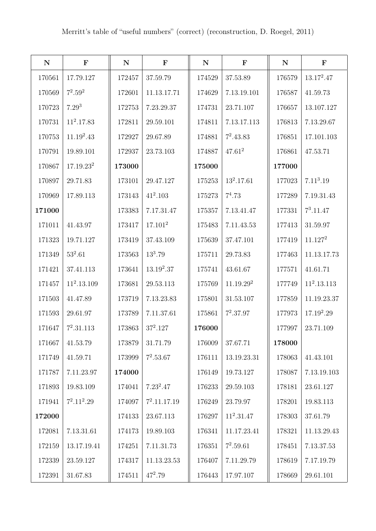| ${\bf N}$ | $\mathbf F$           | ${\bf N}$ | $\mathbf F$         | ${\bf N}$ | $\mathbf F$           | ${\bf N}$ | $\mathbf F$           |
|-----------|-----------------------|-----------|---------------------|-----------|-----------------------|-----------|-----------------------|
| 170561    | 17.79.127             | 172457    | 37.59.79            | 174529    | 37.53.89              | 176579    | $13.17^2.47$          |
| 170569    | $7^2.59^2$            | 172601    | 11.13.17.71         | 174629    | 7.13.19.101           | 176587    | 41.59.73              |
| 170723    | $7.29^{3}$            | 172753    | 7.23.29.37          | 174731    | 23.71.107             | 176657    | 13.107.127            |
| 170731    | $11^2.17.83$          | 172811    | 29.59.101           | 174811    | 7.13.17.113           | 176813    | 7.13.29.67            |
| 170753    | $11.19^2.43$          | 172927    | 29.67.89            | 174881    | $7^2.43.83$           | 176851    | 17.101.103            |
| 170791    | 19.89.101             | 172937    | 23.73.103           | 174887    | $47.61^2$             | 176861    | 47.53.71              |
| 170867    | 17.19.23 <sup>2</sup> | 173000    |                     | 175000    |                       | 177000    |                       |
| 170897    | 29.71.83              | 173101    | 29.47.127           | 175253    | $13^2.17.61$          | 177023    | 7.11 <sup>3</sup> .19 |
| 170969    | 17.89.113             | 173143    | $41^2.103$          | 175273    | $7^4.73$              | 177289    | 7.19.31.43            |
| 171000    |                       | 173383    | 7.17.31.47          | 175357    | 7.13.41.47            | 177331    | $7^3.11.47$           |
| 171011    | 41.43.97              | 173417    | 17.101 <sup>2</sup> | 175483    | 7.11.43.53            | 177413    | 31.59.97              |
| 171323    | 19.71.127             | 173419    | 37.43.109           | 175639    | 37.47.101             | 177419    | 11.127 <sup>2</sup>   |
| 171349    | $53^2.61$             | 173563    | $13^3.79$           | 175711    | 29.73.83              | 177463    | 11.13.17.73           |
| 171421    | 37.41.113             | 173641    | $13.19^2.37$        | 175741    | 43.61.67              | 177571    | 41.61.71              |
| 171457    | $11^2.13.109$         | 173681    | 29.53.113           | 175769    | 11.19.29 <sup>2</sup> | 177749    | $11^2.13.113$         |
| 171503    | 41.47.89              | 173719    | 7.13.23.83          | 175801    | 31.53.107             | 177859    | 11.19.23.37           |
| 171593    | 29.61.97              | 173789    | 7.11.37.61          | 175861    | $7^2.37.97$           | 177973    | $17.19^2.29$          |
| 171647    | $7^2.31.113$          | 173863    | $37^2.127$          | 176000    |                       | 177997    | 23.71.109             |
| 171667    | 41.53.79              | 173879    | 31.71.79            | 176009    | 37.67.71              | 178000    |                       |
| 171749    | 41.59.71              | 173999    | $7^2.53.67$         | 176111    | $13.19.23.31\,$       | 178063    | 41.43.101             |
| 171787    | 7.11.23.97            | 174000    |                     | 176149    | 19.73.127             | 178087    | 7.13.19.103           |
| 171893    | 19.83.109             | 174041    | $7.23^2.47$         | 176233    | 29.59.103             | 178181    | 23.61.127             |
| 171941    | $7^2.11^2.29$         | 174097    | $7^2.11.17.19$      | 176249    | 23.79.97              | 178201    | 19.83.113             |
| 172000    |                       | 174133    | 23.67.113           | 176297    | $11^2.31.47$          | 178303    | 37.61.79              |
| 172081    | 7.13.31.61            | 174173    | 19.89.103           | 176341    | 11.17.23.41           | 178321    | 11.13.29.43           |
| 172159    | 13.17.19.41           | 174251    | 7.11.31.73          | 176351    | $7^2.59.61$           | 178451    | 7.13.37.53            |
| 172339    | 23.59.127             | 174317    | 11.13.23.53         | 176407    | 7.11.29.79            | 178619    | 7.17.19.79            |
| 172391    | 31.67.83              | 174511    | $47^2.79$           | 176443    | 17.97.107             | 178669    | 29.61.101             |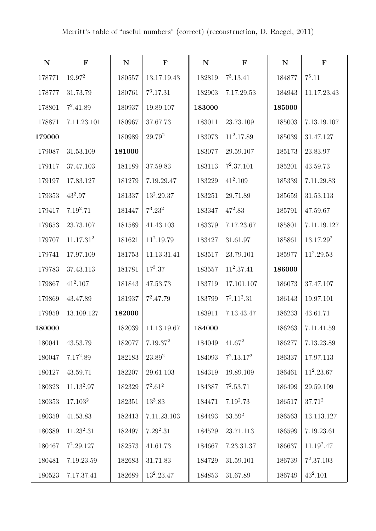| ${\bf N}$ | $\mathbf{F}$          | ${\bf N}$ | ${\bf F}$            | ${\bf N}$ | $\mathbf F$   | ${\bf N}$ | ${\bf F}$             |
|-----------|-----------------------|-----------|----------------------|-----------|---------------|-----------|-----------------------|
| 178771    | $19.97^2$             | 180557    | 13.17.19.43          | 182819    | $7^3.13.41$   | 184877    | $7^5.11$              |
| 178777    | 31.73.79              | 180761    | $7^3.17.31$          | 182903    | 7.17.29.53    | 184943    | 11.17.23.43           |
| 178801    | $7^2.41.89$           | 180937    | 19.89.107            | 183000    |               | 185000    |                       |
| 178871    | 7.11.23.101           | 180967    | 37.67.73             | 183011    | 23.73.109     | 185003    | 7.13.19.107           |
| 179000    |                       | 180989    | $29.79^{2}$          | 183073    | $11^2.17.89$  | 185039    | 31.47.127             |
| 179087    | 31.53.109             | 181000    |                      | 183077    | 29.59.107     | 185173    | 23.83.97              |
| 179117    | 37.47.103             | 181189    | 37.59.83             | 183113    | $7^2.37.101$  | 185201    | 43.59.73              |
| 179197    | 17.83.127             | 181279    | 7.19.29.47           | 183229    | $41^2.109$    | 185339    | 7.11.29.83            |
| 179353    | $43^2.97$             | 181337    | $13^2.29.37$         | 183251    | 29.71.89      | 185659    | 31.53.113             |
| 179417    | $7.19^2.71$           | 181447    | $7^3.23^2$           | 183347    | $47^2.83$     | 185791    | 47.59.67              |
| 179653    | 23.73.107             | 181589    | 41.43.103            | 183379    | 7.17.23.67    | 185801    | 7.11.19.127           |
| 179707    | 11.17.31 <sup>2</sup> | 181621    | $11^2.19.79$         | 183427    | 31.61.97      | 185861    | 13.17.29 <sup>2</sup> |
| 179741    | 17.97.109             | 181753    | 11.13.31.41          | 183517    | 23.79.101     | 185977    | $11^2.29.53$          |
| 179783    | 37.43.113             | 181781    | $17^3.37$            | 183557    | $11^2.37.41$  | 186000    |                       |
| 179867    | $41^2.107$            | 181843    | 47.53.73             | 183719    | 17.101.107    | 186073    | 37.47.107             |
| 179869    | 43.47.89              | 181937    | $7^2.47.79$          | 183799    | $7^2.11^2.31$ | 186143    | 19.97.101             |
| 179959    | 13.109.127            | 182000    |                      | 183911    | 7.13.43.47    | 186233    | 43.61.71              |
| 180000    |                       | 182039    | 11.13.19.67          | 184000    |               | 186263    | 7.11.41.59            |
| 180041    | 43.53.79              | 182077    | 7.19.37 <sup>2</sup> | 184049    | $41.67^2$     | 186277    | 7.13.23.89            |
| 180047    | $7.17^2.89$           | 182183    | $23.89^2$            | 184093    | $7^2.13.17^2$ | 186337    | 17.97.113             |
| 180127    | 43.59.71              | 182207    | 29.61.103            | 184319    | 19.89.109     | 186461    | $11^2.23.67$          |
| 180323    | $11.13^2.97$          | 182329    | $7^2.61^2$           | 184387    | $7^2.53.71$   | 186499    | 29.59.109             |
| 180353    | 17.103 <sup>2</sup>   | 182351    | $13^3.83$            | 184471    | $7.19^2.73$   | 186517    | $37.71^2$             |
| 180359    | 41.53.83              | 182413    | 7.11.23.103          | 184493    | $53.59^{2}$   | 186563    | 13.113.127            |
| 180389    | $11.23^2.31$          | 182497    | $7.29^2.31$          | 184529    | 23.71.113     | 186599    | 7.19.23.61            |
| 180467    | $7^2.29.127$          | 182573    | 41.61.73             | 184667    | 7.23.31.37    | 186637    | $11.19^2.47$          |
| 180481    | 7.19.23.59            | 182683    | 31.71.83             | 184729    | 31.59.101     | 186739    | $7^2.37.103$          |
| 180523    | 7.17.37.41            | 182689    | $13^2.23.47$         | 184853    | 31.67.89      | 186749    | $43^2.101\,$          |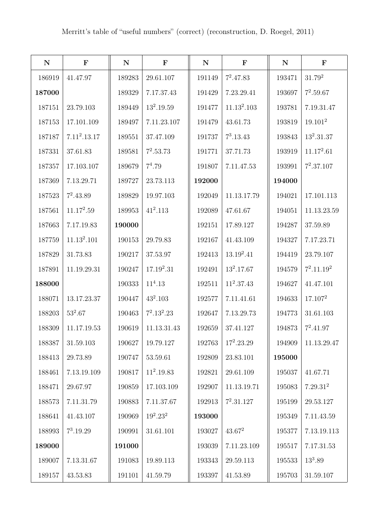| ${\bf N}$ | $\mathbf F$             | ${\bf N}$ | $\mathbf F$   | ${\bf N}$ | $\mathbf F$             | ${\bf N}$ | $\mathbf F$          |
|-----------|-------------------------|-----------|---------------|-----------|-------------------------|-----------|----------------------|
| 186919    | 41.47.97                | 189283    | 29.61.107     | 191149    | $7^2.47.83$             | 193471    | $31.79^2$            |
| 187000    |                         | 189329    | 7.17.37.43    | 191429    | 7.23.29.41              | 193697    | $7^2.59.67$          |
| 187151    | 23.79.103               | 189449    | $13^2.19.59$  | 191477    | 11.13 <sup>2</sup> .103 | 193781    | 7.19.31.47           |
| 187153    | 17.101.109              | 189497    | 7.11.23.107   | 191479    | 43.61.73                | 193819    | 19.101 <sup>2</sup>  |
| 187187    | $7.11^2.13.17$          | 189551    | 37.47.109     | 191737    | $7^3.13.43$             | 193843    | $13^2.31.37$         |
| 187331    | 37.61.83                | 189581    | $7^2.53.73$   | 191771    | 37.71.73                | 193919    | $11.17^2.61$         |
| 187357    | 17.103.107              | 189679    | $7^4.79$      | 191807    | 7.11.47.53              | 193991    | $7^2.37.107$         |
| 187369    | 7.13.29.71              | 189727    | 23.73.113     | 192000    |                         | 194000    |                      |
| 187523    | $7^2.43.89$             | 189829    | 19.97.103     | 192049    | 11.13.17.79             | 194021    | 17.101.113           |
| 187561    | $11.17^2.59$            | 189953    | $41^2.113$    | 192089    | 47.61.67                | 194051    | 11.13.23.59          |
| 187663    | 7.17.19.83              | 190000    |               | 192151    | 17.89.127               | 194287    | 37.59.89             |
| 187759    | 11.13 <sup>2</sup> .101 | 190153    | 29.79.83      | 192167    | 41.43.109               | 194327    | 7.17.23.71           |
| 187829    | 31.73.83                | 190217    | 37.53.97      | 192413    | $13.19^2.41$            | 194419    | 23.79.107            |
| 187891    | 11.19.29.31             | 190247    | $17.19^2.31$  | 192491    | $13^2.17.67$            | 194579    | $7^2.11.19^2$        |
| 188000    |                         | 190333    | $11^4.13$     | 192511    | $11^2.37.43$            | 194627    | 41.47.101            |
| 188071    | 13.17.23.37             | 190447    | $43^2.103$    | 192577    | 7.11.41.61              | 194633    | 17.107 <sup>2</sup>  |
| 188203    | $53^2.67$               | 190463    | $7^2.13^2.23$ | 192647    | 7.13.29.73              | 194773    | 31.61.103            |
| 188309    | $11.17.19.53\,$         | 190619    | 11.13.31.43   | 192659    | 37.41.127               | 194873    | $7^2.41.97$          |
| 188387    | 31.59.103               | 190627    | 19.79.127     | 192763    | $17^2.23.29$            | 194909    | 11.13.29.47          |
| 188413    | 29.73.89                | 190747    | 53.59.61      | 192809    | 23.83.101               | 195000    |                      |
| 188461    | 7.13.19.109             | 190817    | $11^2.19.83$  | 192821    | 29.61.109               | 195037    | 41.67.71             |
| 188471    | 29.67.97                | 190859    | 17.103.109    | 192907    | 11.13.19.71             | 195083    | 7.29.31 <sup>2</sup> |
| 188573    | 7.11.31.79              | 190883    | 7.11.37.67    | 192913    | $7^2.31.127$            | 195199    | 29.53.127            |
| 188641    | 41.43.107               | 190969    | $19^2.23^2$   | 193000    |                         | 195349    | 7.11.43.59           |
| 188993    | $7^3.19.29$             | 190991    | 31.61.101     | 193027    | $43.67^2$               | 195377    | 7.13.19.113          |
| 189000    |                         | 191000    |               | 193039    | 7.11.23.109             | 195517    | 7.17.31.53           |
| 189007    | 7.13.31.67              | 191083    | 19.89.113     | 193343    | 29.59.113               | 195533    | $13^3.89$            |
| 189157    | 43.53.83                | 191101    | 41.59.79      | 193397    | 41.53.89                | 195703    | 31.59.107            |